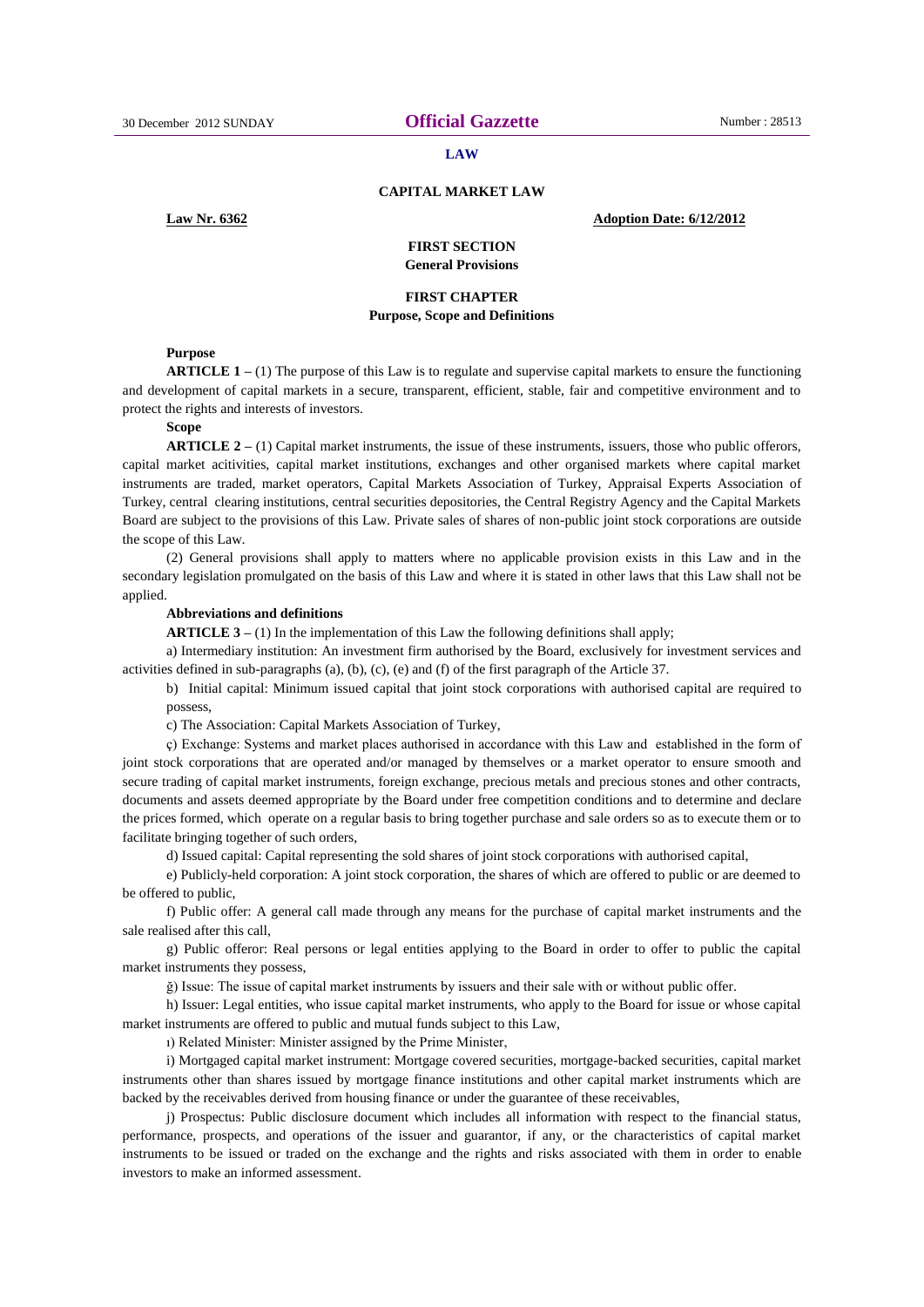#### **LAW**

### **CAPITAL MARKET LAW**

# **Law Nr. 6362 Adoption Date: 6/12/2012**

# **FIRST SECTION General Provisions**

# **FIRST CHAPTER Purpose, Scope and Definitions**

#### **Purpose**

**ARTICLE 1 –** (1) The purpose of this Law is to regulate and supervise capital markets to ensure the functioning and development of capital markets in a secure, transparent, efficient, stable, fair and competitive environment and to protect the rights and interests of investors.

### **Scope**

**ARTICLE 2 –** (1) Capital market instruments, the issue of these instruments, issuers, those who public offerors, capital market acitivities, capital market institutions, exchanges and other organised markets where capital market instruments are traded, market operators, Capital Markets Association of Turkey, Appraisal Experts Association of Turkey, central clearing institutions, central securities depositories, the Central Registry Agency and the Capital Markets Board are subject to the provisions of this Law. Private sales of shares of non-public joint stock corporations are outside the scope of this Law.

(2) General provisions shall apply to matters where no applicable provision exists in this Law and in the secondary legislation promulgated on the basis of this Law and where it is stated in other laws that this Law shall not be applied.

#### **Abbreviations and definitions**

**ARTICLE 3** – (1) In the implementation of this Law the following definitions shall apply;

a) Intermediary institution: An investment firm authorised by the Board, exclusively for investment services and activities defined in sub-paragraphs (a), (b), (c), (e) and (f) of the first paragraph of the Article 37.

b) Initial capital: Minimum issued capital that joint stock corporations with authorised capital are required to possess,

c) The Association: Capital Markets Association of Turkey,

ç) Exchange: Systems and market places authorised in accordance with this Law and established in the form of joint stock corporations that are operated and/or managed by themselves or a market operator to ensure smooth and secure trading of capital market instruments, foreign exchange, precious metals and precious stones and other contracts, documents and assets deemed appropriate by the Board under free competition conditions and to determine and declare the prices formed, which operate on a regular basis to bring together purchase and sale orders so as to execute them or to facilitate bringing together of such orders,

d) Issued capital: Capital representing the sold shares of joint stock corporations with authorised capital,

e) Publicly-held corporation: A joint stock corporation, the shares of which are offered to public or are deemed to be offered to public,

f) Public offer: A general call made through any means for the purchase of capital market instruments and the sale realised after this call,

g) Public offeror: Real persons or legal entities applying to the Board in order to offer to public the capital market instruments they possess,

ğ) Issue: The issue of capital market instruments by issuers and their sale with or without public offer.

h) Issuer: Legal entities, who issue capital market instruments, who apply to the Board for issue or whose capital market instruments are offered to public and mutual funds subject to this Law,

ı) Related Minister: Minister assigned by the Prime Minister,

i) Mortgaged capital market instrument: Mortgage covered securities, mortgage-backed securities, capital market instruments other than shares issued by mortgage finance institutions and other capital market instruments which are backed by the receivables derived from housing finance or under the guarantee of these receivables,

j) Prospectus: Public disclosure document which includes all information with respect to the financial status, performance, prospects, and operations of the issuer and guarantor, if any, or the characteristics of capital market instruments to be issued or traded on the exchange and the rights and risks associated with them in order to enable investors to make an informed assessment.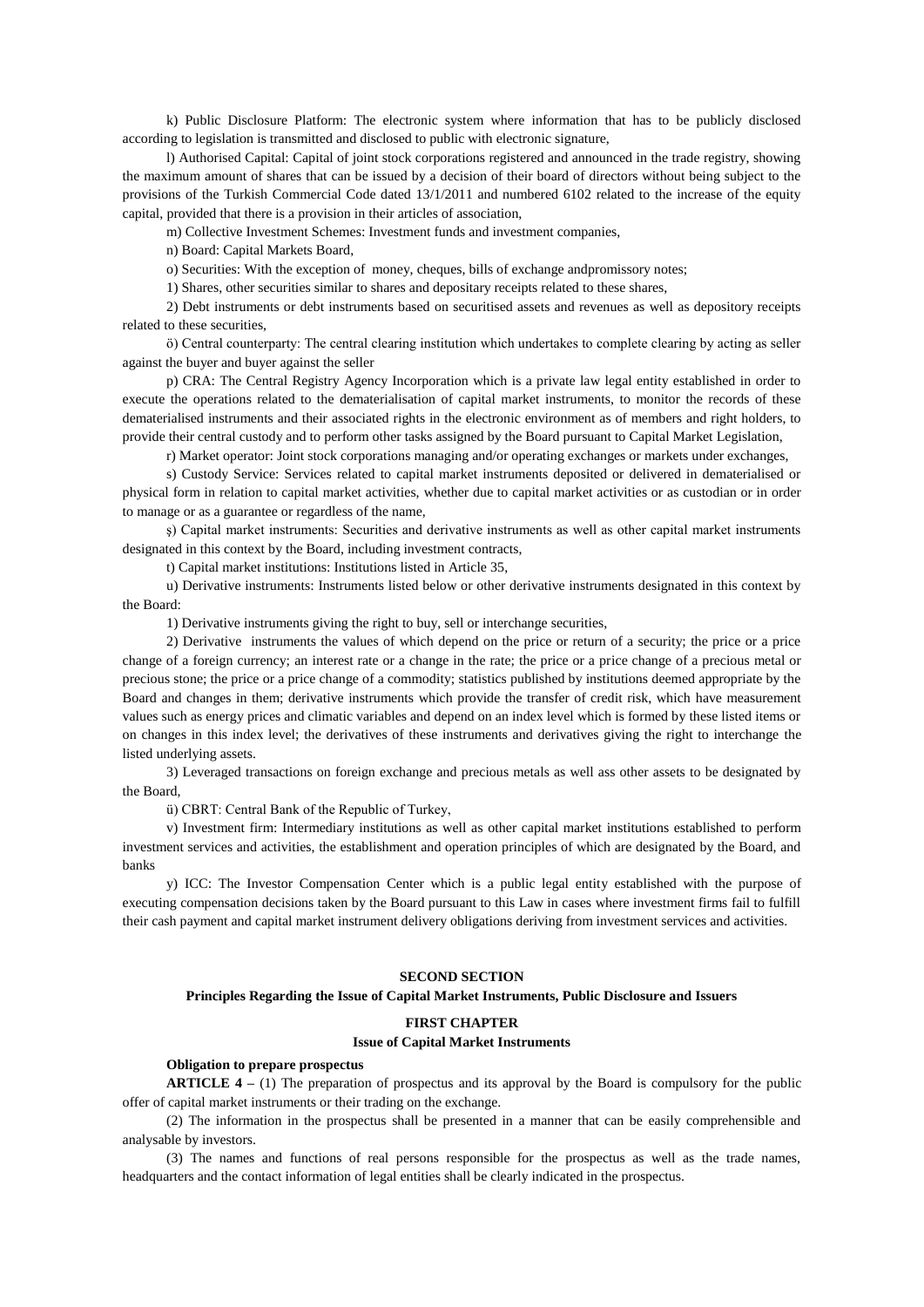k) Public Disclosure Platform: The electronic system where information that has to be publicly disclosed according to legislation is transmitted and disclosed to public with electronic signature,

l) Authorised Capital: Capital of joint stock corporations registered and announced in the trade registry, showing the maximum amount of shares that can be issued by a decision of their board of directors without being subject to the provisions of the Turkish Commercial Code dated 13/1/2011 and numbered 6102 related to the increase of the equity capital, provided that there is a provision in their articles of association,

m) Collective Investment Schemes: Investment funds and investment companies,

n) Board: Capital Markets Board,

o) Securities: With the exception of money, cheques, bills of exchange andpromissory notes;

1) Shares, other securities similar to shares and depositary receipts related to these shares,

2) Debt instruments or debt instruments based on securitised assets and revenues as well as depository receipts related to these securities,

ö) Central counterparty: The central clearing institution which undertakes to complete clearing by acting as seller against the buyer and buyer against the seller

p) CRA: The Central Registry Agency Incorporation which is a private law legal entity established in order to execute the operations related to the dematerialisation of capital market instruments, to monitor the records of these dematerialised instruments and their associated rights in the electronic environment as of members and right holders, to provide their central custody and to perform other tasks assigned by the Board pursuant to Capital Market Legislation,

r) Market operator: Joint stock corporations managing and/or operating exchanges or markets under exchanges,

s) Custody Service: Services related to capital market instruments deposited or delivered in dematerialised or physical form in relation to capital market activities, whether due to capital market activities or as custodian or in order to manage or as a guarantee or regardless of the name,

ş) Capital market instruments: Securities and derivative instruments as well as other capital market instruments designated in this context by the Board, including investment contracts,

t) Capital market institutions: Institutions listed in Article 35,

u) Derivative instruments: Instruments listed below or other derivative instruments designated in this context by the Board:

1) Derivative instruments giving the right to buy, sell or interchange securities,

2) Derivative instruments the values of which depend on the price or return of a security; the price or a price change of a foreign currency; an interest rate or a change in the rate; the price or a price change of a precious metal or precious stone; the price or a price change of a commodity; statistics published by institutions deemed appropriate by the Board and changes in them; derivative instruments which provide the transfer of credit risk, which have measurement values such as energy prices and climatic variables and depend on an index level which is formed by these listed items or on changes in this index level; the derivatives of these instruments and derivatives giving the right to interchange the listed underlying assets.

3) Leveraged transactions on foreign exchange and precious metals as well ass other assets to be designated by the Board,

ü) CBRT: Central Bank of the Republic of Turkey,

v) Investment firm: Intermediary institutions as well as other capital market institutions established to perform investment services and activities, the establishment and operation principles of which are designated by the Board, and banks

y) ICC: The Investor Compensation Center which is a public legal entity established with the purpose of executing compensation decisions taken by the Board pursuant to this Law in cases where investment firms fail to fulfill their cash payment and capital market instrument delivery obligations deriving from investment services and activities.

# **SECOND SECTION**

# **Principles Regarding the Issue of Capital Market Instruments, Public Disclosure and Issuers**

#### **FIRST CHAPTER**

### **Issue of Capital Market Instruments**

### **Obligation to prepare prospectus**

**ARTICLE 4 –** (1) The preparation of prospectus and its approval by the Board is compulsory for the public offer of capital market instruments or their trading on the exchange.

(2) The information in the prospectus shall be presented in a manner that can be easily comprehensible and analysable by investors.

(3) The names and functions of real persons responsible for the prospectus as well as the trade names, headquarters and the contact information of legal entities shall be clearly indicated in the prospectus.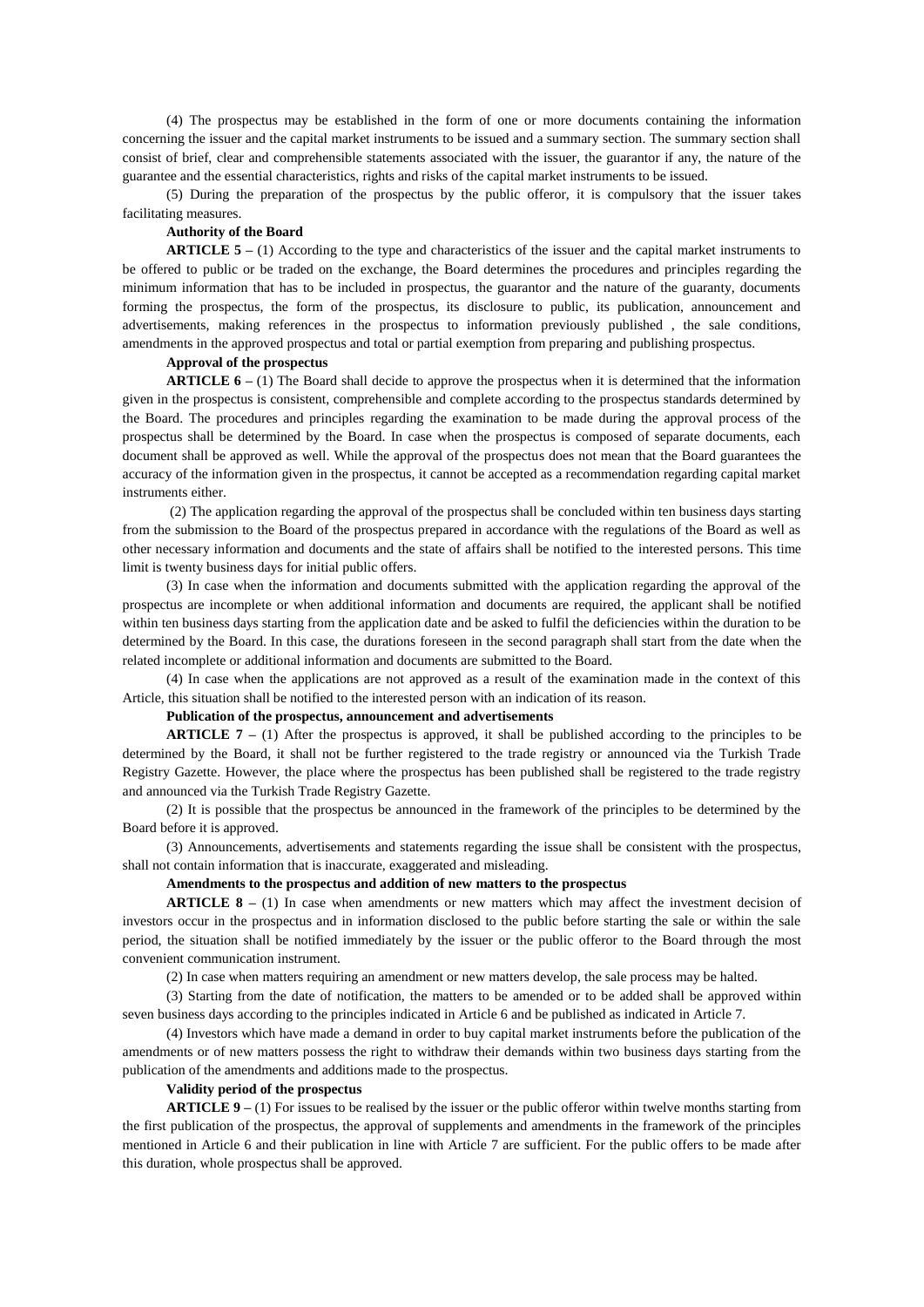(4) The prospectus may be established in the form of one or more documents containing the information concerning the issuer and the capital market instruments to be issued and a summary section. The summary section shall consist of brief, clear and comprehensible statements associated with the issuer, the guarantor if any, the nature of the guarantee and the essential characteristics, rights and risks of the capital market instruments to be issued.

(5) During the preparation of the prospectus by the public offeror, it is compulsory that the issuer takes facilitating measures.

### **Authority of the Board**

**ARTICLE 5 –** (1) According to the type and characteristics of the issuer and the capital market instruments to be offered to public or be traded on the exchange, the Board determines the procedures and principles regarding the minimum information that has to be included in prospectus, the guarantor and the nature of the guaranty, documents forming the prospectus, the form of the prospectus, its disclosure to public, its publication, announcement and advertisements, making references in the prospectus to information previously published , the sale conditions, amendments in the approved prospectus and total or partial exemption from preparing and publishing prospectus.

# **Approval of the prospectus**

**ARTICLE 6 –** (1) The Board shall decide to approve the prospectus when it is determined that the information given in the prospectus is consistent, comprehensible and complete according to the prospectus standards determined by the Board. The procedures and principles regarding the examination to be made during the approval process of the prospectus shall be determined by the Board. In case when the prospectus is composed of separate documents, each document shall be approved as well. While the approval of the prospectus does not mean that the Board guarantees the accuracy of the information given in the prospectus, it cannot be accepted as a recommendation regarding capital market instruments either.

(2) The application regarding the approval of the prospectus shall be concluded within ten business days starting from the submission to the Board of the prospectus prepared in accordance with the regulations of the Board as well as other necessary information and documents and the state of affairs shall be notified to the interested persons. This time limit is twenty business days for initial public offers.

(3) In case when the information and documents submitted with the application regarding the approval of the prospectus are incomplete or when additional information and documents are required, the applicant shall be notified within ten business days starting from the application date and be asked to fulfil the deficiencies within the duration to be determined by the Board. In this case, the durations foreseen in the second paragraph shall start from the date when the related incomplete or additional information and documents are submitted to the Board.

(4) In case when the applications are not approved as a result of the examination made in the context of this Article, this situation shall be notified to the interested person with an indication of its reason.

#### **Publication of the prospectus, announcement and advertisements**

**ARTICLE 7 –** (1) After the prospectus is approved, it shall be published according to the principles to be determined by the Board, it shall not be further registered to the trade registry or announced via the Turkish Trade Registry Gazette. However, the place where the prospectus has been published shall be registered to the trade registry and announced via the Turkish Trade Registry Gazette.

(2) It is possible that the prospectus be announced in the framework of the principles to be determined by the Board before it is approved.

(3) Announcements, advertisements and statements regarding the issue shall be consistent with the prospectus, shall not contain information that is inaccurate, exaggerated and misleading.

#### **Amendments to the prospectus and addition of new matters to the prospectus**

**ARTICLE 8 –** (1) In case when amendments or new matters which may affect the investment decision of investors occur in the prospectus and in information disclosed to the public before starting the sale or within the sale period, the situation shall be notified immediately by the issuer or the public offeror to the Board through the most convenient communication instrument.

(2) In case when matters requiring an amendment or new matters develop, the sale process may be halted.

(3) Starting from the date of notification, the matters to be amended or to be added shall be approved within seven business days according to the principles indicated in Article 6 and be published as indicated in Article 7.

(4) Investors which have made a demand in order to buy capital market instruments before the publication of the amendments or of new matters possess the right to withdraw their demands within two business days starting from the publication of the amendments and additions made to the prospectus.

### **Validity period of the prospectus**

**ARTICLE 9 –** (1) For issues to be realised by the issuer or the public offeror within twelve months starting from the first publication of the prospectus, the approval of supplements and amendments in the framework of the principles mentioned in Article 6 and their publication in line with Article 7 are sufficient. For the public offers to be made after this duration, whole prospectus shall be approved.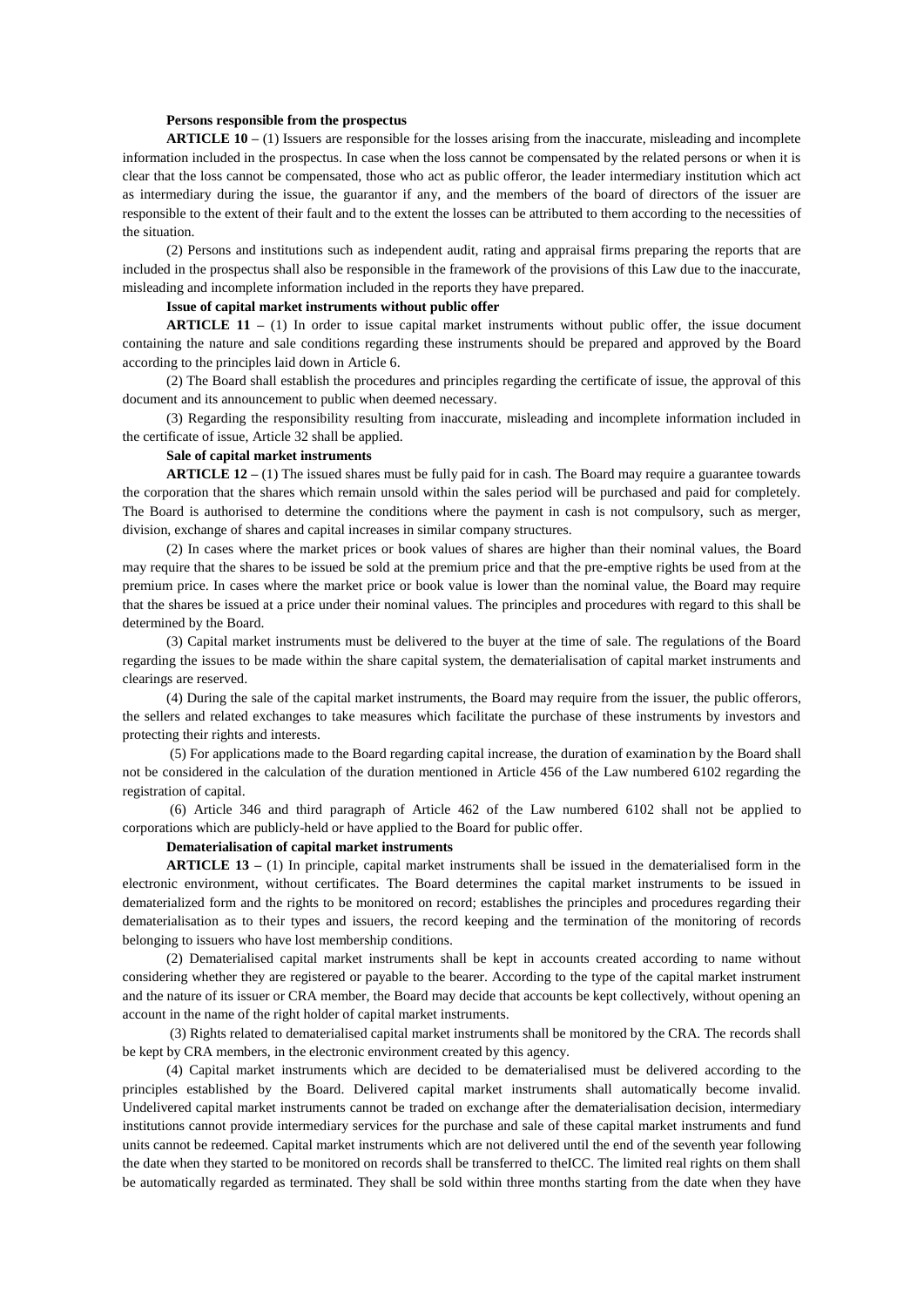#### **Persons responsible from the prospectus**

**ARTICLE 10 –** (1) Issuers are responsible for the losses arising from the inaccurate, misleading and incomplete information included in the prospectus. In case when the loss cannot be compensated by the related persons or when it is clear that the loss cannot be compensated, those who act as public offeror, the leader intermediary institution which act as intermediary during the issue, the guarantor if any, and the members of the board of directors of the issuer are responsible to the extent of their fault and to the extent the losses can be attributed to them according to the necessities of the situation.

(2) Persons and institutions such as independent audit, rating and appraisal firms preparing the reports that are included in the prospectus shall also be responsible in the framework of the provisions of this Law due to the inaccurate, misleading and incomplete information included in the reports they have prepared.

### **Issue of capital market instruments without public offer**

**ARTICLE 11 –** (1) In order to issue capital market instruments without public offer, the issue document containing the nature and sale conditions regarding these instruments should be prepared and approved by the Board according to the principles laid down in Article 6.

(2) The Board shall establish the procedures and principles regarding the certificate of issue, the approval of this document and its announcement to public when deemed necessary.

(3) Regarding the responsibility resulting from inaccurate, misleading and incomplete information included in the certificate of issue, Article 32 shall be applied.

### **Sale of capital market instruments**

**ARTICLE 12 –** (1) The issued shares must be fully paid for in cash. The Board may require a guarantee towards the corporation that the shares which remain unsold within the sales period will be purchased and paid for completely. The Board is authorised to determine the conditions where the payment in cash is not compulsory, such as merger, division, exchange of shares and capital increases in similar company structures.

(2) In cases where the market prices or book values of shares are higher than their nominal values, the Board may require that the shares to be issued be sold at the premium price and that the pre-emptive rights be used from at the premium price. In cases where the market price or book value is lower than the nominal value, the Board may require that the shares be issued at a price under their nominal values. The principles and procedures with regard to this shall be determined by the Board.

(3) Capital market instruments must be delivered to the buyer at the time of sale. The regulations of the Board regarding the issues to be made within the share capital system, the dematerialisation of capital market instruments and clearings are reserved.

(4) During the sale of the capital market instruments, the Board may require from the issuer, the public offerors, the sellers and related exchanges to take measures which facilitate the purchase of these instruments by investors and protecting their rights and interests.

(5) For applications made to the Board regarding capital increase, the duration of examination by the Board shall not be considered in the calculation of the duration mentioned in Article 456 of the Law numbered 6102 regarding the registration of capital.

(6) Article 346 and third paragraph of Article 462 of the Law numbered 6102 shall not be applied to corporations which are publicly-held or have applied to the Board for public offer.

#### **Dematerialisation of capital market instruments**

**ARTICLE 13 –** (1) In principle, capital market instruments shall be issued in the dematerialised form in the electronic environment, without certificates. The Board determines the capital market instruments to be issued in dematerialized form and the rights to be monitored on record; establishes the principles and procedures regarding their dematerialisation as to their types and issuers, the record keeping and the termination of the monitoring of records belonging to issuers who have lost membership conditions.

(2) Dematerialised capital market instruments shall be kept in accounts created according to name without considering whether they are registered or payable to the bearer. According to the type of the capital market instrument and the nature of its issuer or CRA member, the Board may decide that accounts be kept collectively, without opening an account in the name of the right holder of capital market instruments.

(3) Rights related to dematerialised capital market instruments shall be monitored by the CRA. The records shall be kept by CRA members, in the electronic environment created by this agency.

(4) Capital market instruments which are decided to be dematerialised must be delivered according to the principles established by the Board. Delivered capital market instruments shall automatically become invalid. Undelivered capital market instruments cannot be traded on exchange after the dematerialisation decision, intermediary institutions cannot provide intermediary services for the purchase and sale of these capital market instruments and fund units cannot be redeemed. Capital market instruments which are not delivered until the end of the seventh year following the date when they started to be monitored on records shall be transferred to theICC. The limited real rights on them shall be automatically regarded as terminated. They shall be sold within three months starting from the date when they have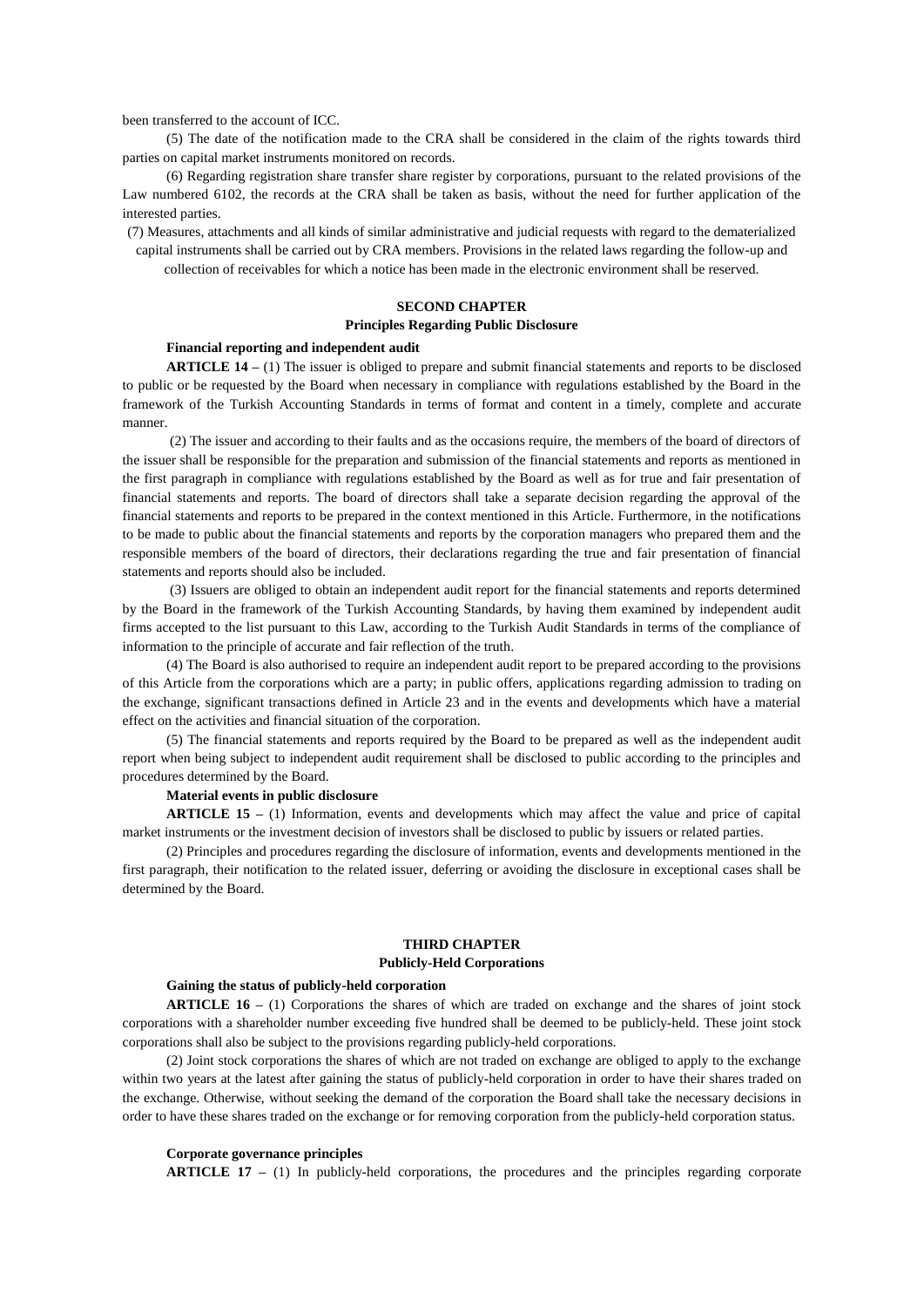been transferred to the account of ICC.

(5) The date of the notification made to the CRA shall be considered in the claim of the rights towards third parties on capital market instruments monitored on records.

(6) Regarding registration share transfer share register by corporations, pursuant to the related provisions of the Law numbered 6102, the records at the CRA shall be taken as basis, without the need for further application of the interested parties.

(7) Measures, attachments and all kinds of similar administrative and judicial requests with regard to the dematerialized capital instruments shall be carried out by CRA members. Provisions in the related laws regarding the follow-up and collection of receivables for which a notice has been made in the electronic environment shall be reserved.

## **SECOND CHAPTER**

#### **Principles Regarding Public Disclosure**

## **Financial reporting and independent audit**

**ARTICLE 14 –** (1) The issuer is obliged to prepare and submit financial statements and reports to be disclosed to public or be requested by the Board when necessary in compliance with regulations established by the Board in the framework of the Turkish Accounting Standards in terms of format and content in a timely, complete and accurate manner.

(2) The issuer and according to their faults and as the occasions require, the members of the board of directors of the issuer shall be responsible for the preparation and submission of the financial statements and reports as mentioned in the first paragraph in compliance with regulations established by the Board as well as for true and fair presentation of financial statements and reports. The board of directors shall take a separate decision regarding the approval of the financial statements and reports to be prepared in the context mentioned in this Article. Furthermore, in the notifications to be made to public about the financial statements and reports by the corporation managers who prepared them and the responsible members of the board of directors, their declarations regarding the true and fair presentation of financial statements and reports should also be included.

(3) Issuers are obliged to obtain an independent audit report for the financial statements and reports determined by the Board in the framework of the Turkish Accounting Standards, by having them examined by independent audit firms accepted to the list pursuant to this Law, according to the Turkish Audit Standards in terms of the compliance of information to the principle of accurate and fair reflection of the truth.

(4) The Board is also authorised to require an independent audit report to be prepared according to the provisions of this Article from the corporations which are a party; in public offers, applications regarding admission to trading on the exchange, significant transactions defined in Article 23 and in the events and developments which have a material effect on the activities and financial situation of the corporation.

(5) The financial statements and reports required by the Board to be prepared as well as the independent audit report when being subject to independent audit requirement shall be disclosed to public according to the principles and procedures determined by the Board.

### **Material events in public disclosure**

**ARTICLE 15 –** (1) Information, events and developments which may affect the value and price of capital market instruments or the investment decision of investors shall be disclosed to public by issuers or related parties.

(2) Principles and procedures regarding the disclosure of information, events and developments mentioned in the first paragraph, their notification to the related issuer, deferring or avoiding the disclosure in exceptional cases shall be determined by the Board.

### **THIRD CHAPTER**

### **Publicly-Held Corporations**

### **Gaining the status of publicly-held corporation**

**ARTICLE 16 –** (1) Corporations the shares of which are traded on exchange and the shares of joint stock corporations with a shareholder number exceeding five hundred shall be deemed to be publicly-held. These joint stock corporations shall also be subject to the provisions regarding publicly-held corporations.

(2) Joint stock corporations the shares of which are not traded on exchange are obliged to apply to the exchange within two years at the latest after gaining the status of publicly-held corporation in order to have their shares traded on the exchange. Otherwise, without seeking the demand of the corporation the Board shall take the necessary decisions in order to have these shares traded on the exchange or for removing corporation from the publicly-held corporation status.

### **Corporate governance principles**

**ARTICLE 17 –** (1) In publicly-held corporations, the procedures and the principles regarding corporate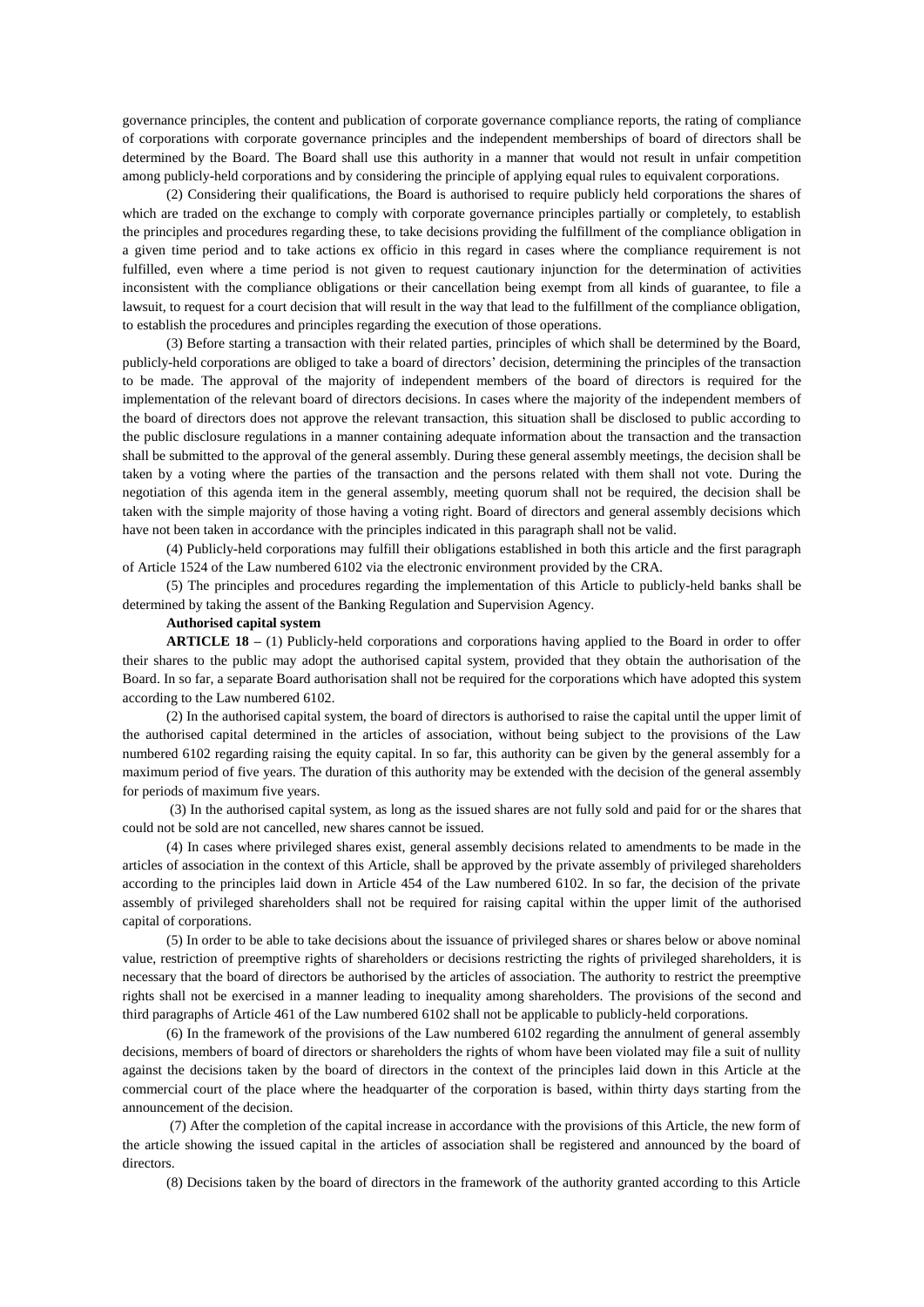governance principles, the content and publication of corporate governance compliance reports, the rating of compliance of corporations with corporate governance principles and the independent memberships of board of directors shall be determined by the Board. The Board shall use this authority in a manner that would not result in unfair competition among publicly-held corporations and by considering the principle of applying equal rules to equivalent corporations.

(2) Considering their qualifications, the Board is authorised to require publicly held corporations the shares of which are traded on the exchange to comply with corporate governance principles partially or completely, to establish the principles and procedures regarding these, to take decisions providing the fulfillment of the compliance obligation in a given time period and to take actions ex officio in this regard in cases where the compliance requirement is not fulfilled, even where a time period is not given to request cautionary injunction for the determination of activities inconsistent with the compliance obligations or their cancellation being exempt from all kinds of guarantee, to file a lawsuit, to request for a court decision that will result in the way that lead to the fulfillment of the compliance obligation, to establish the procedures and principles regarding the execution of those operations.

(3) Before starting a transaction with their related parties, principles of which shall be determined by the Board, publicly-held corporations are obliged to take a board of directors' decision, determining the principles of the transaction to be made. The approval of the majority of independent members of the board of directors is required for the implementation of the relevant board of directors decisions. In cases where the majority of the independent members of the board of directors does not approve the relevant transaction, this situation shall be disclosed to public according to the public disclosure regulations in a manner containing adequate information about the transaction and the transaction shall be submitted to the approval of the general assembly. During these general assembly meetings, the decision shall be taken by a voting where the parties of the transaction and the persons related with them shall not vote. During the negotiation of this agenda item in the general assembly, meeting quorum shall not be required, the decision shall be taken with the simple majority of those having a voting right. Board of directors and general assembly decisions which have not been taken in accordance with the principles indicated in this paragraph shall not be valid.

(4) Publicly-held corporations may fulfill their obligations established in both this article and the first paragraph of Article 1524 of the Law numbered 6102 via the electronic environment provided by the CRA.

(5) The principles and procedures regarding the implementation of this Article to publicly-held banks shall be determined by taking the assent of the Banking Regulation and Supervision Agency.

### **Authorised capital system**

**ARTICLE 18 –** (1) Publicly-held corporations and corporations having applied to the Board in order to offer their shares to the public may adopt the authorised capital system, provided that they obtain the authorisation of the Board. In so far, a separate Board authorisation shall not be required for the corporations which have adopted this system according to the Law numbered 6102.

(2) In the authorised capital system, the board of directors is authorised to raise the capital until the upper limit of the authorised capital determined in the articles of association, without being subject to the provisions of the Law numbered 6102 regarding raising the equity capital. In so far, this authority can be given by the general assembly for a maximum period of five years. The duration of this authority may be extended with the decision of the general assembly for periods of maximum five years.

(3) In the authorised capital system, as long as the issued shares are not fully sold and paid for or the shares that could not be sold are not cancelled, new shares cannot be issued.

(4) In cases where privileged shares exist, general assembly decisions related to amendments to be made in the articles of association in the context of this Article, shall be approved by the private assembly of privileged shareholders according to the principles laid down in Article 454 of the Law numbered 6102. In so far, the decision of the private assembly of privileged shareholders shall not be required for raising capital within the upper limit of the authorised capital of corporations.

(5) In order to be able to take decisions about the issuance of privileged shares or shares below or above nominal value, restriction of preemptive rights of shareholders or decisions restricting the rights of privileged shareholders, it is necessary that the board of directors be authorised by the articles of association. The authority to restrict the preemptive rights shall not be exercised in a manner leading to inequality among shareholders. The provisions of the second and third paragraphs of Article 461 of the Law numbered 6102 shall not be applicable to publicly-held corporations.

(6) In the framework of the provisions of the Law numbered 6102 regarding the annulment of general assembly decisions, members of board of directors or shareholders the rights of whom have been violated may file a suit of nullity against the decisions taken by the board of directors in the context of the principles laid down in this Article at the commercial court of the place where the headquarter of the corporation is based, within thirty days starting from the announcement of the decision.

(7) After the completion of the capital increase in accordance with the provisions of this Article, the new form of the article showing the issued capital in the articles of association shall be registered and announced by the board of directors.

(8) Decisions taken by the board of directors in the framework of the authority granted according to this Article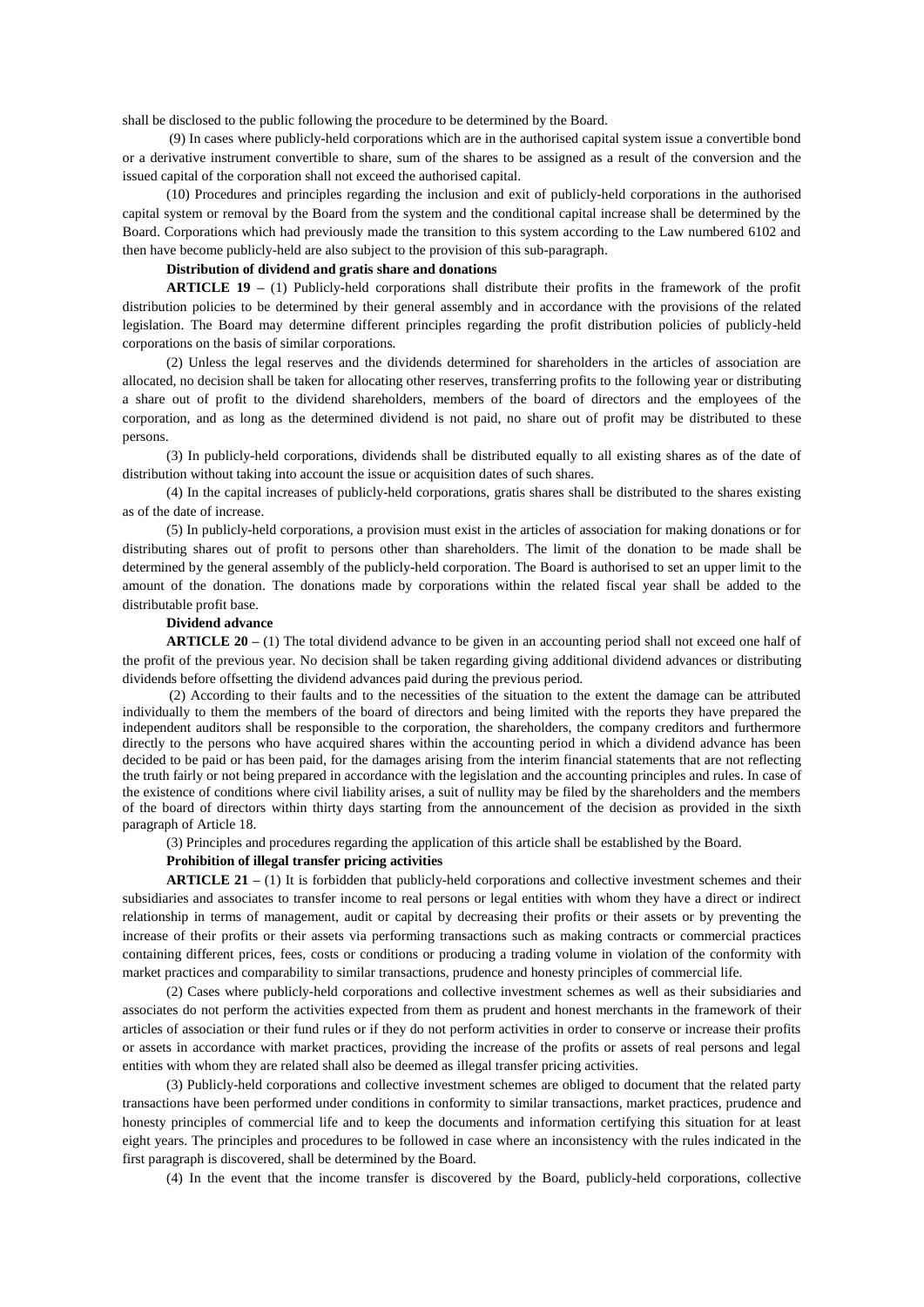shall be disclosed to the public following the procedure to be determined by the Board.

(9) In cases where publicly-held corporations which are in the authorised capital system issue a convertible bond or a derivative instrument convertible to share, sum of the shares to be assigned as a result of the conversion and the issued capital of the corporation shall not exceed the authorised capital.

(10) Procedures and principles regarding the inclusion and exit of publicly-held corporations in the authorised capital system or removal by the Board from the system and the conditional capital increase shall be determined by the Board. Corporations which had previously made the transition to this system according to the Law numbered 6102 and then have become publicly-held are also subject to the provision of this sub-paragraph.

### **Distribution of dividend and gratis share and donations**

**ARTICLE 19 –** (1) Publicly-held corporations shall distribute their profits in the framework of the profit distribution policies to be determined by their general assembly and in accordance with the provisions of the related legislation. The Board may determine different principles regarding the profit distribution policies of publicly-held corporations on the basis of similar corporations.

(2) Unless the legal reserves and the dividends determined for shareholders in the articles of association are allocated, no decision shall be taken for allocating other reserves, transferring profits to the following year or distributing a share out of profit to the dividend shareholders, members of the board of directors and the employees of the corporation, and as long as the determined dividend is not paid, no share out of profit may be distributed to these persons.

(3) In publicly-held corporations, dividends shall be distributed equally to all existing shares as of the date of distribution without taking into account the issue or acquisition dates of such shares.

(4) In the capital increases of publicly-held corporations, gratis shares shall be distributed to the shares existing as of the date of increase.

(5) In publicly-held corporations, a provision must exist in the articles of association for making donations or for distributing shares out of profit to persons other than shareholders. The limit of the donation to be made shall be determined by the general assembly of the publicly-held corporation. The Board is authorised to set an upper limit to the amount of the donation. The donations made by corporations within the related fiscal year shall be added to the distributable profit base.

### **Dividend advance**

**ARTICLE 20 –** (1) The total dividend advance to be given in an accounting period shall not exceed one half of the profit of the previous year. No decision shall be taken regarding giving additional dividend advances or distributing dividends before offsetting the dividend advances paid during the previous period.

(2) According to their faults and to the necessities of the situation to the extent the damage can be attributed individually to them the members of the board of directors and being limited with the reports they have prepared the independent auditors shall be responsible to the corporation, the shareholders, the company creditors and furthermore directly to the persons who have acquired shares within the accounting period in which a dividend advance has been decided to be paid or has been paid, for the damages arising from the interim financial statements that are not reflecting the truth fairly or not being prepared in accordance with the legislation and the accounting principles and rules. In case of the existence of conditions where civil liability arises, a suit of nullity may be filed by the shareholders and the members of the board of directors within thirty days starting from the announcement of the decision as provided in the sixth paragraph of Article 18.

(3) Principles and procedures regarding the application of this article shall be established by the Board.

#### **Prohibition of illegal transfer pricing activities**

**ARTICLE 21 –** (1) It is forbidden that publicly-held corporations and collective investment schemes and their subsidiaries and associates to transfer income to real persons or legal entities with whom they have a direct or indirect relationship in terms of management, audit or capital by decreasing their profits or their assets or by preventing the increase of their profits or their assets via performing transactions such as making contracts or commercial practices containing different prices, fees, costs or conditions or producing a trading volume in violation of the conformity with market practices and comparability to similar transactions, prudence and honesty principles of commercial life.

(2) Cases where publicly-held corporations and collective investment schemes as well as their subsidiaries and associates do not perform the activities expected from them as prudent and honest merchants in the framework of their articles of association or their fund rules or if they do not perform activities in order to conserve or increase their profits or assets in accordance with market practices, providing the increase of the profits or assets of real persons and legal entities with whom they are related shall also be deemed as illegal transfer pricing activities.

(3) Publicly-held corporations and collective investment schemes are obliged to document that the related party transactions have been performed under conditions in conformity to similar transactions, market practices, prudence and honesty principles of commercial life and to keep the documents and information certifying this situation for at least eight years. The principles and procedures to be followed in case where an inconsistency with the rules indicated in the first paragraph is discovered, shall be determined by the Board.

(4) In the event that the income transfer is discovered by the Board, publicly-held corporations, collective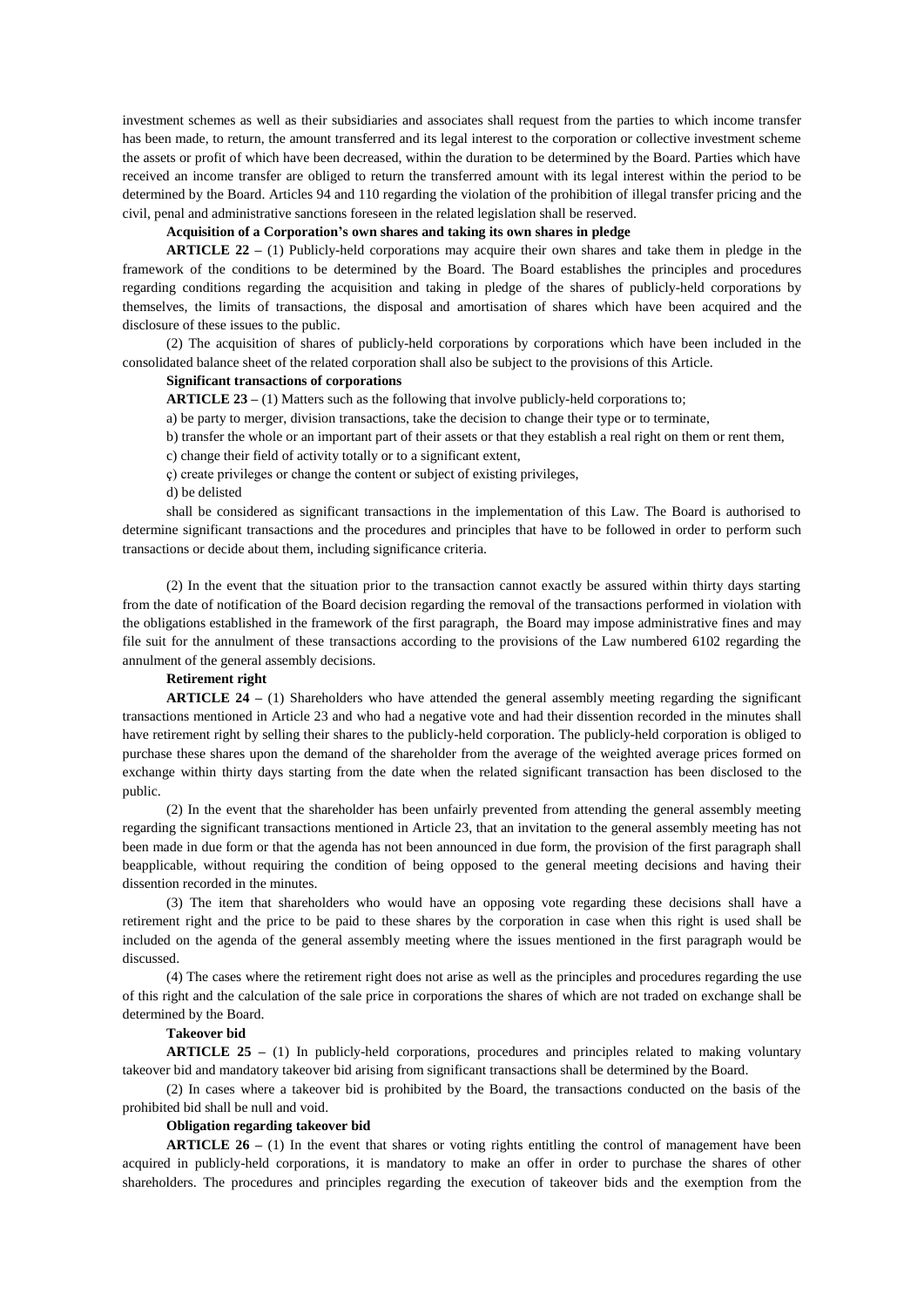investment schemes as well as their subsidiaries and associates shall request from the parties to which income transfer has been made, to return, the amount transferred and its legal interest to the corporation or collective investment scheme the assets or profit of which have been decreased, within the duration to be determined by the Board. Parties which have received an income transfer are obliged to return the transferred amount with its legal interest within the period to be determined by the Board. Articles 94 and 110 regarding the violation of the prohibition of illegal transfer pricing and the civil, penal and administrative sanctions foreseen in the related legislation shall be reserved.

## **Acquisition of a Corporation's own shares and taking its own shares in pledge**

**ARTICLE 22 –** (1) Publicly-held corporations may acquire their own shares and take them in pledge in the framework of the conditions to be determined by the Board. The Board establishes the principles and procedures regarding conditions regarding the acquisition and taking in pledge of the shares of publicly-held corporations by themselves, the limits of transactions, the disposal and amortisation of shares which have been acquired and the disclosure of these issues to the public.

(2) The acquisition of shares of publicly-held corporations by corporations which have been included in the consolidated balance sheet of the related corporation shall also be subject to the provisions of this Article.

# **Significant transactions of corporations**

**ARTICLE 23 –** (1) Matters such as the following that involve publicly-held corporations to;

a) be party to merger, division transactions, take the decision to change their type or to terminate,

b) transfer the whole or an important part of their assets or that they establish a real right on them or rent them,

- c) change their field of activity totally or to a significant extent,
- ç) create privileges or change the content or subject of existing privileges,

d) be delisted

shall be considered as significant transactions in the implementation of this Law. The Board is authorised to determine significant transactions and the procedures and principles that have to be followed in order to perform such transactions or decide about them, including significance criteria.

(2) In the event that the situation prior to the transaction cannot exactly be assured within thirty days starting from the date of notification of the Board decision regarding the removal of the transactions performed in violation with the obligations established in the framework of the first paragraph, the Board may impose administrative fines and may file suit for the annulment of these transactions according to the provisions of the Law numbered 6102 regarding the annulment of the general assembly decisions.

### **Retirement right**

**ARTICLE 24 –** (1) Shareholders who have attended the general assembly meeting regarding the significant transactions mentioned in Article 23 and who had a negative vote and had their dissention recorded in the minutes shall have retirement right by selling their shares to the publicly-held corporation. The publicly-held corporation is obliged to purchase these shares upon the demand of the shareholder from the average of the weighted average prices formed on exchange within thirty days starting from the date when the related significant transaction has been disclosed to the public.

(2) In the event that the shareholder has been unfairly prevented from attending the general assembly meeting regarding the significant transactions mentioned in Article 23, that an invitation to the general assembly meeting has not been made in due form or that the agenda has not been announced in due form, the provision of the first paragraph shall beapplicable, without requiring the condition of being opposed to the general meeting decisions and having their dissention recorded in the minutes.

(3) The item that shareholders who would have an opposing vote regarding these decisions shall have a retirement right and the price to be paid to these shares by the corporation in case when this right is used shall be included on the agenda of the general assembly meeting where the issues mentioned in the first paragraph would be discussed.

(4) The cases where the retirement right does not arise as well as the principles and procedures regarding the use of this right and the calculation of the sale price in corporations the shares of which are not traded on exchange shall be determined by the Board.

### **Takeover bid**

**ARTICLE 25 –** (1) In publicly-held corporations, procedures and principles related to making voluntary takeover bid and mandatory takeover bid arising from significant transactions shall be determined by the Board.

(2) In cases where a takeover bid is prohibited by the Board, the transactions conducted on the basis of the prohibited bid shall be null and void.

#### **Obligation regarding takeover bid**

**ARTICLE 26** – (1) In the event that shares or voting rights entitling the control of management have been acquired in publicly-held corporations, it is mandatory to make an offer in order to purchase the shares of other shareholders. The procedures and principles regarding the execution of takeover bids and the exemption from the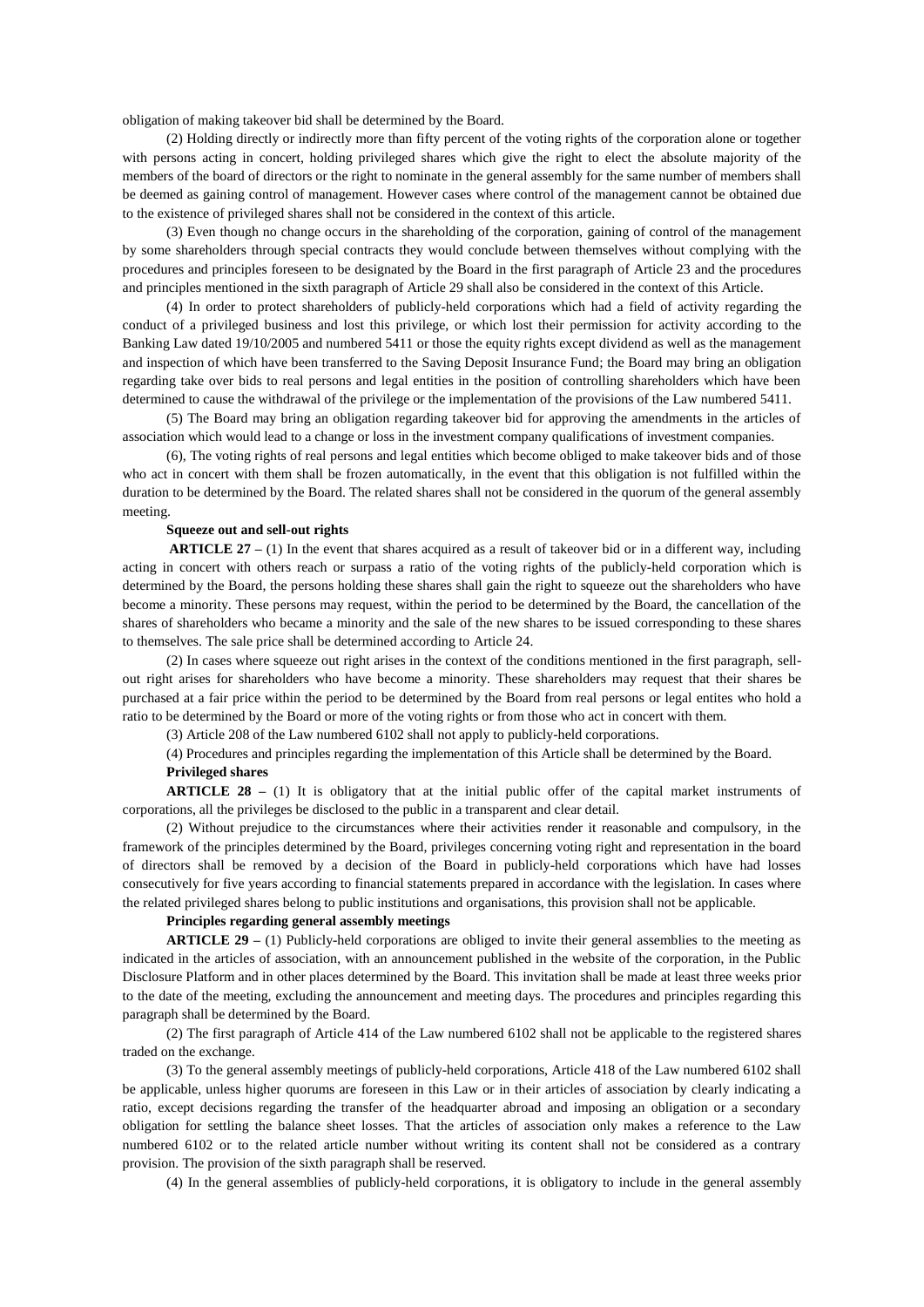obligation of making takeover bid shall be determined by the Board.

(2) Holding directly or indirectly more than fifty percent of the voting rights of the corporation alone or together with persons acting in concert, holding privileged shares which give the right to elect the absolute majority of the members of the board of directors or the right to nominate in the general assembly for the same number of members shall be deemed as gaining control of management. However cases where control of the management cannot be obtained due to the existence of privileged shares shall not be considered in the context of this article.

(3) Even though no change occurs in the shareholding of the corporation, gaining of control of the management by some shareholders through special contracts they would conclude between themselves without complying with the procedures and principles foreseen to be designated by the Board in the first paragraph of Article 23 and the procedures and principles mentioned in the sixth paragraph of Article 29 shall also be considered in the context of this Article.

(4) In order to protect shareholders of publicly-held corporations which had a field of activity regarding the conduct of a privileged business and lost this privilege, or which lost their permission for activity according to the Banking Law dated 19/10/2005 and numbered 5411 or those the equity rights except dividend as well as the management and inspection of which have been transferred to the Saving Deposit Insurance Fund; the Board may bring an obligation regarding take over bids to real persons and legal entities in the position of controlling shareholders which have been determined to cause the withdrawal of the privilege or the implementation of the provisions of the Law numbered 5411.

(5) The Board may bring an obligation regarding takeover bid for approving the amendments in the articles of association which would lead to a change or loss in the investment company qualifications of investment companies.

(6), The voting rights of real persons and legal entities which become obliged to make takeover bids and of those who act in concert with them shall be frozen automatically, in the event that this obligation is not fulfilled within the duration to be determined by the Board. The related shares shall not be considered in the quorum of the general assembly meeting.

#### **Squeeze out and sell-out rights**

**ARTICLE 27** – (1) In the event that shares acquired as a result of takeover bid or in a different way, including acting in concert with others reach or surpass a ratio of the voting rights of the publicly-held corporation which is determined by the Board, the persons holding these shares shall gain the right to squeeze out the shareholders who have become a minority. These persons may request, within the period to be determined by the Board, the cancellation of the shares of shareholders who became a minority and the sale of the new shares to be issued corresponding to these shares to themselves. The sale price shall be determined according to Article 24.

(2) In cases where squeeze out right arises in the context of the conditions mentioned in the first paragraph, sellout right arises for shareholders who have become a minority. These shareholders may request that their shares be purchased at a fair price within the period to be determined by the Board from real persons or legal entites who hold a ratio to be determined by the Board or more of the voting rights or from those who act in concert with them.

(3) Article 208 of the Law numbered 6102 shall not apply to publicly-held corporations.

(4) Procedures and principles regarding the implementation of this Article shall be determined by the Board. **Privileged shares**

**ARTICLE 28 –** (1) It is obligatory that at the initial public offer of the capital market instruments of corporations, all the privileges be disclosed to the public in a transparent and clear detail.

(2) Without prejudice to the circumstances where their activities render it reasonable and compulsory, in the framework of the principles determined by the Board, privileges concerning voting right and representation in the board of directors shall be removed by a decision of the Board in publicly-held corporations which have had losses consecutively for five years according to financial statements prepared in accordance with the legislation. In cases where the related privileged shares belong to public institutions and organisations, this provision shall not be applicable.

### **Principles regarding general assembly meetings**

**ARTICLE 29 –** (1) Publicly-held corporations are obliged to invite their general assemblies to the meeting as indicated in the articles of association, with an announcement published in the website of the corporation, in the Public Disclosure Platform and in other places determined by the Board. This invitation shall be made at least three weeks prior to the date of the meeting, excluding the announcement and meeting days. The procedures and principles regarding this paragraph shall be determined by the Board.

(2) The first paragraph of Article 414 of the Law numbered 6102 shall not be applicable to the registered shares traded on the exchange.

(3) To the general assembly meetings of publicly-held corporations, Article 418 of the Law numbered 6102 shall be applicable, unless higher quorums are foreseen in this Law or in their articles of association by clearly indicating a ratio, except decisions regarding the transfer of the headquarter abroad and imposing an obligation or a secondary obligation for settling the balance sheet losses. That the articles of association only makes a reference to the Law numbered 6102 or to the related article number without writing its content shall not be considered as a contrary provision. The provision of the sixth paragraph shall be reserved.

(4) In the general assemblies of publicly-held corporations, it is obligatory to include in the general assembly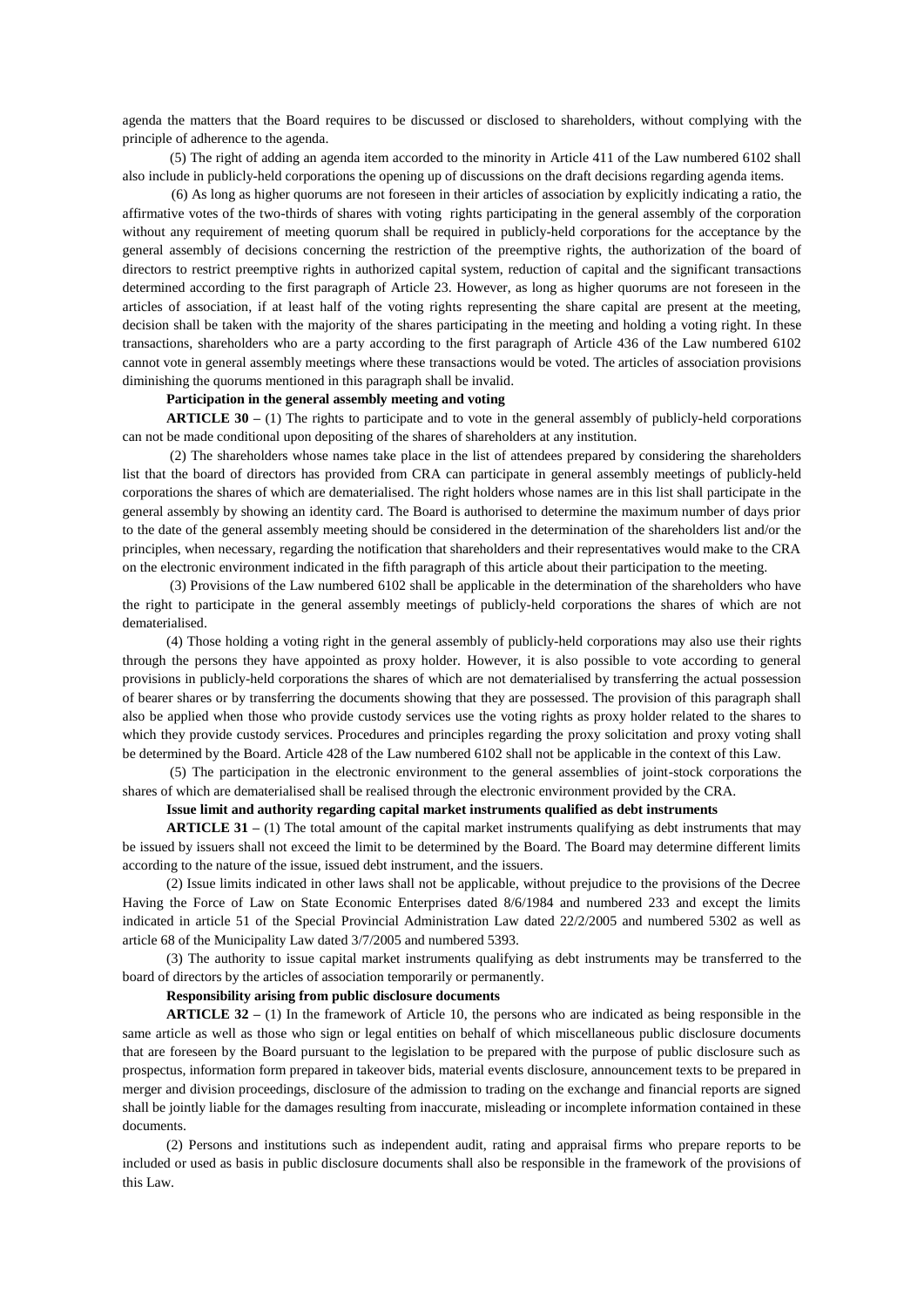agenda the matters that the Board requires to be discussed or disclosed to shareholders, without complying with the principle of adherence to the agenda.

(5) The right of adding an agenda item accorded to the minority in Article 411 of the Law numbered 6102 shall also include in publicly-held corporations the opening up of discussions on the draft decisions regarding agenda items.

 (6) As long as higher quorums are not foreseen in their articles of association by explicitly indicating a ratio, the affirmative votes of the two-thirds of shares with voting rights participating in the general assembly of the corporation without any requirement of meeting quorum shall be required in publicly-held corporations for the acceptance by the general assembly of decisions concerning the restriction of the preemptive rights, the authorization of the board of directors to restrict preemptive rights in authorized capital system, reduction of capital and the significant transactions determined according to the first paragraph of Article 23. However, as long as higher quorums are not foreseen in the articles of association, if at least half of the voting rights representing the share capital are present at the meeting, decision shall be taken with the majority of the shares participating in the meeting and holding a voting right. In these transactions, shareholders who are a party according to the first paragraph of Article 436 of the Law numbered 6102 cannot vote in general assembly meetings where these transactions would be voted. The articles of association provisions diminishing the quorums mentioned in this paragraph shall be invalid.

### **Participation in the general assembly meeting and voting**

**ARTICLE 30 –** (1) The rights to participate and to vote in the general assembly of publicly-held corporations can not be made conditional upon depositing of the shares of shareholders at any institution.

(2) The shareholders whose names take place in the list of attendees prepared by considering the shareholders list that the board of directors has provided from CRA can participate in general assembly meetings of publicly-held corporations the shares of which are dematerialised. The right holders whose names are in this list shall participate in the general assembly by showing an identity card. The Board is authorised to determine the maximum number of days prior to the date of the general assembly meeting should be considered in the determination of the shareholders list and/or the principles, when necessary, regarding the notification that shareholders and their representatives would make to the CRA on the electronic environment indicated in the fifth paragraph of this article about their participation to the meeting.

(3) Provisions of the Law numbered 6102 shall be applicable in the determination of the shareholders who have the right to participate in the general assembly meetings of publicly-held corporations the shares of which are not dematerialised.

(4) Those holding a voting right in the general assembly of publicly-held corporations may also use their rights through the persons they have appointed as proxy holder. However, it is also possible to vote according to general provisions in publicly-held corporations the shares of which are not dematerialised by transferring the actual possession of bearer shares or by transferring the documents showing that they are possessed. The provision of this paragraph shall also be applied when those who provide custody services use the voting rights as proxy holder related to the shares to which they provide custody services. Procedures and principles regarding the [proxy solicitation](http://tureng.com/search/proxy%20solicitation) and proxy voting shall be determined by the Board. Article 428 of the Law numbered 6102 shall not be applicable in the context of this Law.

(5) The participation in the electronic environment to the general assemblies of joint-stock corporations the shares of which are dematerialised shall be realised through the electronic environment provided by the CRA.

#### **Issue limit and authority regarding capital market instruments qualified as debt instruments**

**ARTICLE 31** – (1) The total amount of the capital market instruments qualifying as debt instruments that may be issued by issuers shall not exceed the limit to be determined by the Board. The Board may determine different limits according to the nature of the issue, issued debt instrument, and the issuers.

(2) Issue limits indicated in other laws shall not be applicable, without prejudice to the provisions of the Decree Having the Force of Law on State Economic Enterprises dated 8/6/1984 and numbered 233 and except the limits indicated in article 51 of the Special Provincial Administration Law dated 22/2/2005 and numbered 5302 as well as article 68 of the Municipality Law dated 3/7/2005 and numbered 5393.

(3) The authority to issue capital market instruments qualifying as debt instruments may be transferred to the board of directors by the articles of association temporarily or permanently.

#### **Responsibility arising from public disclosure documents**

**ARTICLE 32 –** (1) In the framework of Article 10, the persons who are indicated as being responsible in the same article as well as those who sign or legal entities on behalf of which miscellaneous public disclosure documents that are foreseen by the Board pursuant to the legislation to be prepared with the purpose of public disclosure such as prospectus, information form prepared in takeover bids, material events disclosure, announcement texts to be prepared in merger and division proceedings, disclosure of the admission to trading on the exchange and financial reports are signed shall be jointly liable for the damages resulting from inaccurate, misleading or incomplete information contained in these documents.

(2) Persons and institutions such as independent audit, rating and appraisal firms who prepare reports to be included or used as basis in public disclosure documents shall also be responsible in the framework of the provisions of this Law.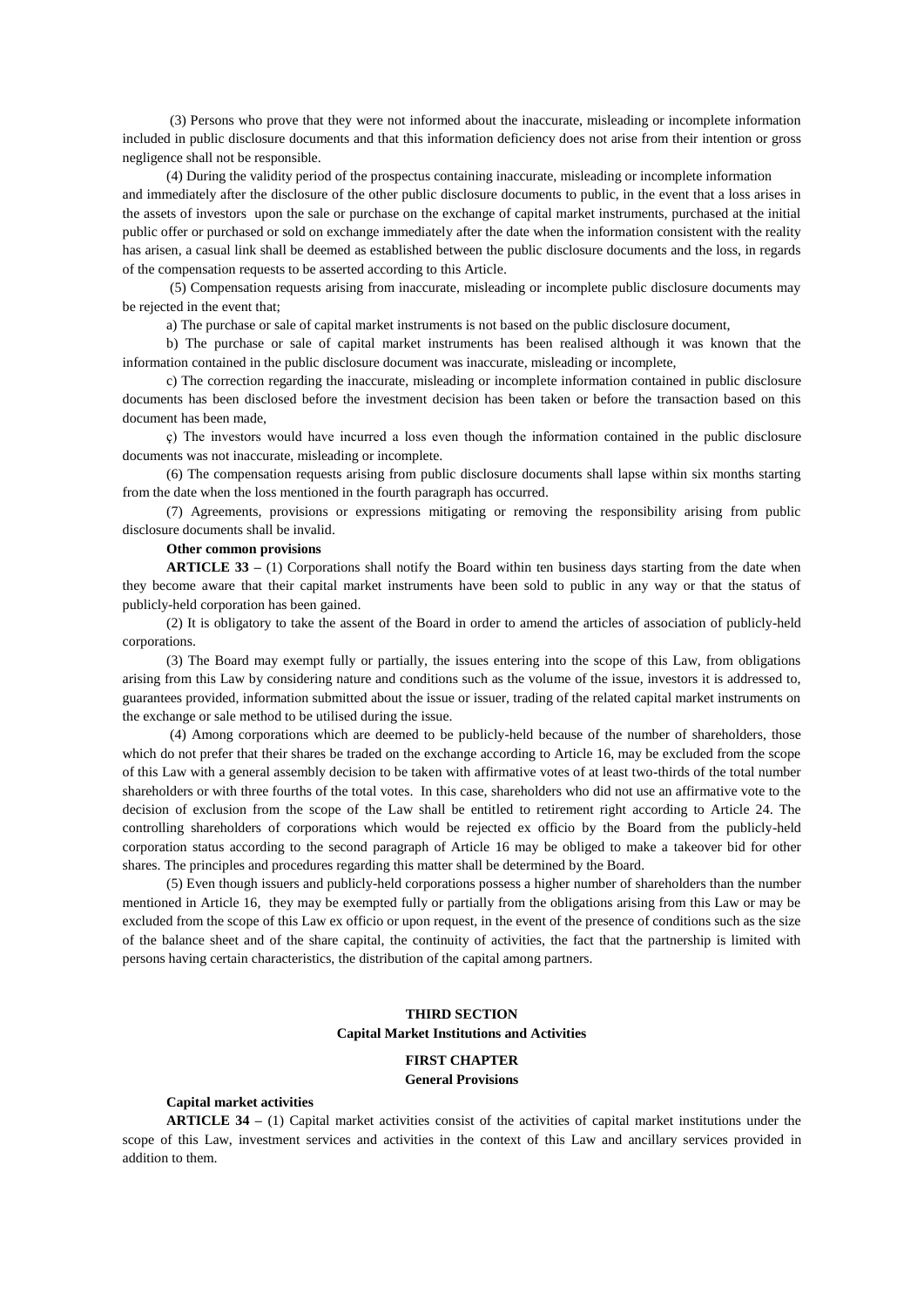(3) Persons who prove that they were not informed about the inaccurate, misleading or incomplete information included in public disclosure documents and that this information deficiency does not arise from their intention or gross negligence shall not be responsible.

(4) During the validity period of the prospectus containing inaccurate, misleading or incomplete information and immediately after the disclosure of the other public disclosure documents to public, in the event that a loss arises in the assets of investors upon the sale or purchase on the exchange of capital market instruments, purchased at the initial public offer or purchased or sold on exchange immediately after the date when the information consistent with the reality has arisen, a casual link shall be deemed as established between the public disclosure documents and the loss, in regards of the compensation requests to be asserted according to this Article.

(5) Compensation requests arising from inaccurate, misleading or incomplete public disclosure documents may be rejected in the event that;

a) The purchase or sale of capital market instruments is not based on the public disclosure document,

b) The purchase or sale of capital market instruments has been realised although it was known that the information contained in the public disclosure document was inaccurate, misleading or incomplete,

c) The correction regarding the inaccurate, misleading or incomplete information contained in public disclosure documents has been disclosed before the investment decision has been taken or before the transaction based on this document has been made,

ç) The investors would have incurred a loss even though the information contained in the public disclosure documents was not inaccurate, misleading or incomplete.

(6) The compensation requests arising from public disclosure documents shall lapse within six months starting from the date when the loss mentioned in the fourth paragraph has occurred.

(7) Agreements, provisions or expressions mitigating or removing the responsibility arising from public disclosure documents shall be invalid.

### **Other common provisions**

**ARTICLE 33** – (1) Corporations shall notify the Board within ten business days starting from the date when they become aware that their capital market instruments have been sold to public in any way or that the status of publicly-held corporation has been gained.

(2) It is obligatory to take the assent of the Board in order to amend the articles of association of publicly-held corporations.

(3) The Board may exempt fully or partially, the issues entering into the scope of this Law, from obligations arising from this Law by considering nature and conditions such as the volume of the issue, investors it is addressed to, guarantees provided, information submitted about the issue or issuer, trading of the related capital market instruments on the exchange or sale method to be utilised during the issue.

(4) Among corporations which are deemed to be publicly-held because of the number of shareholders, those which do not prefer that their shares be traded on the exchange according to Article 16, may be excluded from the scope of this Law with a general assembly decision to be taken with affirmative votes of at least two-thirds of the total number shareholders or with three fourths of the total votes. In this case, shareholders who did not use an affirmative vote to the decision of exclusion from the scope of the Law shall be entitled to retirement right according to Article 24. The controlling shareholders of corporations which would be rejected ex officio by the Board from the publicly-held corporation status according to the second paragraph of Article 16 may be obliged to make a takeover bid for other shares. The principles and procedures regarding this matter shall be determined by the Board.

(5) Even though issuers and publicly-held corporations possess a higher number of shareholders than the number mentioned in Article 16, they may be exempted fully or partially from the obligations arising from this Law or may be excluded from the scope of this Law ex officio or upon request, in the event of the presence of conditions such as the size of the balance sheet and of the share capital, the continuity of activities, the fact that the partnership is limited with persons having certain characteristics, the distribution of the capital among partners.

# **THIRD SECTION Capital Market Institutions and Activities**

# **FIRST CHAPTER General Provisions**

#### **Capital market activities**

**ARTICLE 34 –** (1) Capital market activities consist of the activities of capital market institutions under the scope of this Law, investment services and activities in the context of this Law and ancillary services provided in addition to them.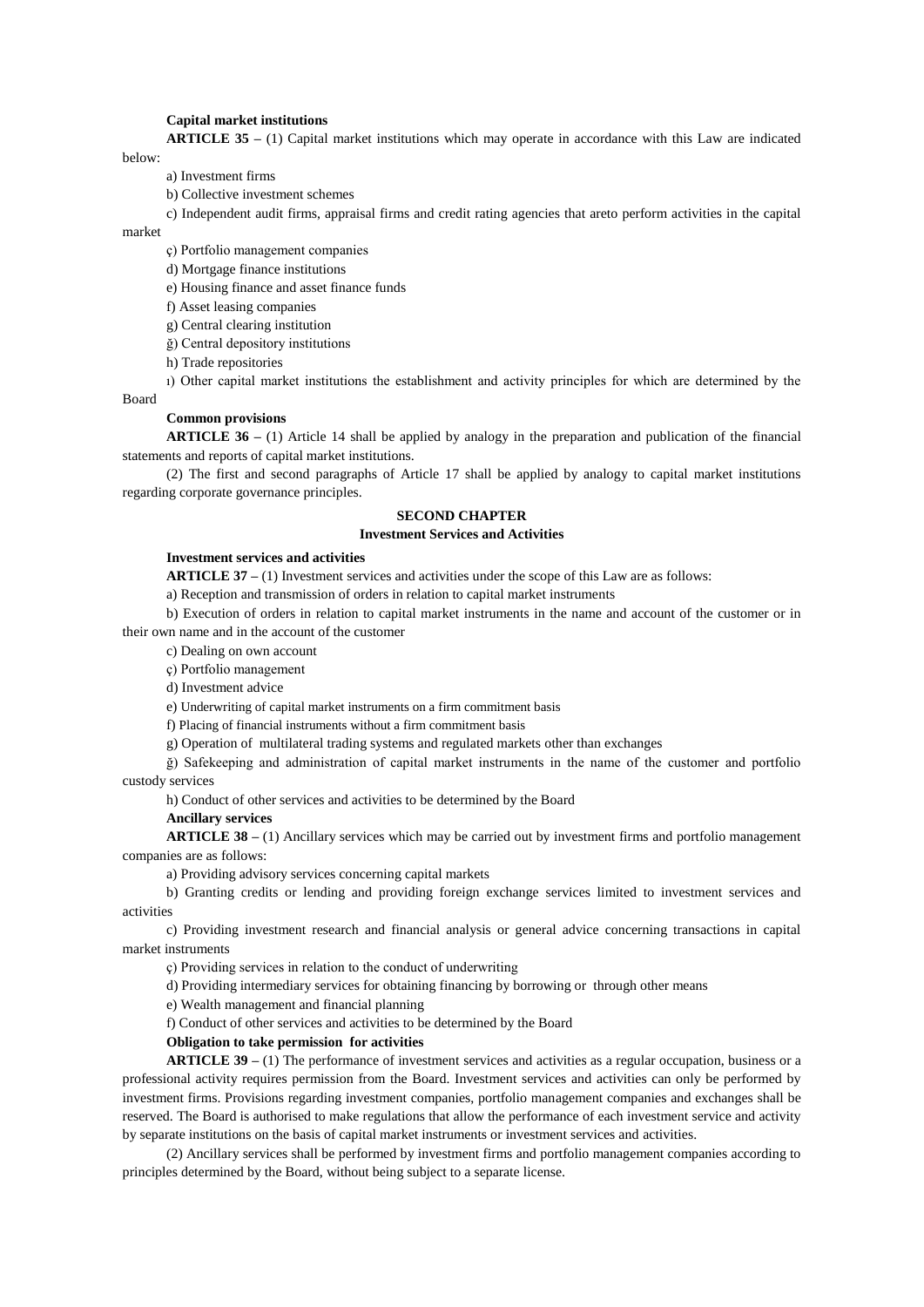#### **Capital market institutions**

**ARTICLE 35 –** (1) Capital market institutions which may operate in accordance with this Law are indicated below:

a) Investment firms

b) Collective investment schemes

c) Independent audit firms, appraisal firms and credit rating agencies that areto perform activities in the capital

market

ç) Portfolio management companies

d) Mortgage finance institutions

e) Housing finance and asset finance funds

f) Asset leasing companies

g) Central clearing institution

ğ) Central depository institutions

h) Trade repositories

ı) Other capital market institutions the establishment and activity principles for which are determined by the

Board

### **Common provisions**

**ARTICLE 36 –** (1) Article 14 shall be applied by analogy in the preparation and publication of the financial statements and reports of capital market institutions.

(2) The first and second paragraphs of Article 17 shall be applied by analogy to capital market institutions regarding corporate governance principles.

# **SECOND CHAPTER**

# **Investment Services and Activities**

### **Investment services and activities**

**ARTICLE 37 –** (1) Investment services and activities under the scope of this Law are as follows:

a) Reception and transmission of orders in relation to capital market instruments

b) Execution of orders in relation to capital market instruments in the name and account of the customer or in their own name and in the account of the customer

c) Dealing on own account

ç) Portfolio management

d) Investment advice

e) Underwriting of capital market instruments on a firm commitment basis

f) Placing of financial instruments without a firm commitment basis

g) Operation of multilateral trading systems and regulated markets other than exchanges

ğ) Safekeeping and administration of capital market instruments in the name of the customer and portfolio custody services

h) Conduct of other services and activities to be determined by the Board

**Ancillary services**

**ARTICLE 38 –** (1) Ancillary services which may be carried out by investment firms and portfolio management companies are as follows:

a) Providing advisory services concerning capital markets

b) Granting credits or lending and providing foreign exchange services limited to investment services and activities

c) Providing investment research and financial analysis or general advice concerning transactions in capital market instruments

ç) Providing services in relation to the conduct of underwriting

d) Providing intermediary services for obtaining financing by borrowing or through other means

e) Wealth management and financial planning

f) Conduct of other services and activities to be determined by the Board

# **Obligation to take permission for activities**

**ARTICLE 39 –** (1) The performance of investment services and activities as a regular occupation, business or a professional activity requires permission from the Board. Investment services and activities can only be performed by investment firms. Provisions regarding investment companies, portfolio management companies and exchanges shall be reserved. The Board is authorised to make regulations that allow the performance of each investment service and activity by separate institutions on the basis of capital market instruments or investment services and activities.

(2) Ancillary services shall be performed by investment firms and portfolio management companies according to principles determined by the Board, without being subject to a separate license.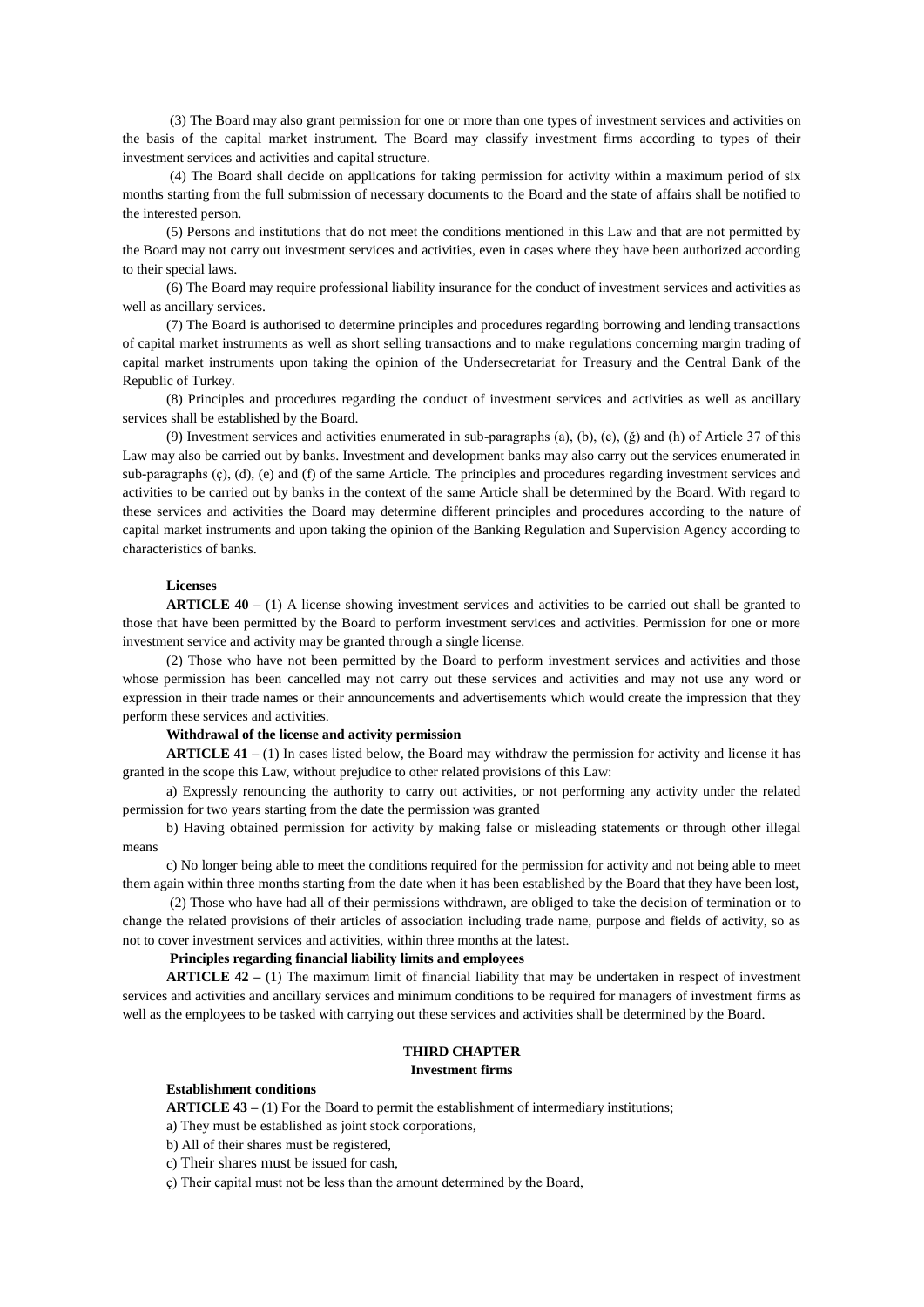(3) The Board may also grant permission for one or more than one types of investment services and activities on the basis of the capital market instrument. The Board may classify investment firms according to types of their investment services and activities and capital structure.

(4) The Board shall decide on applications for taking permission for activity within a maximum period of six months starting from the full submission of necessary documents to the Board and the state of affairs shall be notified to the interested person.

(5) Persons and institutions that do not meet the conditions mentioned in this Law and that are not permitted by the Board may not carry out investment services and activities, even in cases where they have been authorized according to their special laws.

(6) The Board may require professional liability insurance for the conduct of investment services and activities as well as ancillary services.

(7) The Board is authorised to determine principles and procedures regarding borrowing and lending transactions of capital market instruments as well as short selling transactions and to make regulations concerning margin trading of capital market instruments upon taking the opinion of the Undersecretariat for Treasury and the Central Bank of the Republic of Turkey.

(8) Principles and procedures regarding the conduct of investment services and activities as well as ancillary services shall be established by the Board.

(9) Investment services and activities enumerated in sub-paragraphs (a), (b), (c), ( $\check{g}$ ) and (h) of Article 37 of this Law may also be carried out by banks. Investment and development banks may also carry out the services enumerated in sub-paragraphs  $(\varphi)$ ,  $(\varphi)$  and  $(\varphi)$  of the same Article. The principles and procedures regarding investment services and activities to be carried out by banks in the context of the same Article shall be determined by the Board. With regard to these services and activities the Board may determine different principles and procedures according to the nature of capital market instruments and upon taking the opinion of the Banking Regulation and Supervision Agency according to characteristics of banks.

### **Licenses**

**ARTICLE 40 –** (1) A license showing investment services and activities to be carried out shall be granted to those that have been permitted by the Board to perform investment services and activities. Permission for one or more investment service and activity may be granted through a single license.

(2) Those who have not been permitted by the Board to perform investment services and activities and those whose permission has been cancelled may not carry out these services and activities and may not use any word or expression in their trade names or their announcements and advertisements which would create the impression that they perform these services and activities.

### **Withdrawal of the license and activity permission**

**ARTICLE 41 –** (1) In cases listed below, the Board may withdraw the permission for activity and license it has granted in the scope this Law, without prejudice to other related provisions of this Law:

a) Expressly renouncing the authority to carry out activities, or not performing any activity under the related permission for two years starting from the date the permission was granted

b) Having obtained permission for activity by making false or misleading statements or through other illegal means

c) No longer being able to meet the conditions required for the permission for activity and not being able to meet them again within three months starting from the date when it has been established by the Board that they have been lost,

(2) Those who have had all of their permissions withdrawn, are obliged to take the decision of termination or to change the related provisions of their articles of association including trade name, purpose and fields of activity, so as not to cover investment services and activities, within three months at the latest.

### **Principles regarding financial liability limits and employees**

**ARTICLE 42 –** (1) The maximum limit of financial liability that may be undertaken in respect of investment services and activities and ancillary services and minimum conditions to be required for managers of investment firms as well as the employees to be tasked with carrying out these services and activities shall be determined by the Board.

### **THIRD CHAPTER Investment firms**

### **Establishment conditions**

**ARTICLE 43 –** (1) For the Board to permit the establishment of intermediary institutions;

a) They must be established as joint stock corporations,

b) All of their shares must be registered,

c) Their shares must be issued for cash,

ç) Their capital must not be less than the amount determined by the Board,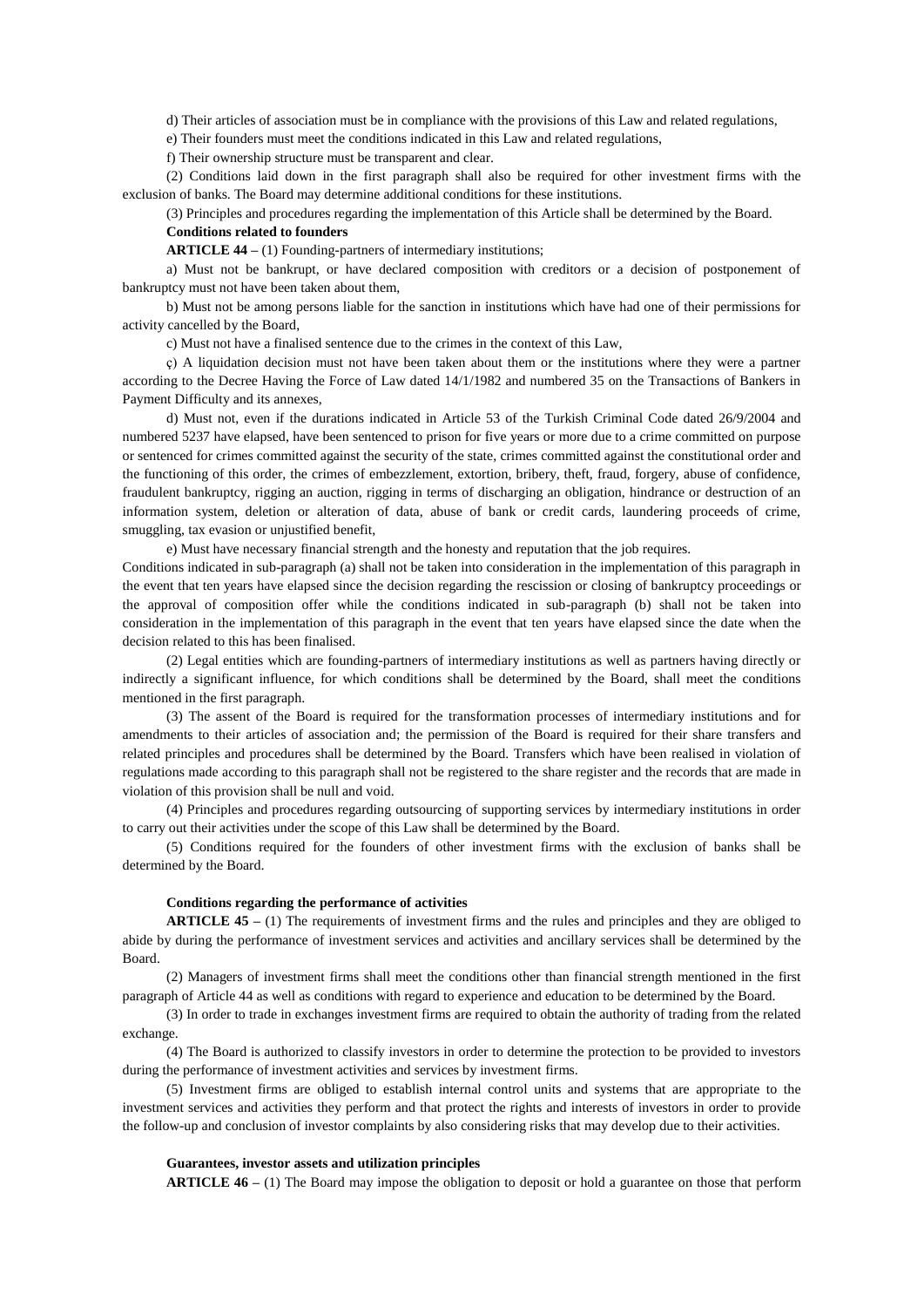d) Their articles of association must be in compliance with the provisions of this Law and related regulations,

e) Their founders must meet the conditions indicated in this Law and related regulations,

f) Their ownership structure must be transparent and clear.

(2) Conditions laid down in the first paragraph shall also be required for other investment firms with the exclusion of banks. The Board may determine additional conditions for these institutions.

(3) Principles and procedures regarding the implementation of this Article shall be determined by the Board. **Conditions related to founders** 

**ARTICLE 44 –** (1) Founding-partners of intermediary institutions;

a) Must not be bankrupt, or have declared composition with creditors or a decision of postponement of bankruptcy must not have been taken about them,

b) Must not be among persons liable for the sanction in institutions which have had one of their permissions for activity cancelled by the Board,

c) Must not have a finalised sentence due to the crimes in the context of this Law,

ç) A liquidation decision must not have been taken about them or the institutions where they were a partner according to the Decree Having the Force of Law dated 14/1/1982 and numbered 35 on the Transactions of Bankers in Payment Difficulty and its annexes,

d) Must not, even if the durations indicated in Article 53 of the Turkish Criminal Code dated 26/9/2004 and numbered 5237 have elapsed, have been sentenced to prison for five years or more due to a crime committed on purpose or sentenced for crimes committed against the security of the state, crimes committed against the constitutional order and the functioning of this order, the crimes of embezzlement, extortion, bribery, theft, fraud, forgery, abuse of confidence, fraudulent bankruptcy, rigging an auction, rigging in terms of discharging an obligation, hindrance or destruction of an information system, deletion or alteration of data, abuse of bank or credit cards, laundering proceeds of crime, smuggling, tax evasion or unjustified benefit,

e) Must have necessary financial strength and the honesty and reputation that the job requires.

Conditions indicated in sub-paragraph (a) shall not be taken into consideration in the implementation of this paragraph in the event that ten years have elapsed since the decision regarding the rescission or closing of bankruptcy proceedings or the approval of composition offer while the conditions indicated in sub-paragraph (b) shall not be taken into consideration in the implementation of this paragraph in the event that ten years have elapsed since the date when the decision related to this has been finalised.

(2) Legal entities which are founding-partners of intermediary institutions as well as partners having directly or indirectly a significant influence, for which conditions shall be determined by the Board, shall meet the conditions mentioned in the first paragraph.

(3) The assent of the Board is required for the transformation processes of intermediary institutions and for amendments to their articles of association and; the permission of the Board is required for their share transfers and related principles and procedures shall be determined by the Board. Transfers which have been realised in violation of regulations made according to this paragraph shall not be registered to the share register and the records that are made in violation of this provision shall be null and void.

(4) Principles and procedures regarding outsourcing of supporting services by intermediary institutions in order to carry out their activities under the scope of this Law shall be determined by the Board.

(5) Conditions required for the founders of other investment firms with the exclusion of banks shall be determined by the Board.

#### **Conditions regarding the performance of activities**

**ARTICLE 45 –** (1) The requirements of investment firms and the rules and principles and they are obliged to abide by during the performance of investment services and activities and ancillary services shall be determined by the Board.

(2) Managers of investment firms shall meet the conditions other than financial strength mentioned in the first paragraph of Article 44 as well as conditions with regard to experience and education to be determined by the Board.

(3) In order to trade in exchanges investment firms are required to obtain the authority of trading from the related exchange.

(4) The Board is authorized to classify investors in order to determine the protection to be provided to investors during the performance of investment activities and services by investment firms.

(5) Investment firms are obliged to establish internal control units and systems that are appropriate to the investment services and activities they perform and that protect the rights and interests of investors in order to provide the follow-up and conclusion of investor complaints by also considering risks that may develop due to their activities.

# **Guarantees, investor assets and utilization principles**

**ARTICLE 46 –** (1) The Board may impose the obligation to deposit or hold a guarantee on those that perform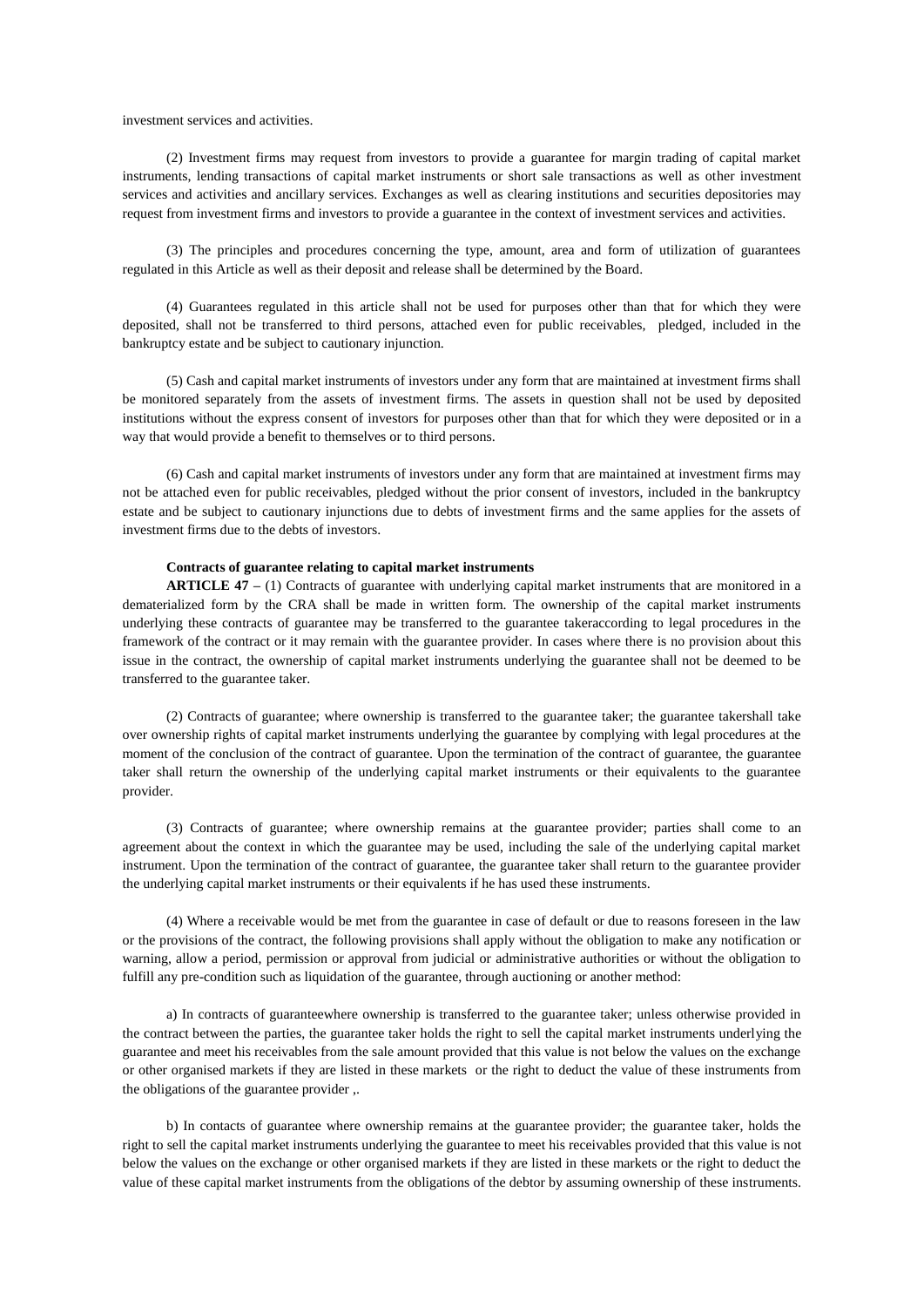investment services and activities.

(2) Investment firms may request from investors to provide a guarantee for margin trading of capital market instruments, lending transactions of capital market instruments or short sale transactions as well as other investment services and activities and ancillary services. Exchanges as well as clearing institutions and securities depositories may request from investment firms and investors to provide a guarantee in the context of investment services and activities.

(3) The principles and procedures concerning the type, amount, area and form of utilization of guarantees regulated in this Article as well as their deposit and release shall be determined by the Board.

(4) Guarantees regulated in this article shall not be used for purposes other than that for which they were deposited, shall not be transferred to third persons, attached even for public receivables, pledged, included in the bankruptcy estate and be subject to cautionary injunction.

(5) Cash and capital market instruments of investors under any form that are maintained at investment firms shall be monitored separately from the assets of investment firms. The assets in question shall not be used by deposited institutions without the express consent of investors for purposes other than that for which they were deposited or in a way that would provide a benefit to themselves or to third persons.

(6) Cash and capital market instruments of investors under any form that are maintained at investment firms may not be attached even for public receivables, pledged without the prior consent of investors, included in the bankruptcy estate and be subject to cautionary injunctions due to debts of investment firms and the same applies for the assets of investment firms due to the debts of investors.

## **Contracts of guarantee relating to capital market instruments**

**ARTICLE 47 –** (1) Contracts of guarantee with underlying capital market instruments that are monitored in a dematerialized form by the CRA shall be made in written form. The ownership of the capital market instruments underlying these contracts of guarantee may be transferred to the guarantee takeraccording to legal procedures in the framework of the contract or it may remain with the guarantee provider. In cases where there is no provision about this issue in the contract, the ownership of capital market instruments underlying the guarantee shall not be deemed to be transferred to the guarantee taker.

(2) Contracts of guarantee; where ownership is transferred to the guarantee taker; the guarantee takershall take over ownership rights of capital market instruments underlying the guarantee by complying with legal procedures at the moment of the conclusion of the contract of guarantee. Upon the termination of the contract of guarantee, the guarantee taker shall return the ownership of the underlying capital market instruments or their equivalents to the guarantee provider.

(3) Contracts of guarantee; where ownership remains at the guarantee provider; parties shall come to an agreement about the context in which the guarantee may be used, including the sale of the underlying capital market instrument. Upon the termination of the contract of guarantee, the guarantee taker shall return to the guarantee provider the underlying capital market instruments or their equivalents if he has used these instruments.

(4) Where a receivable would be met from the guarantee in case of default or due to reasons foreseen in the law or the provisions of the contract, the following provisions shall apply without the obligation to make any notification or warning, allow a period, permission or approval from judicial or administrative authorities or without the obligation to fulfill any pre-condition such as liquidation of the guarantee, through auctioning or another method:

a) In contracts of guaranteewhere ownership is transferred to the guarantee taker; unless otherwise provided in the contract between the parties, the guarantee taker holds the right to sell the capital market instruments underlying the guarantee and meet his receivables from the sale amount provided that this value is not below the values on the exchange or other organised markets if they are listed in these markets or the right to deduct the value of these instruments from the obligations of the guarantee provider ,.

b) In contacts of guarantee where ownership remains at the guarantee provider; the guarantee taker, holds the right to sell the capital market instruments underlying the guarantee to meet his receivables provided that this value is not below the values on the exchange or other organised markets if they are listed in these markets or the right to deduct the value of these capital market instruments from the obligations of the debtor by assuming ownership of these instruments.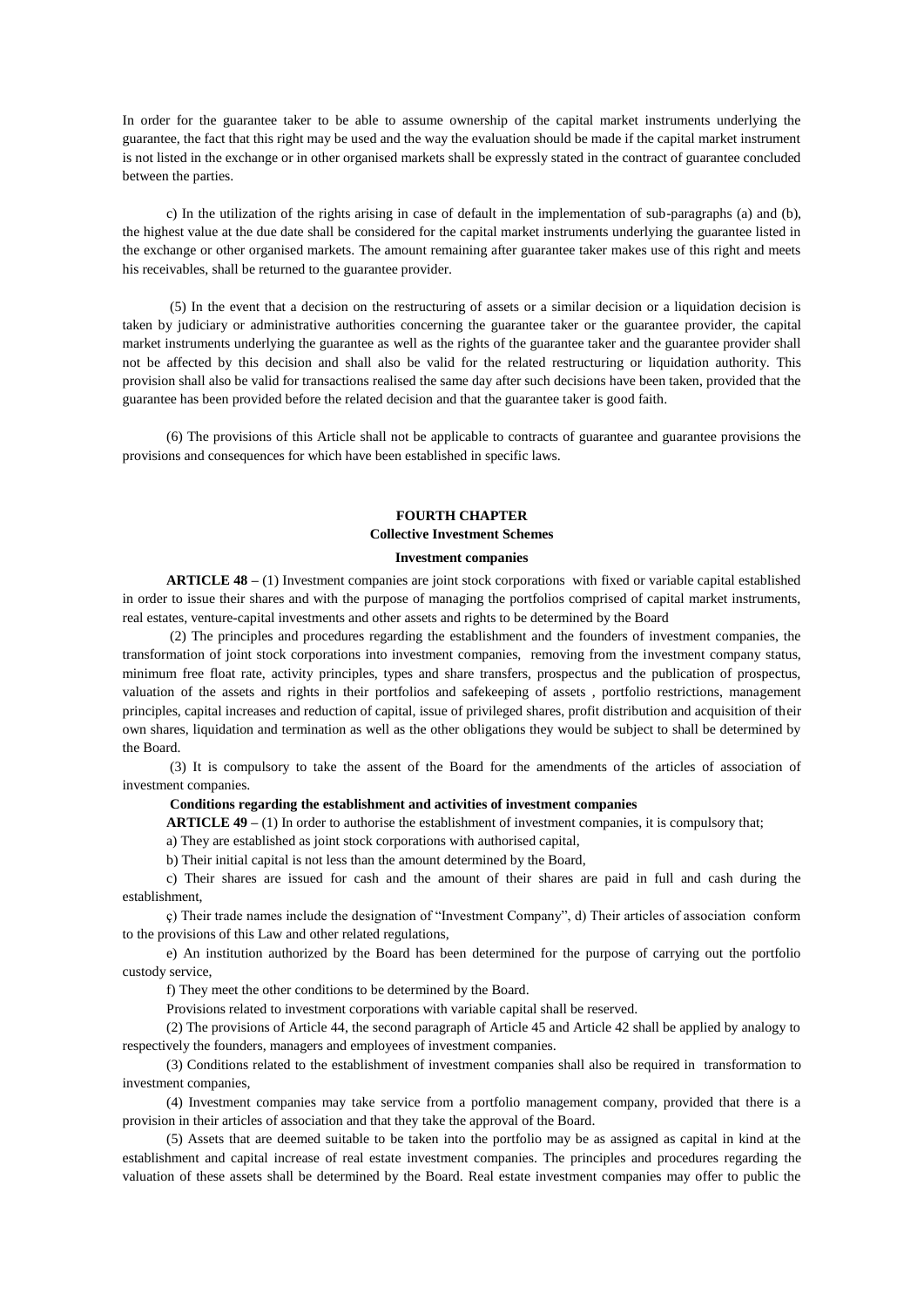In order for the guarantee taker to be able to assume ownership of the capital market instruments underlying the guarantee, the fact that this right may be used and the way the evaluation should be made if the capital market instrument is not listed in the exchange or in other organised markets shall be expressly stated in the contract of guarantee concluded between the parties.

c) In the utilization of the rights arising in case of default in the implementation of sub-paragraphs (a) and (b), the highest value at the due date shall be considered for the capital market instruments underlying the guarantee listed in the exchange or other organised markets. The amount remaining after guarantee taker makes use of this right and meets his receivables, shall be returned to the guarantee provider.

(5) In the event that a decision on the restructuring of assets or a similar decision or a liquidation decision is taken by judiciary or administrative authorities concerning the guarantee taker or the guarantee provider, the capital market instruments underlying the guarantee as well as the rights of the guarantee taker and the guarantee provider shall not be affected by this decision and shall also be valid for the related restructuring or liquidation authority. This provision shall also be valid for transactions realised the same day after such decisions have been taken, provided that the guarantee has been provided before the related decision and that the guarantee taker is good faith.

(6) The provisions of this Article shall not be applicable to contracts of guarantee and guarantee provisions the provisions and consequences for which have been established in specific laws.

# **FOURTH CHAPTER**

# **Collective Investment Schemes**

### **Investment companies**

**ARTICLE 48 –** (1) Investment companies are joint stock corporations with fixed or variable capital established in order to issue their shares and with the purpose of managing the portfolios comprised of capital market instruments, real estates, venture-capital investments and other assets and rights to be determined by the Board

(2) The principles and procedures regarding the establishment and the founders of investment companies, the transformation of joint stock corporations into investment companies, removing from the investment company status, minimum free float rate, activity principles, types and share transfers, prospectus and the publication of prospectus, valuation of the assets and rights in their portfolios and safekeeping of assets , portfolio restrictions, management principles, capital increases and reduction of capital, issue of privileged shares, profit distribution and acquisition of their own shares, liquidation and termination as well as the other obligations they would be subject to shall be determined by the Board.

(3) It is compulsory to take the assent of the Board for the amendments of the articles of association of investment companies.

### **Conditions regarding the establishment and activities of investment companies**

**ARTICLE 49 –** (1) In order to authorise the establishment of investment companies, it is compulsory that;

a) They are established as joint stock corporations with authorised capital,

b) Their initial capital is not less than the amount determined by the Board,

c) Their shares are issued for cash and the amount of their shares are paid in full and cash during the establishment,

ç) Their trade names include the designation of "Investment Company", d) Their articles of association conform to the provisions of this Law and other related regulations,

e) An institution authorized by the Board has been determined for the purpose of carrying out the portfolio custody service,

f) They meet the other conditions to be determined by the Board.

Provisions related to investment corporations with variable capital shall be reserved.

(2) The provisions of Article 44, the second paragraph of Article 45 and Article 42 shall be applied by analogy to respectively the founders, managers and employees of investment companies.

(3) Conditions related to the establishment of investment companies shall also be required in transformation to investment companies,

(4) Investment companies may take service from a portfolio management company, provided that there is a provision in their articles of association and that they take the approval of the Board.

(5) Assets that are deemed suitable to be taken into the portfolio may be as assigned as capital in kind at the establishment and capital increase of real estate investment companies. The principles and procedures regarding the valuation of these assets shall be determined by the Board. Real estate investment companies may offer to public the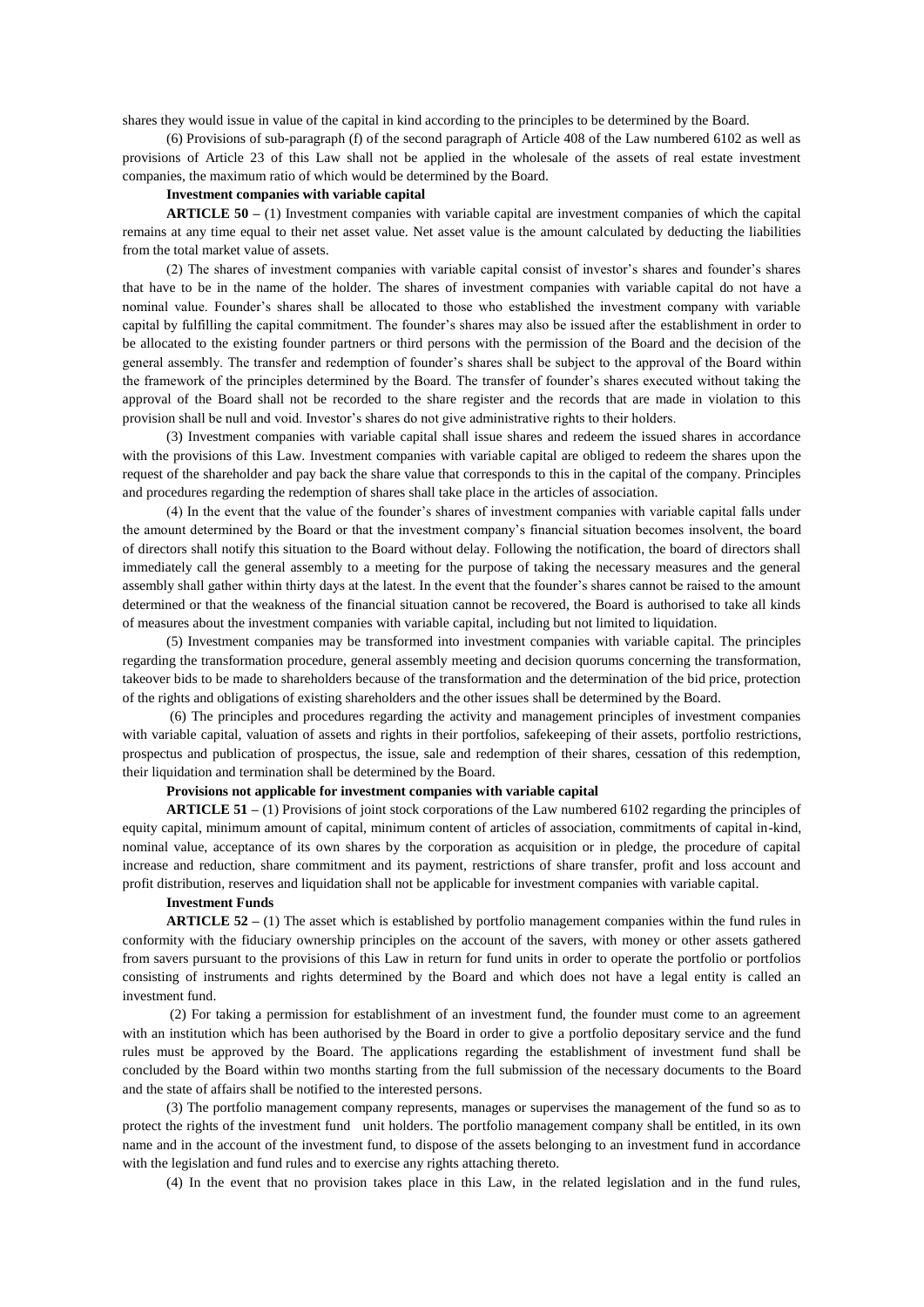shares they would issue in value of the capital in kind according to the principles to be determined by the Board.

(6) Provisions of sub-paragraph (f) of the second paragraph of Article 408 of the Law numbered 6102 as well as provisions of Article 23 of this Law shall not be applied in the wholesale of the assets of real estate investment companies, the maximum ratio of which would be determined by the Board.

### **Investment companies with variable capital**

**ARTICLE 50 –** (1) Investment companies with variable capital are investment companies of which the capital remains at any time equal to their net asset value. Net asset value is the amount calculated by deducting the liabilities from the total market value of assets.

(2) The shares of investment companies with variable capital consist of investor's shares and founder's shares that have to be in the name of the holder. The shares of investment companies with variable capital do not have a nominal value. Founder's shares shall be allocated to those who established the investment company with variable capital by fulfilling the capital commitment. The founder's shares may also be issued after the establishment in order to be allocated to the existing founder partners or third persons with the permission of the Board and the decision of the general assembly. The transfer and redemption of founder's shares shall be subject to the approval of the Board within the framework of the principles determined by the Board. The transfer of founder's shares executed without taking the approval of the Board shall not be recorded to the share register and the records that are made in violation to this provision shall be null and void. Investor's shares do not give administrative rights to their holders.

(3) Investment companies with variable capital shall issue shares and redeem the issued shares in accordance with the provisions of this Law. Investment companies with variable capital are obliged to redeem the shares upon the request of the shareholder and pay back the share value that corresponds to this in the capital of the company. Principles and procedures regarding the redemption of shares shall take place in the articles of association.

(4) In the event that the value of the founder's shares of investment companies with variable capital falls under the amount determined by the Board or that the investment company's financial situation becomes insolvent, the board of directors shall notify this situation to the Board without delay. Following the notification, the board of directors shall immediately call the general assembly to a meeting for the purpose of taking the necessary measures and the general assembly shall gather within thirty days at the latest. In the event that the founder's shares cannot be raised to the amount determined or that the weakness of the financial situation cannot be recovered, the Board is authorised to take all kinds of measures about the investment companies with variable capital, including but not limited to liquidation.

(5) Investment companies may be transformed into investment companies with variable capital. The principles regarding the transformation procedure, general assembly meeting and decision quorums concerning the transformation, takeover bids to be made to shareholders because of the transformation and the determination of the bid price, protection of the rights and obligations of existing shareholders and the other issues shall be determined by the Board.

(6) The principles and procedures regarding the activity and management principles of investment companies with variable capital, valuation of assets and rights in their portfolios, safekeeping of their assets, portfolio restrictions, prospectus and publication of prospectus, the issue, sale and redemption of their shares, cessation of this redemption, their liquidation and termination shall be determined by the Board.

### **Provisions not applicable for investment companies with variable capital**

**ARTICLE 51 –** (1) Provisions of joint stock corporations of the Law numbered 6102 regarding the principles of equity capital, minimum amount of capital, minimum content of articles of association, commitments of capital in-kind, nominal value, acceptance of its own shares by the corporation as acquisition or in pledge, the procedure of capital increase and reduction, share commitment and its payment, restrictions of share transfer, profit and loss account and profit distribution, reserves and liquidation shall not be applicable for investment companies with variable capital.

### **Investment Funds**

**ARTICLE 52 –** (1) The asset which is established by portfolio management companies within the fund rules in conformity with the fiduciary ownership principles on the account of the savers, with money or other assets gathered from savers pursuant to the provisions of this Law in return for fund units in order to operate the portfolio or portfolios consisting of instruments and rights determined by the Board and which does not have a legal entity is called an investment fund.

(2) For taking a permission for establishment of an investment fund, the founder must come to an agreement with an institution which has been authorised by the Board in order to give a portfolio depositary service and the fund rules must be approved by the Board. The applications regarding the establishment of investment fund shall be concluded by the Board within two months starting from the full submission of the necessary documents to the Board and the state of affairs shall be notified to the interested persons.

(3) The portfolio management company represents, manages or supervises the management of the fund so as to protect the rights of the investment fund unit holders. The portfolio management company shall be entitled, in its own name and in the account of the investment fund, to dispose of the assets belonging to an investment fund in accordance with the legislation and fund rules and to exercise any rights attaching thereto.

(4) In the event that no provision takes place in this Law, in the related legislation and in the fund rules,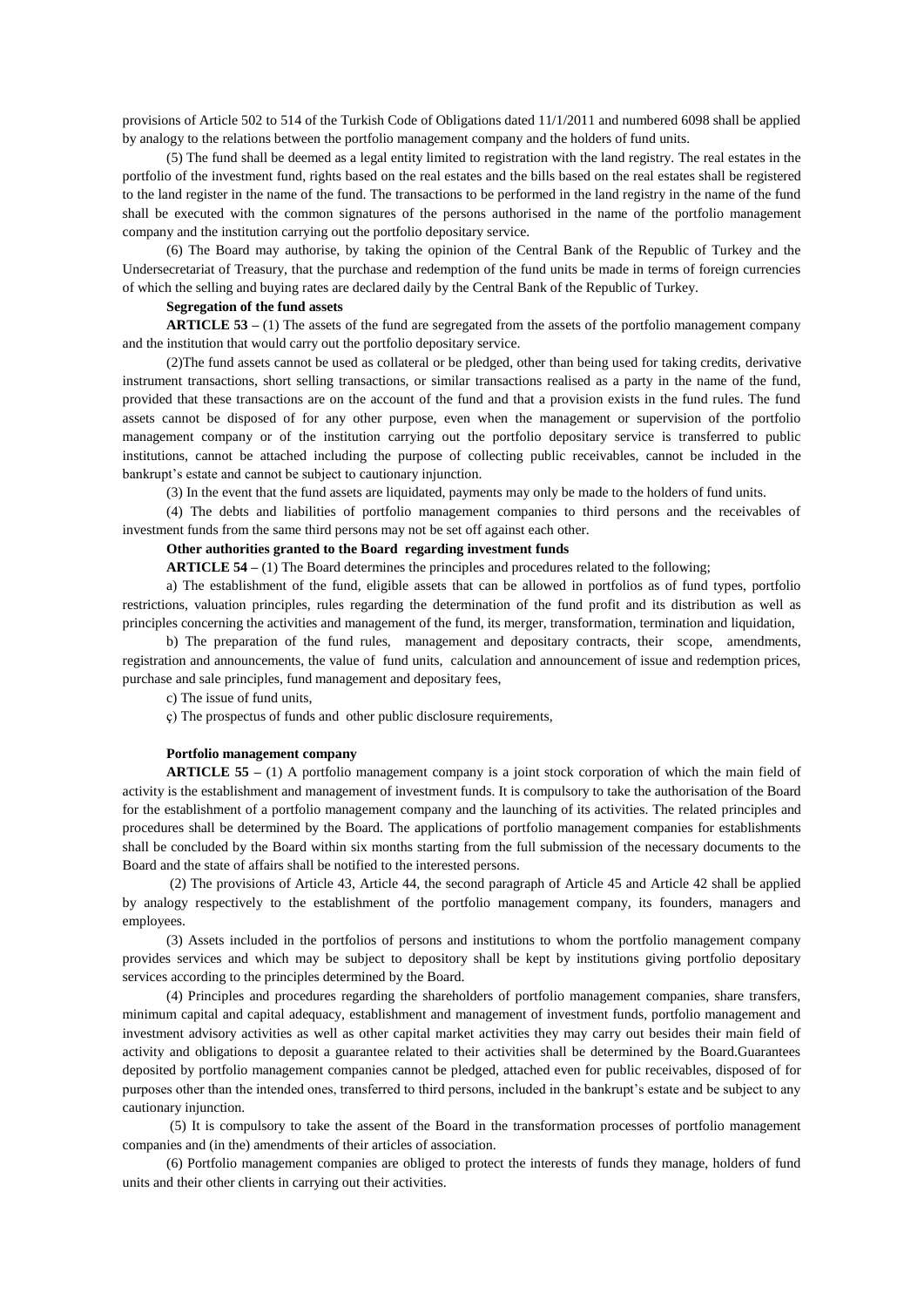provisions of Article 502 to 514 of the Turkish Code of Obligations dated 11/1/2011 and numbered 6098 shall be applied by analogy to the relations between the portfolio management company and the holders of fund units.

(5) The fund shall be deemed as a legal entity limited to registration with the land registry. The real estates in the portfolio of the investment fund, rights based on the real estates and the bills based on the real estates shall be registered to the land register in the name of the fund. The transactions to be performed in the land registry in the name of the fund shall be executed with the common signatures of the persons authorised in the name of the portfolio management company and the institution carrying out the portfolio depositary service.

(6) The Board may authorise, by taking the opinion of the Central Bank of the Republic of Turkey and the Undersecretariat of Treasury, that the purchase and redemption of the fund units be made in terms of foreign currencies of which the selling and buying rates are declared daily by the Central Bank of the Republic of Turkey.

### **Segregation of the fund assets**

**ARTICLE 53** – (1) The assets of the fund are segregated from the assets of the portfolio management company and the institution that would carry out the portfolio depositary service.

(2)The fund assets cannot be used as collateral or be pledged, other than being used for taking credits, derivative instrument transactions, short selling transactions, or similar transactions realised as a party in the name of the fund, provided that these transactions are on the account of the fund and that a provision exists in the fund rules. The fund assets cannot be disposed of for any other purpose, even when the management or supervision of the portfolio management company or of the institution carrying out the portfolio depositary service is transferred to public institutions, cannot be attached including the purpose of collecting public receivables, cannot be included in the bankrupt's estate and cannot be subject to cautionary injunction.

(3) In the event that the fund assets are liquidated, payments may only be made to the holders of fund units.

(4) The debts and liabilities of portfolio management companies to third persons and the receivables of investment funds from the same third persons may not be set off against each other.

### **Other authorities granted to the Board regarding investment funds**

**ARTICLE 54 –** (1) The Board determines the principles and procedures related to the following;

a) The establishment of the fund, eligible assets that can be allowed in portfolios as of fund types, portfolio restrictions, valuation principles, rules regarding the determination of the fund profit and its distribution as well as principles concerning the activities and management of the fund, its merger, transformation, termination and liquidation,

b) The preparation of the fund rules, management and depositary contracts, their scope, amendments, registration and announcements, the value of fund units, calculation and announcement of issue and redemption prices, purchase and sale principles, fund management and depositary fees,

c) The issue of fund units,

ç) The prospectus of funds and other public disclosure requirements,

#### **Portfolio management company**

**ARTICLE 55 –** (1) A portfolio management company is a joint stock corporation of which the main field of activity is the establishment and management of investment funds. It is compulsory to take the authorisation of the Board for the establishment of a portfolio management company and the launching of its activities. The related principles and procedures shall be determined by the Board. The applications of portfolio management companies for establishments shall be concluded by the Board within six months starting from the full submission of the necessary documents to the Board and the state of affairs shall be notified to the interested persons.

(2) The provisions of Article 43, Article 44, the second paragraph of Article 45 and Article 42 shall be applied by analogy respectively to the establishment of the portfolio management company, its founders, managers and employees.

(3) Assets included in the portfolios of persons and institutions to whom the portfolio management company provides services and which may be subject to depository shall be kept by institutions giving portfolio depositary services according to the principles determined by the Board.

(4) Principles and procedures regarding the shareholders of portfolio management companies, share transfers, minimum capital and capital adequacy, establishment and management of investment funds, portfolio management and investment advisory activities as well as other capital market activities they may carry out besides their main field of activity and obligations to deposit a guarantee related to their activities shall be determined by the Board.Guarantees deposited by portfolio management companies cannot be pledged, attached even for public receivables, disposed of for purposes other than the intended ones, transferred to third persons, included in the bankrupt's estate and be subject to any cautionary injunction.

(5) It is compulsory to take the assent of the Board in the transformation processes of portfolio management companies and (in the) amendments of their articles of association.

(6) Portfolio management companies are obliged to protect the interests of funds they manage, holders of fund units and their other clients in carrying out their activities.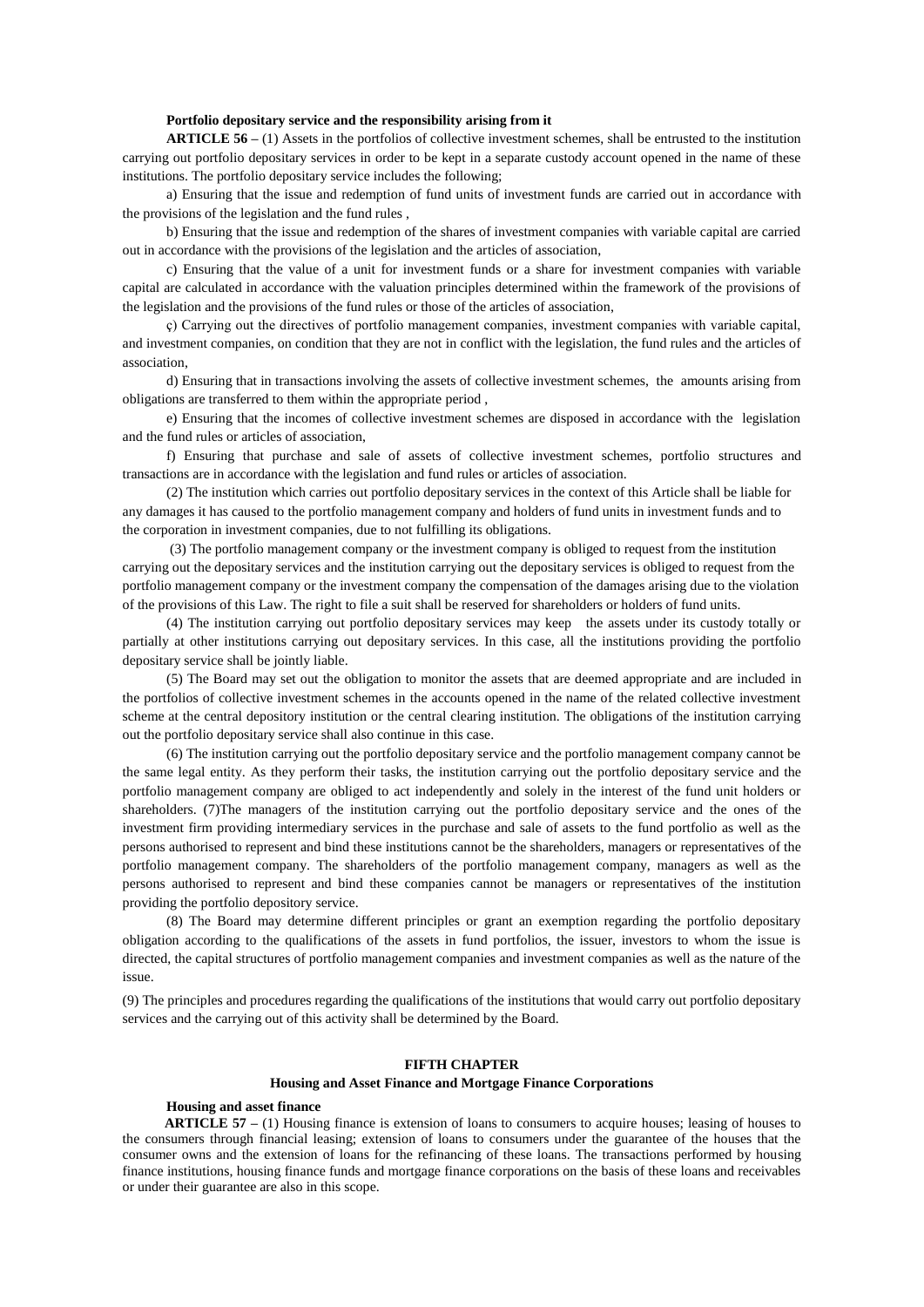#### **Portfolio depositary service and the responsibility arising from it**

**ARTICLE 56 –** (1) Assets in the portfolios of collective investment schemes, shall be entrusted to the institution carrying out portfolio depositary services in order to be kept in a separate custody account opened in the name of these institutions. The portfolio depositary service includes the following;

a) Ensuring that the issue and redemption of fund units of investment funds are carried out in accordance with the provisions of the legislation and the fund rules ,

b) Ensuring that the issue and redemption of the shares of investment companies with variable capital are carried out in accordance with the provisions of the legislation and the articles of association,

c) Ensuring that the value of a unit for investment funds or a share for investment companies with variable capital are calculated in accordance with the valuation principles determined within the framework of the provisions of the legislation and the provisions of the fund rules or those of the articles of association,

ç) Carrying out the directives of portfolio management companies, investment companies with variable capital, and investment companies, on condition that they are not in conflict with the legislation, the fund rules and the articles of association,

d) Ensuring that in transactions involving the assets of collective investment schemes, the amounts arising from obligations are transferred to them within the appropriate period ,

e) Ensuring that the incomes of collective investment schemes are disposed in accordance with the legislation and the fund rules or articles of association,

f) Ensuring that purchase and sale of assets of collective investment schemes, portfolio structures and transactions are in accordance with the legislation and fund rules or articles of association.

(2) The institution which carries out portfolio depositary services in the context of this Article shall be liable for any damages it has caused to the portfolio management company and holders of fund units in investment funds and to the corporation in investment companies, due to not fulfilling its obligations.

(3) The portfolio management company or the investment company is obliged to request from the institution carrying out the depositary services and the institution carrying out the depositary services is obliged to request from the portfolio management company or the investment company the compensation of the damages arising due to the violation of the provisions of this Law. The right to file a suit shall be reserved for shareholders or holders of fund units.

(4) The institution carrying out portfolio depositary services may keep the assets under its custody totally or partially at other institutions carrying out depositary services. In this case, all the institutions providing the portfolio depositary service shall be jointly liable.

(5) The Board may set out the obligation to monitor the assets that are deemed appropriate and are included in the portfolios of collective investment schemes in the accounts opened in the name of the related collective investment scheme at the central depository institution or the central clearing institution. The obligations of the institution carrying out the portfolio depositary service shall also continue in this case.

(6) The institution carrying out the portfolio depositary service and the portfolio management company cannot be the same legal entity. As they perform their tasks, the institution carrying out the portfolio depositary service and the portfolio management company are obliged to act independently and solely in the interest of the fund unit holders or shareholders. (7)The managers of the institution carrying out the portfolio depositary service and the ones of the investment firm providing intermediary services in the purchase and sale of assets to the fund portfolio as well as the persons authorised to represent and bind these institutions cannot be the shareholders, managers or representatives of the portfolio management company. The shareholders of the portfolio management company, managers as well as the persons authorised to represent and bind these companies cannot be managers or representatives of the institution providing the portfolio depository service.

(8) The Board may determine different principles or grant an exemption regarding the portfolio depositary obligation according to the qualifications of the assets in fund portfolios, the issuer, investors to whom the issue is directed, the capital structures of portfolio management companies and investment companies as well as the nature of the issue.

(9) The principles and procedures regarding the qualifications of the institutions that would carry out portfolio depositary services and the carrying out of this activity shall be determined by the Board.

### **FIFTH CHAPTER**

#### **Housing and Asset Finance and Mortgage Finance Corporations**

#### **Housing and asset finance**

**ARTICLE 57** – (1) Housing finance is extension of loans to consumers to acquire houses; leasing of houses to the consumers through financial leasing; extension of loans to consumers under the guarantee of the houses that the consumer owns and the extension of loans for the refinancing of these loans. The transactions performed by housing finance institutions, housing finance funds and mortgage finance corporations on the basis of these loans and receivables or under their guarantee are also in this scope.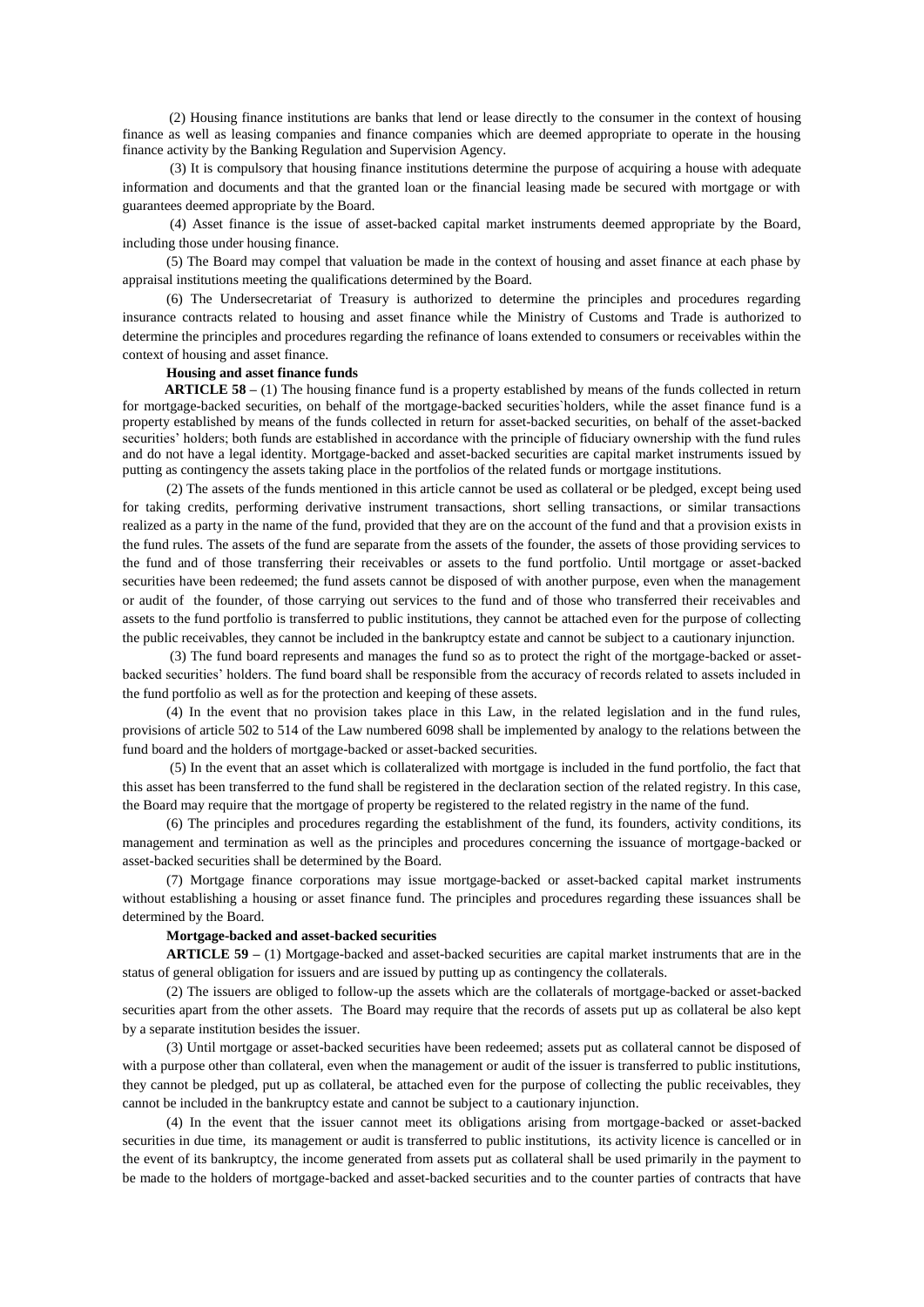(2) Housing finance institutions are banks that lend or lease directly to the consumer in the context of housing finance as well as leasing companies and finance companies which are deemed appropriate to operate in the housing finance activity by the Banking Regulation and Supervision Agency.

(3) It is compulsory that housing finance institutions determine the purpose of acquiring a house with adequate information and documents and that the granted loan or the financial leasing made be secured with mortgage or with guarantees deemed appropriate by the Board.

(4) Asset finance is the issue of asset-backed capital market instruments deemed appropriate by the Board, including those under housing finance.

(5) The Board may compel that valuation be made in the context of housing and asset finance at each phase by appraisal institutions meeting the qualifications determined by the Board.

(6) The Undersecretariat of Treasury is authorized to determine the principles and procedures regarding insurance contracts related to housing and asset finance while the Ministry of Customs and Trade is authorized to determine the principles and procedures regarding the refinance of loans extended to consumers or receivables within the context of housing and asset finance.

#### **Housing and asset finance funds**

 **ARTICLE 58 –** (1) The housing finance fund is a property established by means of the funds collected in return for mortgage-backed securities, on behalf of the mortgage-backed securities`holders, while the asset finance fund is a property established by means of the funds collected in return for asset-backed securities, on behalf of the asset-backed securities' holders; both funds are established in accordance with the principle of fiduciary ownership with the fund rules and do not have a legal identity. Mortgage-backed and asset-backed securities are capital market instruments issued by putting as contingency the assets taking place in the portfolios of the related funds or mortgage institutions.

(2) The assets of the funds mentioned in this article cannot be used as collateral or be pledged, except being used for taking credits, performing derivative instrument transactions, short selling transactions, or similar transactions realized as a party in the name of the fund, provided that they are on the account of the fund and that a provision exists in the fund rules. The assets of the fund are separate from the assets of the founder, the assets of those providing services to the fund and of those transferring their receivables or assets to the fund portfolio. Until mortgage or asset-backed securities have been redeemed; the fund assets cannot be disposed of with another purpose, even when the management or audit of the founder, of those carrying out services to the fund and of those who transferred their receivables and assets to the fund portfolio is transferred to public institutions, they cannot be attached even for the purpose of collecting the public receivables, they cannot be included in the bankruptcy estate and cannot be subject to a cautionary injunction.

(3) The fund board represents and manages the fund so as to protect the right of the mortgage-backed or assetbacked securities' holders. The fund board shall be responsible from the accuracy of records related to assets included in the fund portfolio as well as for the protection and keeping of these assets.

(4) In the event that no provision takes place in this Law, in the related legislation and in the fund rules, provisions of article 502 to 514 of the Law numbered 6098 shall be implemented by analogy to the relations between the fund board and the holders of mortgage-backed or asset-backed securities.

(5) In the event that an asset which is collateralized with mortgage is included in the fund portfolio, the fact that this asset has been transferred to the fund shall be registered in the declaration section of the related registry. In this case, the Board may require that the mortgage of property be registered to the related registry in the name of the fund.

(6) The principles and procedures regarding the establishment of the fund, its founders, activity conditions, its management and termination as well as the principles and procedures concerning the issuance of mortgage-backed or asset-backed securities shall be determined by the Board.

(7) Mortgage finance corporations may issue mortgage-backed or asset-backed capital market instruments without establishing a housing or asset finance fund. The principles and procedures regarding these issuances shall be determined by the Board.

#### **Mortgage-backed and asset-backed securities**

**ARTICLE 59 –** (1) Mortgage-backed and asset-backed securities are capital market instruments that are in the status of general obligation for issuers and are issued by putting up as contingency the collaterals.

(2) The issuers are obliged to follow-up the assets which are the collaterals of mortgage-backed or asset-backed securities apart from the other assets. The Board may require that the records of assets put up as collateral be also kept by a separate institution besides the issuer.

(3) Until mortgage or asset-backed securities have been redeemed; assets put as collateral cannot be disposed of with a purpose other than collateral, even when the management or audit of the issuer is transferred to public institutions, they cannot be pledged, put up as collateral, be attached even for the purpose of collecting the public receivables, they cannot be included in the bankruptcy estate and cannot be subject to a cautionary injunction.

(4) In the event that the issuer cannot meet its obligations arising from mortgage-backed or asset-backed securities in due time, its management or audit is transferred to public institutions, its activity licence is cancelled or in the event of its bankruptcy, the income generated from assets put as collateral shall be used primarily in the payment to be made to the holders of mortgage-backed and asset-backed securities and to the counter parties of contracts that have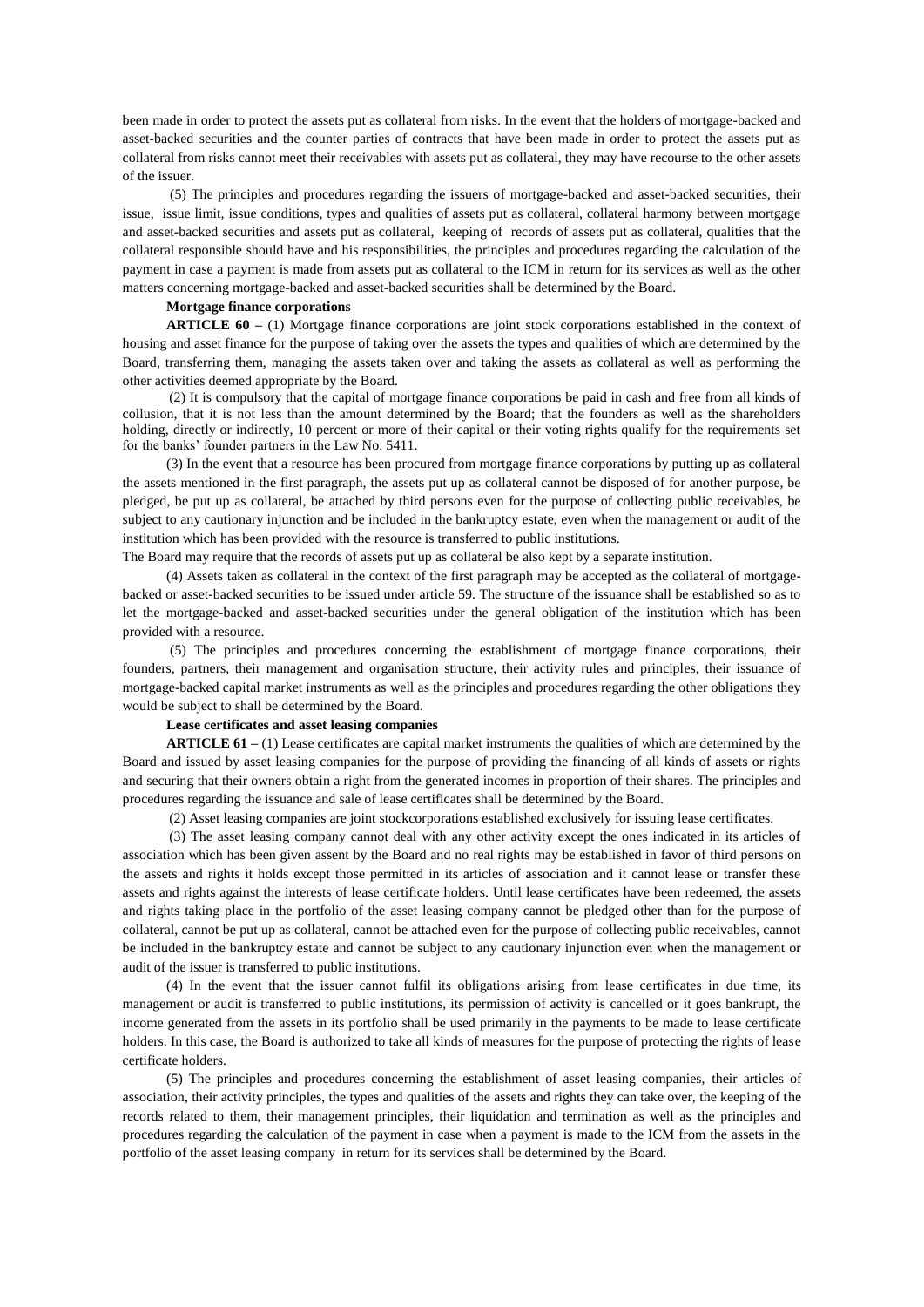been made in order to protect the assets put as collateral from risks. In the event that the holders of mortgage-backed and asset-backed securities and the counter parties of contracts that have been made in order to protect the assets put as collateral from risks cannot meet their receivables with assets put as collateral, they may have recourse to the other assets of the issuer.

(5) The principles and procedures regarding the issuers of mortgage-backed and asset-backed securities, their issue, issue limit, issue conditions, types and qualities of assets put as collateral, collateral harmony between mortgage and asset-backed securities and assets put as collateral, keeping of records of assets put as collateral, qualities that the collateral responsible should have and his responsibilities, the principles and procedures regarding the calculation of the payment in case a payment is made from assets put as collateral to the ICM in return for its services as well as the other matters concerning mortgage-backed and asset-backed securities shall be determined by the Board.

#### **Mortgage finance corporations**

**ARTICLE 60 –** (1) Mortgage finance corporations are joint stock corporations established in the context of housing and asset finance for the purpose of taking over the assets the types and qualities of which are determined by the Board, transferring them, managing the assets taken over and taking the assets as collateral as well as performing the other activities deemed appropriate by the Board.

(2) It is compulsory that the capital of mortgage finance corporations be paid in cash and free from all kinds of collusion, that it is not less than the amount determined by the Board; that the founders as well as the shareholders holding, directly or indirectly, 10 percent or more of their capital or their voting rights qualify for the requirements set for the banks' founder partners in the Law No. 5411.

(3) In the event that a resource has been procured from mortgage finance corporations by putting up as collateral the assets mentioned in the first paragraph, the assets put up as collateral cannot be disposed of for another purpose, be pledged, be put up as collateral, be attached by third persons even for the purpose of collecting public receivables, be subject to any cautionary injunction and be included in the bankruptcy estate, even when the management or audit of the institution which has been provided with the resource is transferred to public institutions.

The Board may require that the records of assets put up as collateral be also kept by a separate institution.

(4) Assets taken as collateral in the context of the first paragraph may be accepted as the collateral of mortgagebacked or asset-backed securities to be issued under article 59. The structure of the issuance shall be established so as to let the mortgage-backed and asset-backed securities under the general obligation of the institution which has been provided with a resource.

(5) The principles and procedures concerning the establishment of mortgage finance corporations, their founders, partners, their management and organisation structure, their activity rules and principles, their issuance of mortgage-backed capital market instruments as well as the principles and procedures regarding the other obligations they would be subject to shall be determined by the Board.

#### **Lease certificates and asset leasing companies**

**ARTICLE 61 –** (1) Lease certificates are capital market instruments the qualities of which are determined by the Board and issued by asset leasing companies for the purpose of providing the financing of all kinds of assets or rights and securing that their owners obtain a right from the generated incomes in proportion of their shares. The principles and procedures regarding the issuance and sale of lease certificates shall be determined by the Board.

(2) Asset leasing companies are joint stockcorporations established exclusively for issuing lease certificates.

(3) The asset leasing company cannot deal with any other activity except the ones indicated in its articles of association which has been given assent by the Board and no real rights may be established in favor of third persons on the assets and rights it holds except those permitted in its articles of association and it cannot lease or transfer these assets and rights against the interests of lease certificate holders. Until lease certificates have been redeemed, the assets and rights taking place in the portfolio of the asset leasing company cannot be pledged other than for the purpose of collateral, cannot be put up as collateral, cannot be attached even for the purpose of collecting public receivables, cannot be included in the bankruptcy estate and cannot be subject to any cautionary injunction even when the management or audit of the issuer is transferred to public institutions.

(4) In the event that the issuer cannot fulfil its obligations arising from lease certificates in due time, its management or audit is transferred to public institutions, its permission of activity is cancelled or it goes bankrupt, the income generated from the assets in its portfolio shall be used primarily in the payments to be made to lease certificate holders. In this case, the Board is authorized to take all kinds of measures for the purpose of protecting the rights of lease certificate holders.

(5) The principles and procedures concerning the establishment of asset leasing companies, their articles of association, their activity principles, the types and qualities of the assets and rights they can take over, the keeping of the records related to them, their management principles, their liquidation and termination as well as the principles and procedures regarding the calculation of the payment in case when a payment is made to the ICM from the assets in the portfolio of the asset leasing company in return for its services shall be determined by the Board.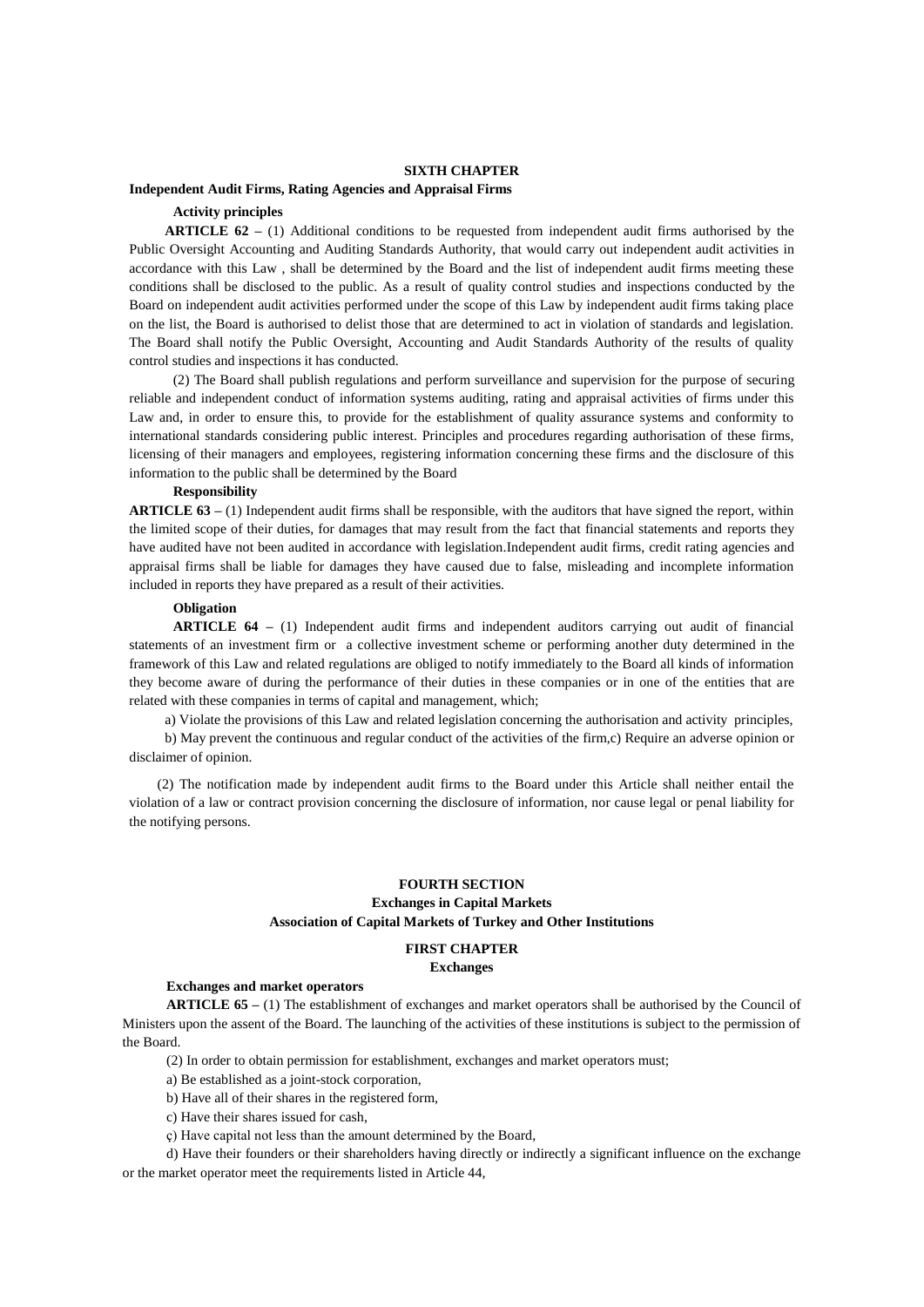### **SIXTH CHAPTER**

#### **Independent Audit Firms, Rating Agencies and Appraisal Firms**

## **Activity principles**

**ARTICLE 62 –** (1) Additional conditions to be requested from independent audit firms authorised by the Public Oversight Accounting and Auditing Standards Authority, that would carry out independent audit activities in accordance with this Law , shall be determined by the Board and the list of independent audit firms meeting these conditions shall be disclosed to the public. As a result of quality control studies and inspections conducted by the Board on independent audit activities performed under the scope of this Law by independent audit firms taking place on the list, the Board is authorised to delist those that are determined to act in violation of standards and legislation. The Board shall notify the Public Oversight, Accounting and Audit Standards Authority of the results of quality control studies and inspections it has conducted.

(2) The Board shall publish regulations and perform surveillance and supervision for the purpose of securing reliable and independent conduct of information systems auditing, rating and appraisal activities of firms under this Law and, in order to ensure this, to provide for the establishment of quality assurance systems and conformity to international standards considering public interest. Principles and procedures regarding authorisation of these firms, licensing of their managers and employees, registering information concerning these firms and the disclosure of this information to the public shall be determined by the Board

### **Responsibility**

**ARTICLE 63 –** (1) Independent audit firms shall be responsible, with the auditors that have signed the report, within the limited scope of their duties, for damages that may result from the fact that financial statements and reports they have audited have not been audited in accordance with legislation.Independent audit firms, credit rating agencies and appraisal firms shall be liable for damages they have caused due to false, misleading and incomplete information included in reports they have prepared as a result of their activities.

# **Obligation**

**ARTICLE 64 –** (1) Independent audit firms and independent auditors carrying out audit of financial statements of an investment firm or a collective investment scheme or performing another duty determined in the framework of this Law and related regulations are obliged to notify immediately to the Board all kinds of information they become aware of during the performance of their duties in these companies or in one of the entities that are related with these companies in terms of capital and management, which;

a) Violate the provisions of this Law and related legislation concerning the authorisation and activity principles,

b) May prevent the continuous and regular conduct of the activities of the firm,c) Require an adverse opinion or disclaimer of opinion.

(2) The notification made by independent audit firms to the Board under this Article shall neither entail the violation of a law or contract provision concerning the disclosure of information, nor cause legal or penal liability for the notifying persons.

### **FOURTH SECTION**

# **Exchanges in Capital Markets Association of Capital Markets of Turkey and Other Institutions**

# **FIRST CHAPTER**

# **Exchanges**

# **Exchanges and market operators**

**ARTICLE 65 –** (1) The establishment of exchanges and market operators shall be authorised by the Council of Ministers upon the assent of the Board. The launching of the activities of these institutions is subject to the permission of the Board.

(2) In order to obtain permission for establishment, exchanges and market operators must;

- a) Be established as a joint-stock corporation,
- b) Have all of their shares in the registered form,
- c) Have their shares issued for cash,
- ç) Have capital not less than the amount determined by the Board,

d) Have their founders or their shareholders having directly or indirectly a significant influence on the exchange or the market operator meet the requirements listed in Article 44,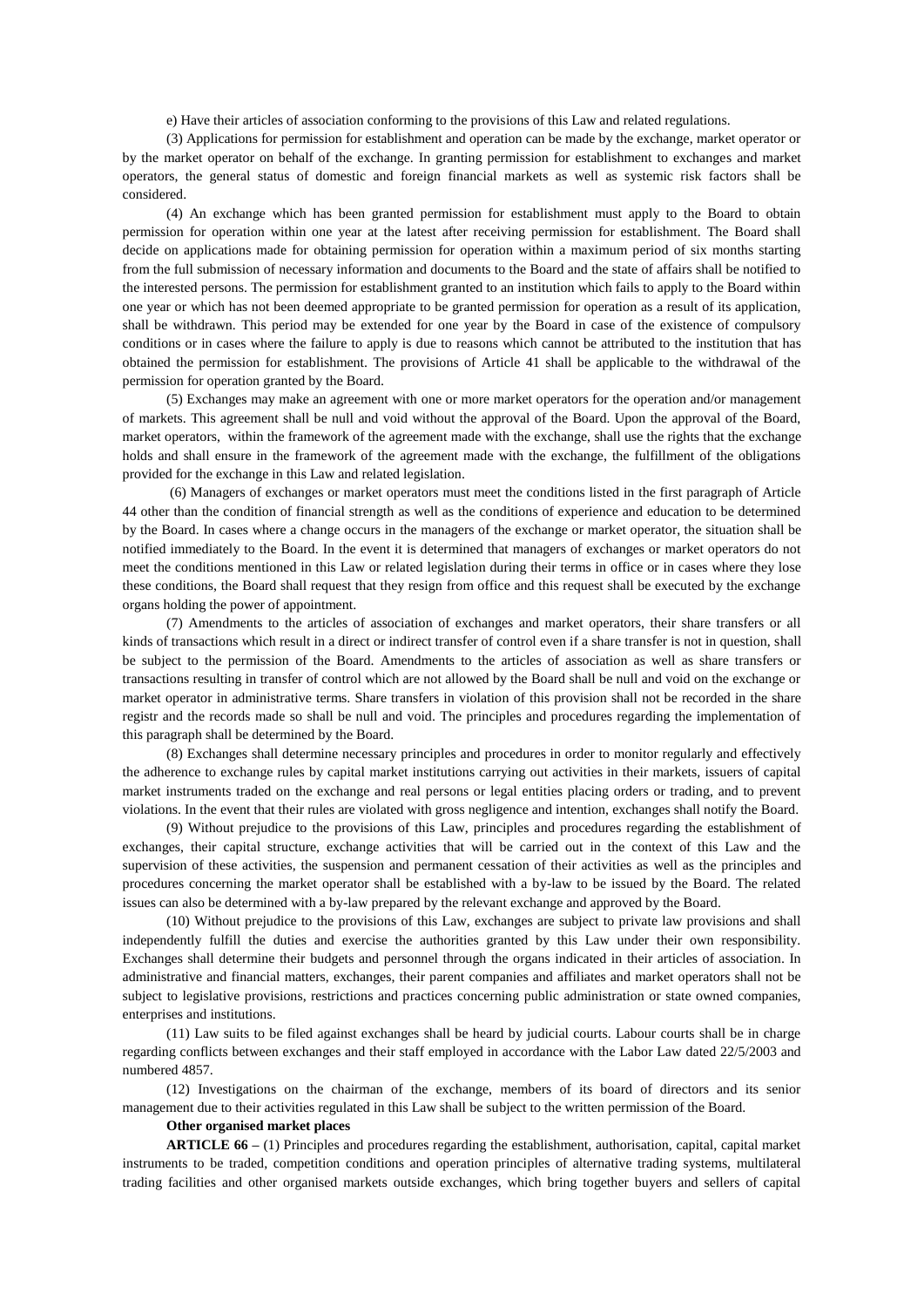e) Have their articles of association conforming to the provisions of this Law and related regulations.

(3) Applications for permission for establishment and operation can be made by the exchange, market operator or by the market operator on behalf of the exchange. In granting permission for establishment to exchanges and market operators, the general status of domestic and foreign financial markets as well as systemic risk factors shall be considered.

(4) An exchange which has been granted permission for establishment must apply to the Board to obtain permission for operation within one year at the latest after receiving permission for establishment. The Board shall decide on applications made for obtaining permission for operation within a maximum period of six months starting from the full submission of necessary information and documents to the Board and the state of affairs shall be notified to the interested persons. The permission for establishment granted to an institution which fails to apply to the Board within one year or which has not been deemed appropriate to be granted permission for operation as a result of its application, shall be withdrawn. This period may be extended for one year by the Board in case of the existence of compulsory conditions or in cases where the failure to apply is due to reasons which cannot be attributed to the institution that has obtained the permission for establishment. The provisions of Article 41 shall be applicable to the withdrawal of the permission for operation granted by the Board.

(5) Exchanges may make an agreement with one or more market operators for the operation and/or management of markets. This agreement shall be null and void without the approval of the Board. Upon the approval of the Board, market operators, within the framework of the agreement made with the exchange, shall use the rights that the exchange holds and shall ensure in the framework of the agreement made with the exchange, the fulfillment of the obligations provided for the exchange in this Law and related legislation.

(6) Managers of exchanges or market operators must meet the conditions listed in the first paragraph of Article 44 other than the condition of financial strength as well as the conditions of experience and education to be determined by the Board. In cases where a change occurs in the managers of the exchange or market operator, the situation shall be notified immediately to the Board. In the event it is determined that managers of exchanges or market operators do not meet the conditions mentioned in this Law or related legislation during their terms in office or in cases where they lose these conditions, the Board shall request that they resign from office and this request shall be executed by the exchange organs holding the power of appointment.

(7) Amendments to the articles of association of exchanges and market operators, their share transfers or all kinds of transactions which result in a direct or indirect transfer of control even if a share transfer is not in question, shall be subject to the permission of the Board. Amendments to the articles of association as well as share transfers or transactions resulting in transfer of control which are not allowed by the Board shall be null and void on the exchange or market operator in administrative terms. Share transfers in violation of this provision shall not be recorded in the share registr and the records made so shall be null and void. The principles and procedures regarding the implementation of this paragraph shall be determined by the Board.

(8) Exchanges shall determine necessary principles and procedures in order to monitor regularly and effectively the adherence to exchange rules by capital market institutions carrying out activities in their markets, issuers of capital market instruments traded on the exchange and real persons or legal entities placing orders or trading, and to prevent violations. In the event that their rules are violated with gross negligence and intention, exchanges shall notify the Board.

(9) Without prejudice to the provisions of this Law, principles and procedures regarding the establishment of exchanges, their capital structure, exchange activities that will be carried out in the context of this Law and the supervision of these activities, the suspension and permanent cessation of their activities as well as the principles and procedures concerning the market operator shall be established with a by-law to be issued by the Board. The related issues can also be determined with a by-law prepared by the relevant exchange and approved by the Board.

(10) Without prejudice to the provisions of this Law, exchanges are subject to private law provisions and shall independently fulfill the duties and exercise the authorities granted by this Law under their own responsibility. Exchanges shall determine their budgets and personnel through the organs indicated in their articles of association. In administrative and financial matters, exchanges, their parent companies and affiliates and market operators shall not be subject to legislative provisions, restrictions and practices concerning public administration or state owned companies, enterprises and institutions.

(11) Law suits to be filed against exchanges shall be heard by judicial courts. Labour courts shall be in charge regarding conflicts between exchanges and their staff employed in accordance with the Labor Law dated 22/5/2003 and numbered 4857.

(12) Investigations on the chairman of the exchange, members of its board of directors and its senior management due to their activities regulated in this Law shall be subject to the written permission of the Board.

#### **Other organised market places**

**ARTICLE 66 –** (1) Principles and procedures regarding the establishment, authorisation, capital, capital market instruments to be traded, competition conditions and operation principles of alternative trading systems, multilateral trading facilities and other organised markets outside exchanges, which bring together buyers and sellers of capital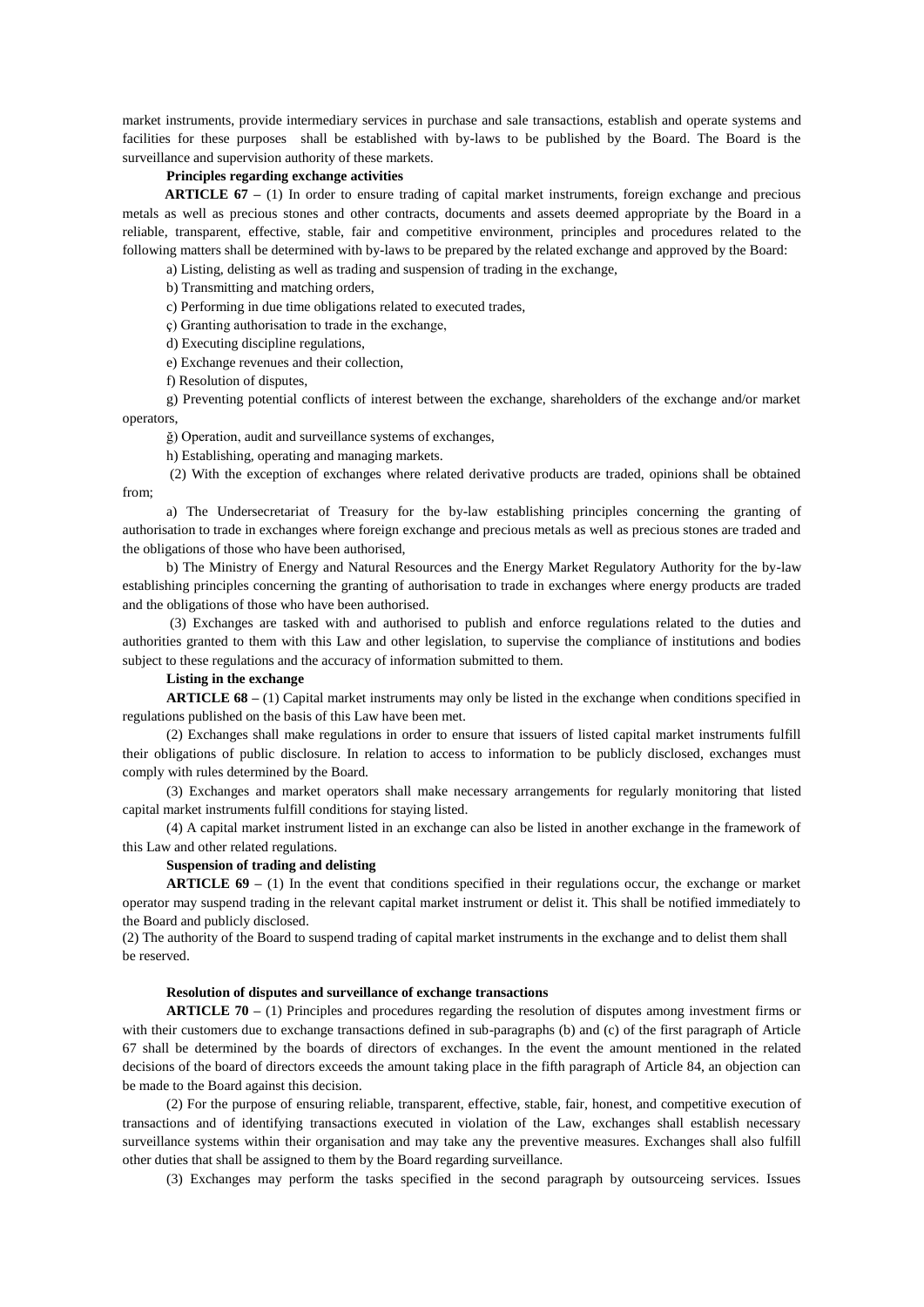market instruments, provide intermediary services in purchase and sale transactions, establish and operate systems and facilities for these purposes shall be established with by-laws to be published by the Board. The Board is the surveillance and supervision authority of these markets.

# **Principles regarding exchange activities**

**ARTICLE 67** – (1) In order to ensure trading of capital market instruments, foreign exchange and precious metals as well as precious stones and other contracts, documents and assets deemed appropriate by the Board in a reliable, transparent, effective, stable, fair and competitive environment, principles and procedures related to the following matters shall be determined with by-laws to be prepared by the related exchange and approved by the Board:

a) Listing, delisting as well as trading and suspension of trading in the exchange,

b) Transmitting and matching orders,

c) Performing in due time obligations related to executed trades,

ç) Granting authorisation to trade in the exchange,

d) Executing discipline regulations,

e) Exchange revenues and their collection,

f) Resolution of disputes,

g) Preventing potential conflicts of interest between the exchange, shareholders of the exchange and/or market operators,

ğ) Operation, audit and surveillance systems of exchanges,

h) Establishing, operating and managing markets.

(2) With the exception of exchanges where related derivative products are traded, opinions shall be obtained from;

a) The Undersecretariat of Treasury for the by-law establishing principles concerning the granting of authorisation to trade in exchanges where foreign exchange and precious metals as well as precious stones are traded and the obligations of those who have been authorised,

b) The Ministry of Energy and Natural Resources and the Energy Market Regulatory Authority for the by-law establishing principles concerning the granting of authorisation to trade in exchanges where energy products are traded and the obligations of those who have been authorised.

(3) Exchanges are tasked with and authorised to publish and enforce regulations related to the duties and authorities granted to them with this Law and other legislation, to supervise the compliance of institutions and bodies subject to these regulations and the accuracy of information submitted to them.

## **Listing in the exchange**

**ARTICLE 68 –** (1) Capital market instruments may only be listed in the exchange when conditions specified in regulations published on the basis of this Law have been met.

(2) Exchanges shall make regulations in order to ensure that issuers of listed capital market instruments fulfill their obligations of public disclosure. In relation to access to information to be publicly disclosed, exchanges must comply with rules determined by the Board.

(3) Exchanges and market operators shall make necessary arrangements for regularly monitoring that listed capital market instruments fulfill conditions for staying listed.

(4) A capital market instrument listed in an exchange can also be listed in another exchange in the framework of this Law and other related regulations.

### **Suspension of trading and delisting**

**ARTICLE 69** – (1) In the event that conditions specified in their regulations occur, the exchange or market operator may suspend trading in the relevant capital market instrument or delist it. This shall be notified immediately to the Board and publicly disclosed.

(2) The authority of the Board to suspend trading of capital market instruments in the exchange and to delist them shall be reserved.

### **Resolution of disputes and surveillance of exchange transactions**

**ARTICLE 70 –** (1) Principles and procedures regarding the resolution of disputes among investment firms or with their customers due to exchange transactions defined in sub-paragraphs (b) and (c) of the first paragraph of Article 67 shall be determined by the boards of directors of exchanges. In the event the amount mentioned in the related decisions of the board of directors exceeds the amount taking place in the fifth paragraph of Article 84, an objection can be made to the Board against this decision.

(2) For the purpose of ensuring reliable, transparent, effective, stable, fair, honest, and competitive execution of transactions and of identifying transactions executed in violation of the Law, exchanges shall establish necessary surveillance systems within their organisation and may take any the preventive measures. Exchanges shall also fulfill other duties that shall be assigned to them by the Board regarding surveillance.

(3) Exchanges may perform the tasks specified in the second paragraph by outsourceing services. Issues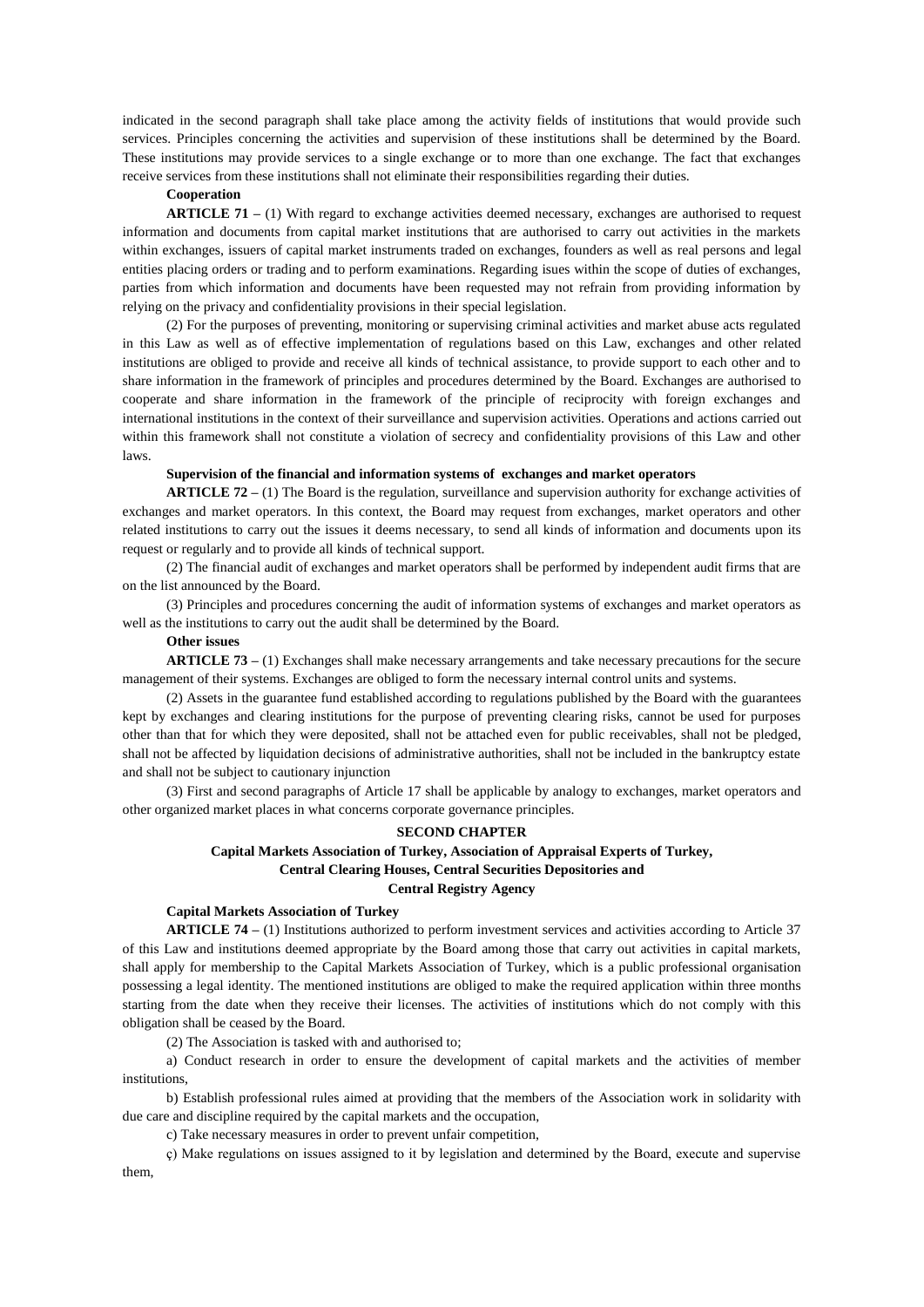indicated in the second paragraph shall take place among the activity fields of institutions that would provide such services. Principles concerning the activities and supervision of these institutions shall be determined by the Board. These institutions may provide services to a single exchange or to more than one exchange. The fact that exchanges receive services from these institutions shall not eliminate their responsibilities regarding their duties.

## **Cooperation**

**ARTICLE 71** – (1) With regard to exchange activities deemed necessary, exchanges are authorised to request information and documents from capital market institutions that are authorised to carry out activities in the markets within exchanges, issuers of capital market instruments traded on exchanges, founders as well as real persons and legal entities placing orders or trading and to perform examinations. Regarding isues within the scope of duties of exchanges, parties from which information and documents have been requested may not refrain from providing information by relying on the privacy and confidentiality provisions in their special legislation.

(2) For the purposes of preventing, monitoring or supervising criminal activities and market abuse acts regulated in this Law as well as of effective implementation of regulations based on this Law, exchanges and other related institutions are obliged to provide and receive all kinds of technical assistance, to provide support to each other and to share information in the framework of principles and procedures determined by the Board. Exchanges are authorised to cooperate and share information in the framework of the principle of reciprocity with foreign exchanges and international institutions in the context of their surveillance and supervision activities. Operations and actions carried out within this framework shall not constitute a violation of secrecy and confidentiality provisions of this Law and other laws.

### **Supervision of the financial and information systems of exchanges and market operators**

**ARTICLE 72 –** (1) The Board is the regulation, surveillance and supervision authority for exchange activities of exchanges and market operators. In this context, the Board may request from exchanges, market operators and other related institutions to carry out the issues it deems necessary, to send all kinds of information and documents upon its request or regularly and to provide all kinds of technical support.

(2) The financial audit of exchanges and market operators shall be performed by independent audit firms that are on the list announced by the Board.

(3) Principles and procedures concerning the audit of information systems of exchanges and market operators as well as the institutions to carry out the audit shall be determined by the Board.

### **Other issues**

**ARTICLE 73 –** (1) Exchanges shall make necessary arrangements and take necessary precautions for the secure management of their systems. Exchanges are obliged to form the necessary internal control units and systems.

(2) Assets in the guarantee fund established according to regulations published by the Board with the guarantees kept by exchanges and clearing institutions for the purpose of preventing clearing risks, cannot be used for purposes other than that for which they were deposited, shall not be attached even for public receivables, shall not be pledged, shall not be affected by liquidation decisions of administrative authorities, shall not be included in the bankruptcy estate and shall not be subject to cautionary injunction

(3) First and second paragraphs of Article 17 shall be applicable by analogy to exchanges, market operators and other organized market places in what concerns corporate governance principles.

### **SECOND CHAPTER**

# **Capital Markets Association of Turkey, Association of Appraisal Experts of Turkey, Central Clearing Houses, Central Securities Depositories and Central Registry Agency**

# **Capital Markets Association of Turkey**

**ARTICLE 74 –** (1) Institutions authorized to perform investment services and activities according to Article 37 of this Law and institutions deemed appropriate by the Board among those that carry out activities in capital markets, shall apply for membership to the Capital Markets Association of Turkey, which is a public professional organisation possessing a legal identity. The mentioned institutions are obliged to make the required application within three months starting from the date when they receive their licenses. The activities of institutions which do not comply with this obligation shall be ceased by the Board.

(2) The Association is tasked with and authorised to;

a) Conduct research in order to ensure the development of capital markets and the activities of member institutions,

b) Establish professional rules aimed at providing that the members of the Association work in solidarity with due care and discipline required by the capital markets and the occupation,

c) Take necessary measures in order to prevent unfair competition,

ç) Make regulations on issues assigned to it by legislation and determined by the Board, execute and supervise them,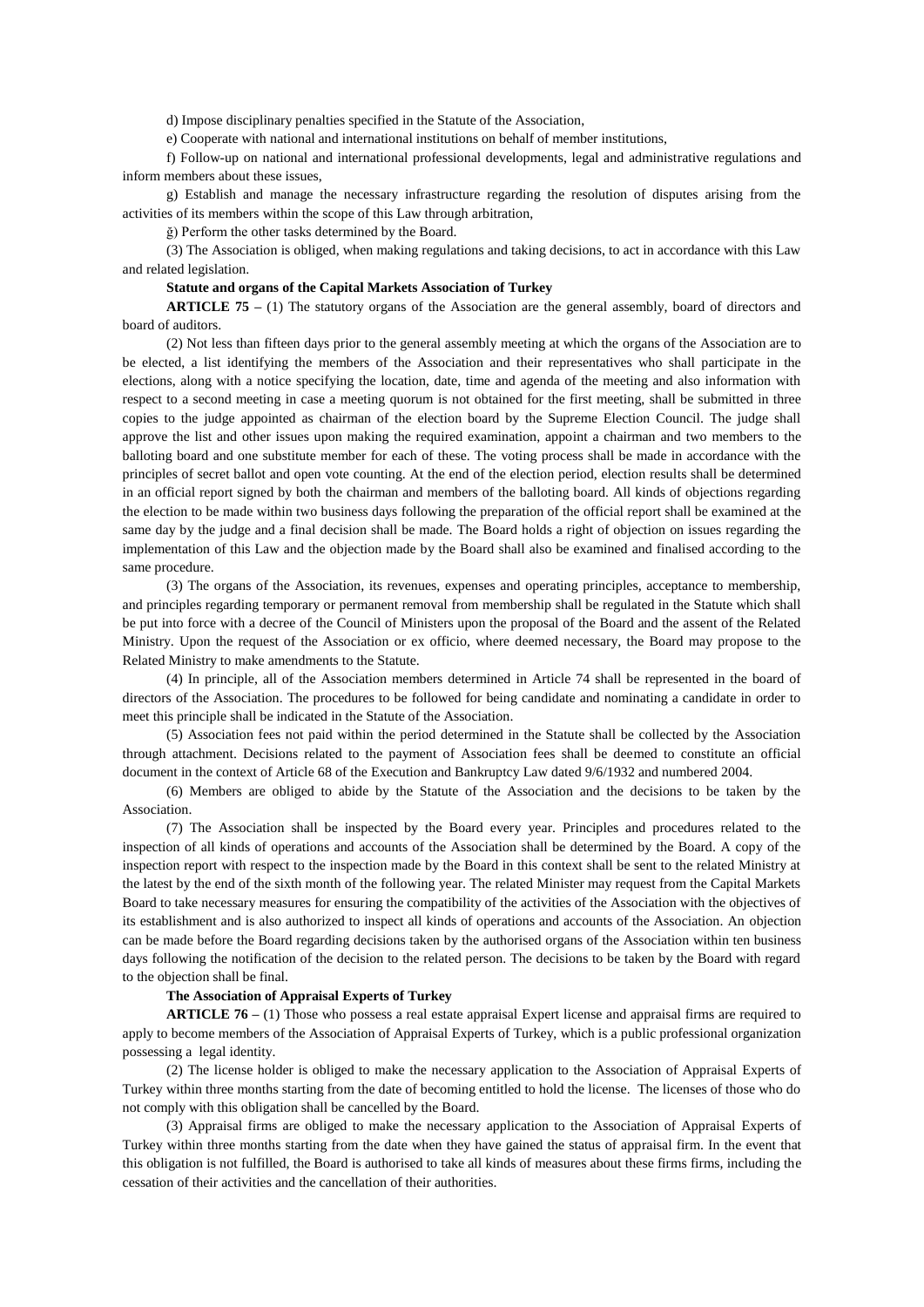d) Impose disciplinary penalties specified in the Statute of the Association,

e) Cooperate with national and international institutions on behalf of member institutions,

f) Follow-up on national and international professional developments, legal and administrative regulations and inform members about these issues,

g) Establish and manage the necessary infrastructure regarding the resolution of disputes arising from the activities of its members within the scope of this Law through arbitration,

ğ) Perform the other tasks determined by the Board.

(3) The Association is obliged, when making regulations and taking decisions, to act in accordance with this Law and related legislation.

#### **Statute and organs of the Capital Markets Association of Turkey**

**ARTICLE 75** – (1) The statutory organs of the Association are the general assembly, board of directors and board of auditors.

(2) Not less than fifteen days prior to the general assembly meeting at which the organs of the Association are to be elected, a list identifying the members of the Association and their representatives who shall participate in the elections, along with a notice specifying the location, date, time and agenda of the meeting and also information with respect to a second meeting in case a meeting quorum is not obtained for the first meeting, shall be submitted in three copies to the judge appointed as chairman of the election board by the Supreme Election Council. The judge shall approve the list and other issues upon making the required examination, appoint a chairman and two members to the balloting board and one substitute member for each of these. The voting process shall be made in accordance with the principles of secret ballot and open vote counting. At the end of the election period, election results shall be determined in an official report signed by both the chairman and members of the balloting board. All kinds of objections regarding the election to be made within two business days following the preparation of the official report shall be examined at the same day by the judge and a final decision shall be made. The Board holds a right of objection on issues regarding the implementation of this Law and the objection made by the Board shall also be examined and finalised according to the same procedure.

(3) The organs of the Association, its revenues, expenses and operating principles, acceptance to membership, and principles regarding temporary or permanent removal from membership shall be regulated in the Statute which shall be put into force with a decree of the Council of Ministers upon the proposal of the Board and the assent of the Related Ministry. Upon the request of the Association or ex officio, where deemed necessary, the Board may propose to the Related Ministry to make amendments to the Statute.

(4) In principle, all of the Association members determined in Article 74 shall be represented in the board of directors of the Association. The procedures to be followed for being candidate and nominating a candidate in order to meet this principle shall be indicated in the Statute of the Association.

(5) Association fees not paid within the period determined in the Statute shall be collected by the Association through attachment. Decisions related to the payment of Association fees shall be deemed to constitute an official document in the context of Article 68 of the Execution and Bankruptcy Law dated 9/6/1932 and numbered 2004.

(6) Members are obliged to abide by the Statute of the Association and the decisions to be taken by the Association.

(7) The Association shall be inspected by the Board every year. Principles and procedures related to the inspection of all kinds of operations and accounts of the Association shall be determined by the Board. A copy of the inspection report with respect to the inspection made by the Board in this context shall be sent to the related Ministry at the latest by the end of the sixth month of the following year. The related Minister may request from the Capital Markets Board to take necessary measures for ensuring the compatibility of the activities of the Association with the objectives of its establishment and is also authorized to inspect all kinds of operations and accounts of the Association. An objection can be made before the Board regarding decisions taken by the authorised organs of the Association within ten business days following the notification of the decision to the related person. The decisions to be taken by the Board with regard to the objection shall be final.

#### **The Association of Appraisal Experts of Turkey**

**ARTICLE 76 –** (1) Those who possess a real estate appraisal Expert license and appraisal firms are required to apply to become members of the Association of Appraisal Experts of Turkey, which is a public professional organization possessing a legal identity.

(2) The license holder is obliged to make the necessary application to the Association of Appraisal Experts of Turkey within three months starting from the date of becoming entitled to hold the license. The licenses of those who do not comply with this obligation shall be cancelled by the Board.

(3) Appraisal firms are obliged to make the necessary application to the Association of Appraisal Experts of Turkey within three months starting from the date when they have gained the status of appraisal firm. In the event that this obligation is not fulfilled, the Board is authorised to take all kinds of measures about these firms firms, including the cessation of their activities and the cancellation of their authorities.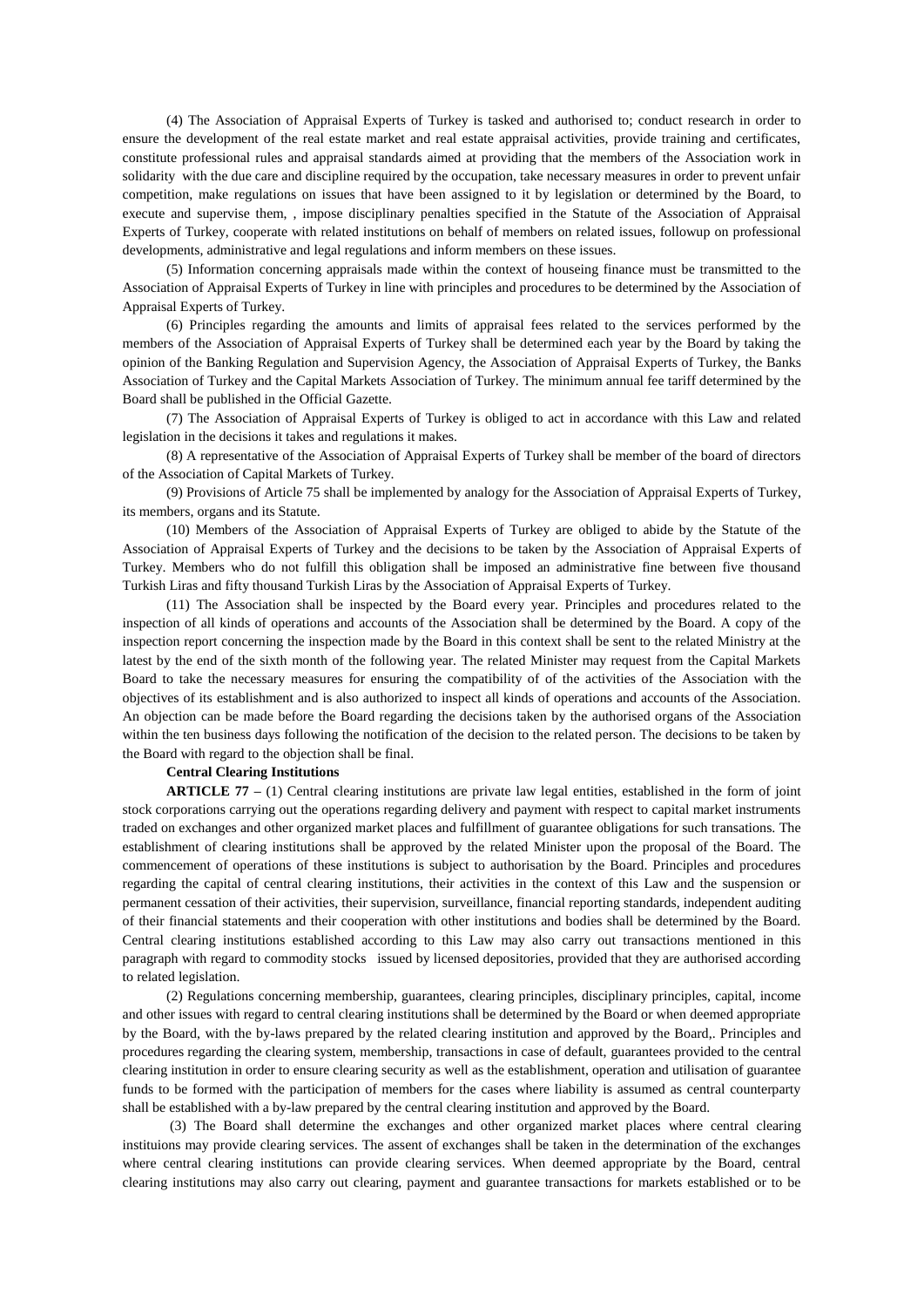(4) The Association of Appraisal Experts of Turkey is tasked and authorised to; conduct research in order to ensure the development of the real estate market and real estate appraisal activities, provide training and certificates, constitute professional rules and appraisal standards aimed at providing that the members of the Association work in solidarity with the due care and discipline required by the occupation, take necessary measures in order to prevent unfair competition, make regulations on issues that have been assigned to it by legislation or determined by the Board, to execute and supervise them, , impose disciplinary penalties specified in the Statute of the Association of Appraisal Experts of Turkey, cooperate with related institutions on behalf of members on related issues, followup on professional developments, administrative and legal regulations and inform members on these issues.

(5) Information concerning appraisals made within the context of houseing finance must be transmitted to the Association of Appraisal Experts of Turkey in line with principles and procedures to be determined by the Association of Appraisal Experts of Turkey.

(6) Principles regarding the amounts and limits of appraisal fees related to the services performed by the members of the Association of Appraisal Experts of Turkey shall be determined each year by the Board by taking the opinion of the Banking Regulation and Supervision Agency, the Association of Appraisal Experts of Turkey, the Banks Association of Turkey and the Capital Markets Association of Turkey. The minimum annual fee tariff determined by the Board shall be published in the Official Gazette.

(7) The Association of Appraisal Experts of Turkey is obliged to act in accordance with this Law and related legislation in the decisions it takes and regulations it makes.

(8) A representative of the Association of Appraisal Experts of Turkey shall be member of the board of directors of the Association of Capital Markets of Turkey.

(9) Provisions of Article 75 shall be implemented by analogy for the Association of Appraisal Experts of Turkey, its members, organs and its Statute.

(10) Members of the Association of Appraisal Experts of Turkey are obliged to abide by the Statute of the Association of Appraisal Experts of Turkey and the decisions to be taken by the Association of Appraisal Experts of Turkey. Members who do not fulfill this obligation shall be imposed an administrative fine between five thousand Turkish Liras and fifty thousand Turkish Liras by the Association of Appraisal Experts of Turkey.

(11) The Association shall be inspected by the Board every year. Principles and procedures related to the inspection of all kinds of operations and accounts of the Association shall be determined by the Board. A copy of the inspection report concerning the inspection made by the Board in this context shall be sent to the related Ministry at the latest by the end of the sixth month of the following year. The related Minister may request from the Capital Markets Board to take the necessary measures for ensuring the compatibility of of the activities of the Association with the objectives of its establishment and is also authorized to inspect all kinds of operations and accounts of the Association. An objection can be made before the Board regarding the decisions taken by the authorised organs of the Association within the ten business days following the notification of the decision to the related person. The decisions to be taken by the Board with regard to the objection shall be final.

### **Central Clearing Institutions**

**ARTICLE 77 –** (1) Central clearing institutions are private law legal entities, established in the form of joint stock corporations carrying out the operations regarding delivery and payment with respect to capital market instruments traded on exchanges and other organized market places and fulfillment of guarantee obligations for such transations. The establishment of clearing institutions shall be approved by the related Minister upon the proposal of the Board. The commencement of operations of these institutions is subject to authorisation by the Board. Principles and procedures regarding the capital of central clearing institutions, their activities in the context of this Law and the suspension or permanent cessation of their activities, their supervision, surveillance, financial reporting standards, independent auditing of their financial statements and their cooperation with other institutions and bodies shall be determined by the Board. Central clearing institutions established according to this Law may also carry out transactions mentioned in this paragraph with regard to commodity stocks issued by licensed depositories, provided that they are authorised according to related legislation.

(2) Regulations concerning membership, guarantees, clearing principles, disciplinary principles, capital, income and other issues with regard to central clearing institutions shall be determined by the Board or when deemed appropriate by the Board, with the by-laws prepared by the related clearing institution and approved by the Board,. Principles and procedures regarding the clearing system, membership, transactions in case of default, guarantees provided to the central clearing institution in order to ensure clearing security as well as the establishment, operation and utilisation of guarantee funds to be formed with the participation of members for the cases where liability is assumed as central counterparty shall be established with a by-law prepared by the central clearing institution and approved by the Board.

(3) The Board shall determine the exchanges and other organized market places where central clearing instituions may provide clearing services. The assent of exchanges shall be taken in the determination of the exchanges where central clearing institutions can provide clearing services. When deemed appropriate by the Board, central clearing institutions may also carry out clearing, payment and guarantee transactions for markets established or to be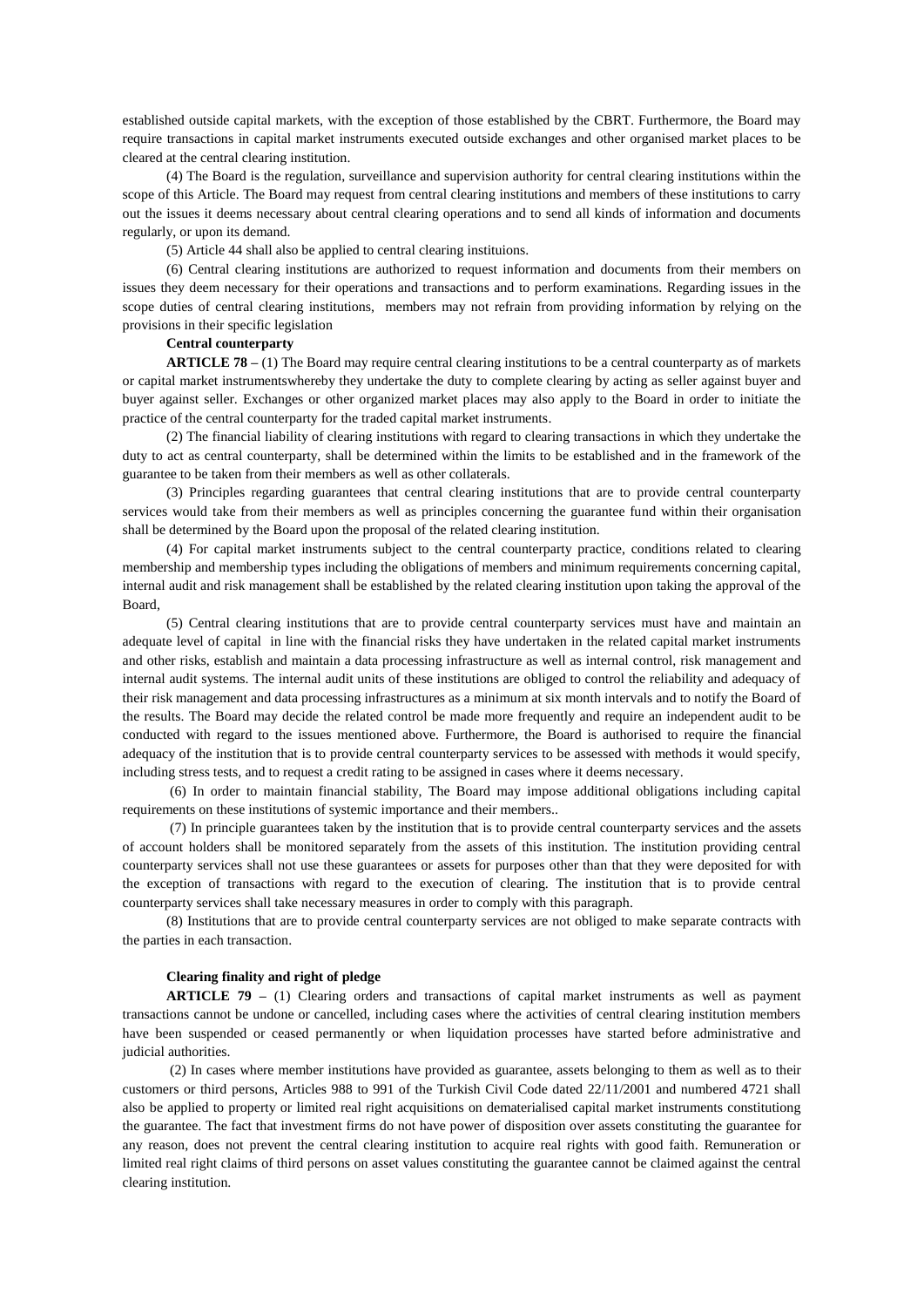established outside capital markets, with the exception of those established by the CBRT. Furthermore, the Board may require transactions in capital market instruments executed outside exchanges and other organised market places to be cleared at the central clearing institution.

(4) The Board is the regulation, surveillance and supervision authority for central clearing institutions within the scope of this Article. The Board may request from central clearing institutions and members of these institutions to carry out the issues it deems necessary about central clearing operations and to send all kinds of information and documents regularly, or upon its demand.

(5) Article 44 shall also be applied to central clearing instituions.

(6) Central clearing institutions are authorized to request information and documents from their members on issues they deem necessary for their operations and transactions and to perform examinations. Regarding issues in the scope duties of central clearing institutions, members may not refrain from providing information by relying on the provisions in their specific legislation

## **Central counterparty**

**ARTICLE 78** – (1) The Board may require central clearing institutions to be a central counterparty as of markets or capital market instrumentswhereby they undertake the duty to complete clearing by acting as seller against buyer and buyer against seller. Exchanges or other organized market places may also apply to the Board in order to initiate the practice of the central counterparty for the traded capital market instruments.

(2) The financial liability of clearing institutions with regard to clearing transactions in which they undertake the duty to act as central counterparty, shall be determined within the limits to be established and in the framework of the guarantee to be taken from their members as well as other collaterals.

(3) Principles regarding guarantees that central clearing institutions that are to provide central counterparty services would take from their members as well as principles concerning the guarantee fund within their organisation shall be determined by the Board upon the proposal of the related clearing institution.

(4) For capital market instruments subject to the central counterparty practice, conditions related to clearing membership and membership types including the obligations of members and minimum requirements concerning capital, internal audit and risk management shall be established by the related clearing institution upon taking the approval of the Board,

(5) Central clearing institutions that are to provide central counterparty services must have and maintain an adequate level of capital in line with the financial risks they have undertaken in the related capital market instruments and other risks, establish and maintain a data processing infrastructure as well as internal control, risk management and internal audit systems. The internal audit units of these institutions are obliged to control the reliability and adequacy of their risk management and data processing infrastructures as a minimum at six month intervals and to notify the Board of the results. The Board may decide the related control be made more frequently and require an independent audit to be conducted with regard to the issues mentioned above. Furthermore, the Board is authorised to require the financial adequacy of the institution that is to provide central counterparty services to be assessed with methods it would specify, including stress tests, and to request a credit rating to be assigned in cases where it deems necessary.

(6) In order to maintain financial stability, The Board may impose additional obligations including capital requirements on these institutions of systemic importance and their members..

(7) In principle guarantees taken by the institution that is to provide central counterparty services and the assets of account holders shall be monitored separately from the assets of this institution. The institution providing central counterparty services shall not use these guarantees or assets for purposes other than that they were deposited for with the exception of transactions with regard to the execution of clearing. The institution that is to provide central counterparty services shall take necessary measures in order to comply with this paragraph.

(8) Institutions that are to provide central counterparty services are not obliged to make separate contracts with the parties in each transaction.

### **Clearing finality and right of pledge**

**ARTICLE 79 –** (1) Clearing orders and transactions of capital market instruments as well as payment transactions cannot be undone or cancelled, including cases where the activities of central clearing institution members have been suspended or ceased permanently or when liquidation processes have started before administrative and judicial authorities.

(2) In cases where member institutions have provided as guarantee, assets belonging to them as well as to their customers or third persons, Articles 988 to 991 of the Turkish Civil Code dated 22/11/2001 and numbered 4721 shall also be applied to property or limited real right acquisitions on dematerialised capital market instruments constitutiong the guarantee. The fact that investment firms do not have power of disposition over assets constituting the guarantee for any reason, does not prevent the central clearing institution to acquire real rights with good faith. Remuneration or limited real right claims of third persons on asset values constituting the guarantee cannot be claimed against the central clearing institution.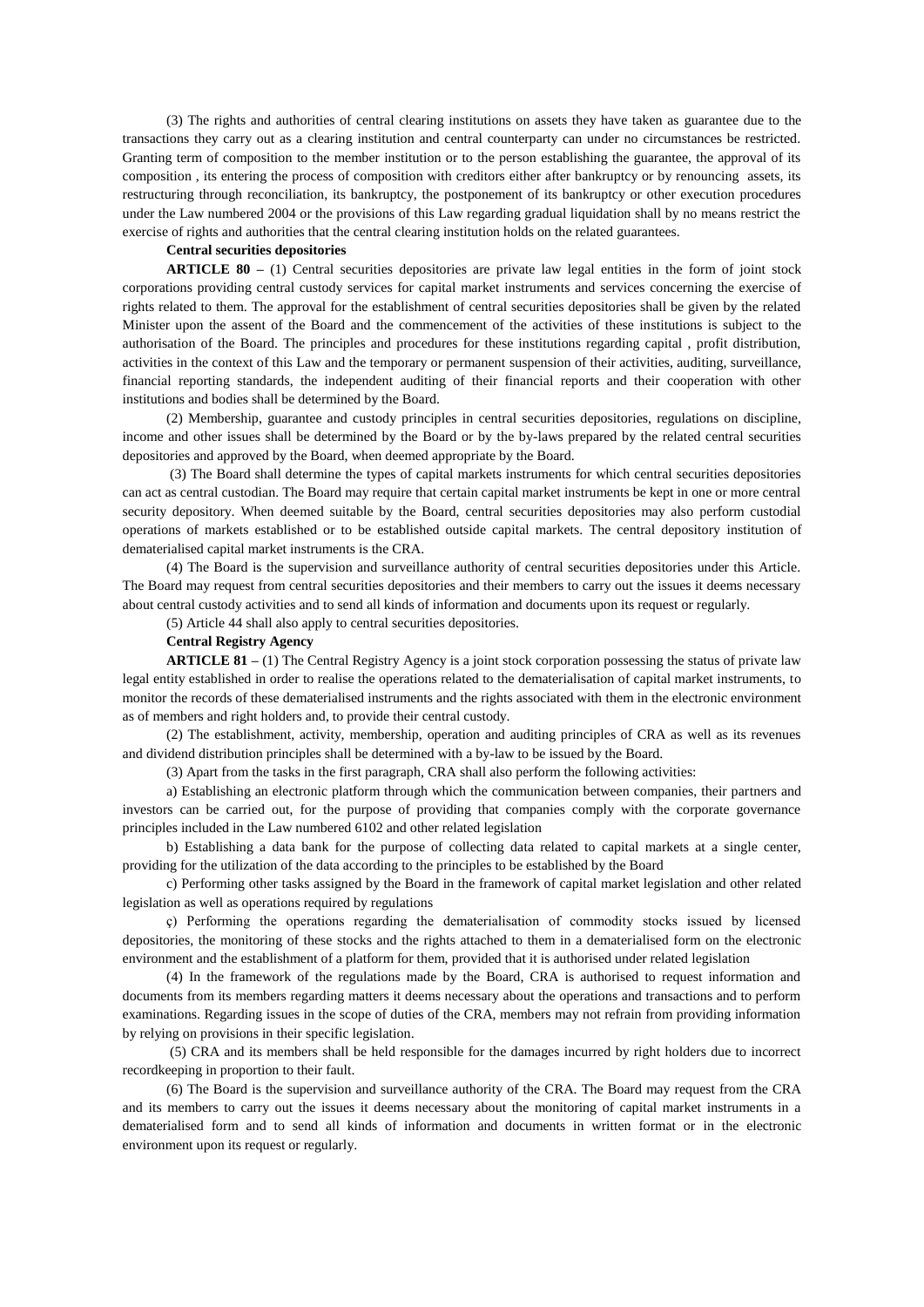(3) The rights and authorities of central clearing institutions on assets they have taken as guarantee due to the transactions they carry out as a clearing institution and central counterparty can under no circumstances be restricted. Granting term of composition to the member institution or to the person establishing the guarantee, the approval of its composition , its entering the process of composition with creditors either after bankruptcy or by renouncing assets, its restructuring through reconciliation, its bankruptcy, the postponement of its bankruptcy or other execution procedures under the Law numbered 2004 or the provisions of this Law regarding gradual liquidation shall by no means restrict the exercise of rights and authorities that the central clearing institution holds on the related guarantees.

### **Central securities depositories**

**ARTICLE 80 –** (1) Central securities depositories are private law legal entities in the form of joint stock corporations providing central custody services for capital market instruments and services concerning the exercise of rights related to them. The approval for the establishment of central securities depositories shall be given by the related Minister upon the assent of the Board and the commencement of the activities of these institutions is subject to the authorisation of the Board. The principles and procedures for these institutions regarding capital , profit distribution, activities in the context of this Law and the temporary or permanent suspension of their activities, auditing, surveillance, financial reporting standards, the independent auditing of their financial reports and their cooperation with other institutions and bodies shall be determined by the Board.

(2) Membership, guarantee and custody principles in central securities depositories, regulations on discipline, income and other issues shall be determined by the Board or by the by-laws prepared by the related central securities depositories and approved by the Board, when deemed appropriate by the Board.

(3) The Board shall determine the types of capital markets instruments for which central securities depositories can act as central custodian. The Board may require that certain capital market instruments be kept in one or more central security depository. When deemed suitable by the Board, central securities depositories may also perform custodial operations of markets established or to be established outside capital markets. The central depository institution of dematerialised capital market instruments is the CRA.

(4) The Board is the supervision and surveillance authority of central securities depositories under this Article. The Board may request from central securities depositories and their members to carry out the issues it deems necessary about central custody activities and to send all kinds of information and documents upon its request or regularly.

(5) Article 44 shall also apply to central securities depositories.

### **Central Registry Agency**

**ARTICLE 81 –** (1) The Central Registry Agency is a joint stock corporation possessing the status of private law legal entity established in order to realise the operations related to the dematerialisation of capital market instruments, to monitor the records of these dematerialised instruments and the rights associated with them in the electronic environment as of members and right holders and, to provide their central custody.

(2) The establishment, activity, membership, operation and auditing principles of CRA as well as its revenues and dividend distribution principles shall be determined with a by-law to be issued by the Board.

(3) Apart from the tasks in the first paragraph, CRA shall also perform the following activities:

a) Establishing an electronic platform through which the communication between companies, their partners and investors can be carried out, for the purpose of providing that companies comply with the corporate governance principles included in the Law numbered 6102 and other related legislation

b) Establishing a data bank for the purpose of collecting data related to capital markets at a single center, providing for the utilization of the data according to the principles to be established by the Board

c) Performing other tasks assigned by the Board in the framework of capital market legislation and other related legislation as well as operations required by regulations

ç) Performing the operations regarding the dematerialisation of commodity stocks issued by licensed depositories, the monitoring of these stocks and the rights attached to them in a dematerialised form on the electronic environment and the establishment of a platform for them, provided that it is authorised under related legislation

(4) In the framework of the regulations made by the Board, CRA is authorised to request information and documents from its members regarding matters it deems necessary about the operations and transactions and to perform examinations. Regarding issues in the scope of duties of the CRA, members may not refrain from providing information by relying on provisions in their specific legislation.

(5) CRA and its members shall be held responsible for the damages incurred by right holders due to incorrect recordkeeping in proportion to their fault.

(6) The Board is the supervision and surveillance authority of the CRA. The Board may request from the CRA and its members to carry out the issues it deems necessary about the monitoring of capital market instruments in a dematerialised form and to send all kinds of information and documents in written format or in the electronic environment upon its request or regularly.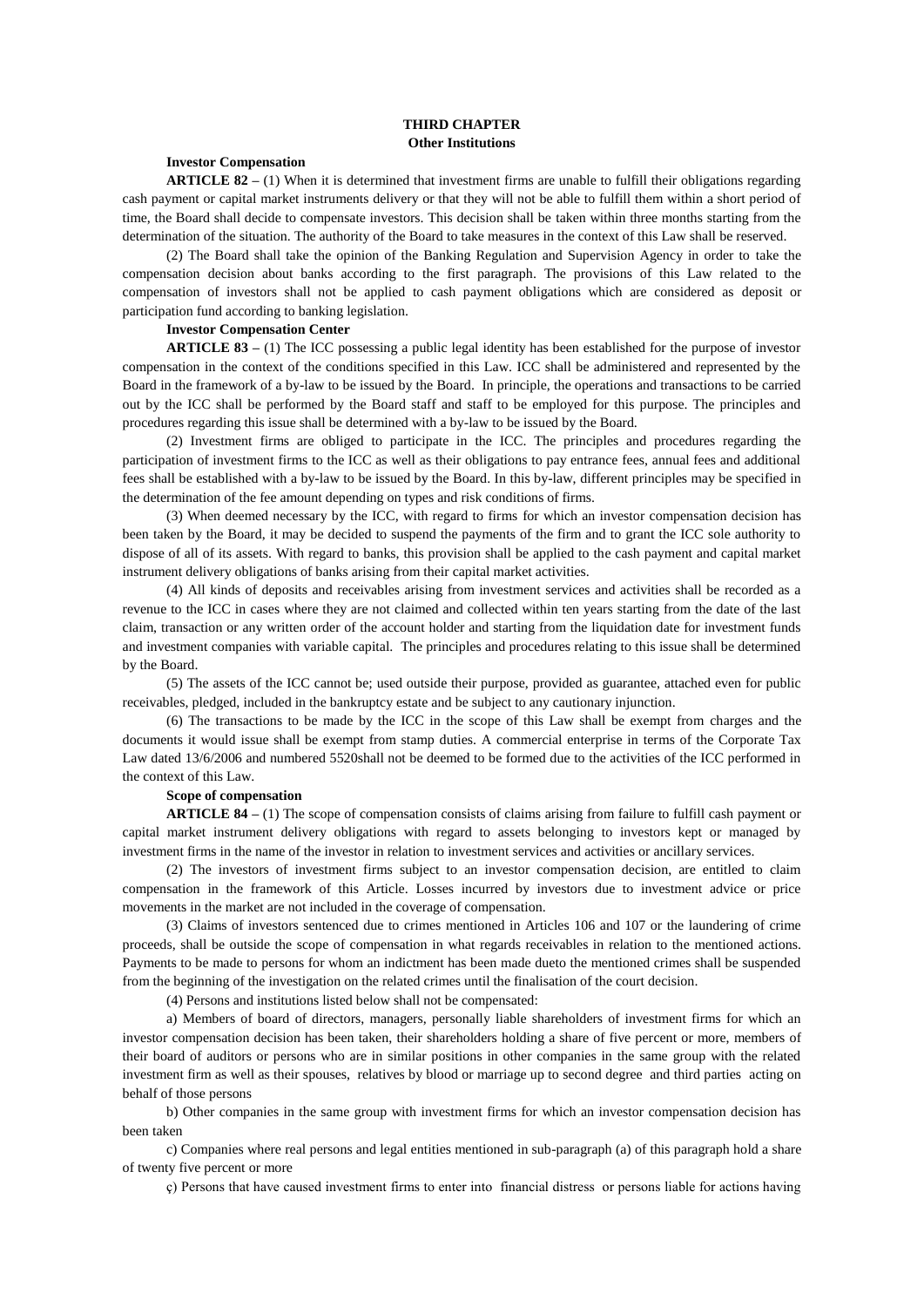### **THIRD CHAPTER Other Institutions**

# **Investor Compensation**

**ARTICLE 82 –** (1) When it is determined that investment firms are unable to fulfill their obligations regarding cash payment or capital market instruments delivery or that they will not be able to fulfill them within a short period of time, the Board shall decide to compensate investors. This decision shall be taken within three months starting from the determination of the situation. The authority of the Board to take measures in the context of this Law shall be reserved.

(2) The Board shall take the opinion of the Banking Regulation and Supervision Agency in order to take the compensation decision about banks according to the first paragraph. The provisions of this Law related to the compensation of investors shall not be applied to cash payment obligations which are considered as deposit or participation fund according to banking legislation.

# **Investor Compensation Center**

**ARTICLE 83 –** (1) The ICC possessing a public legal identity has been established for the purpose of investor compensation in the context of the conditions specified in this Law. ICC shall be administered and represented by the Board in the framework of a by-law to be issued by the Board. In principle, the operations and transactions to be carried out by the ICC shall be performed by the Board staff and staff to be employed for this purpose. The principles and procedures regarding this issue shall be determined with a by-law to be issued by the Board.

(2) Investment firms are obliged to participate in the ICC. The principles and procedures regarding the participation of investment firms to the ICC as well as their obligations to pay entrance fees, annual fees and additional fees shall be established with a by-law to be issued by the Board. In this by-law, different principles may be specified in the determination of the fee amount depending on types and risk conditions of firms.

(3) When deemed necessary by the ICC, with regard to firms for which an investor compensation decision has been taken by the Board, it may be decided to suspend the payments of the firm and to grant the ICC sole authority to dispose of all of its assets. With regard to banks, this provision shall be applied to the cash payment and capital market instrument delivery obligations of banks arising from their capital market activities.

(4) All kinds of deposits and receivables arising from investment services and activities shall be recorded as a revenue to the ICC in cases where they are not claimed and collected within ten years starting from the date of the last claim, transaction or any written order of the account holder and starting from the liquidation date for investment funds and investment companies with variable capital. The principles and procedures relating to this issue shall be determined by the Board.

(5) The assets of the ICC cannot be; used outside their purpose, provided as guarantee, attached even for public receivables, pledged, included in the bankruptcy estate and be subject to any cautionary injunction.

(6) The transactions to be made by the ICC in the scope of this Law shall be exempt from charges and the documents it would issue shall be exempt from stamp duties. A commercial enterprise in terms of the Corporate Tax Law dated 13/6/2006 and numbered 5520shall not be deemed to be formed due to the activities of the ICC performed in the context of this Law.

#### **Scope of compensation**

**ARTICLE 84 –** (1) The scope of compensation consists of claims arising from failure to fulfill cash payment or capital market instrument delivery obligations with regard to assets belonging to investors kept or managed by investment firms in the name of the investor in relation to investment services and activities or ancillary services.

(2) The investors of investment firms subject to an investor compensation decision, are entitled to claim compensation in the framework of this Article. Losses incurred by investors due to investment advice or price movements in the market are not included in the coverage of compensation.

(3) Claims of investors sentenced due to crimes mentioned in Articles 106 and 107 or the laundering of crime proceeds, shall be outside the scope of compensation in what regards receivables in relation to the mentioned actions. Payments to be made to persons for whom an indictment has been made dueto the mentioned crimes shall be suspended from the beginning of the investigation on the related crimes until the finalisation of the court decision.

(4) Persons and institutions listed below shall not be compensated:

a) Members of board of directors, managers, personally liable shareholders of investment firms for which an investor compensation decision has been taken, their shareholders holding a share of five percent or more, members of their board of auditors or persons who are in similar positions in other companies in the same group with the related investment firm as well as their spouses, relatives by blood or marriage up to second degree and third parties acting on behalf of those persons

b) Other companies in the same group with investment firms for which an investor compensation decision has been taken

c) Companies where real persons and legal entities mentioned in sub-paragraph (a) of this paragraph hold a share of twenty five percent or more

ç) Persons that have caused investment firms to enter into financial distress or persons liable for actions having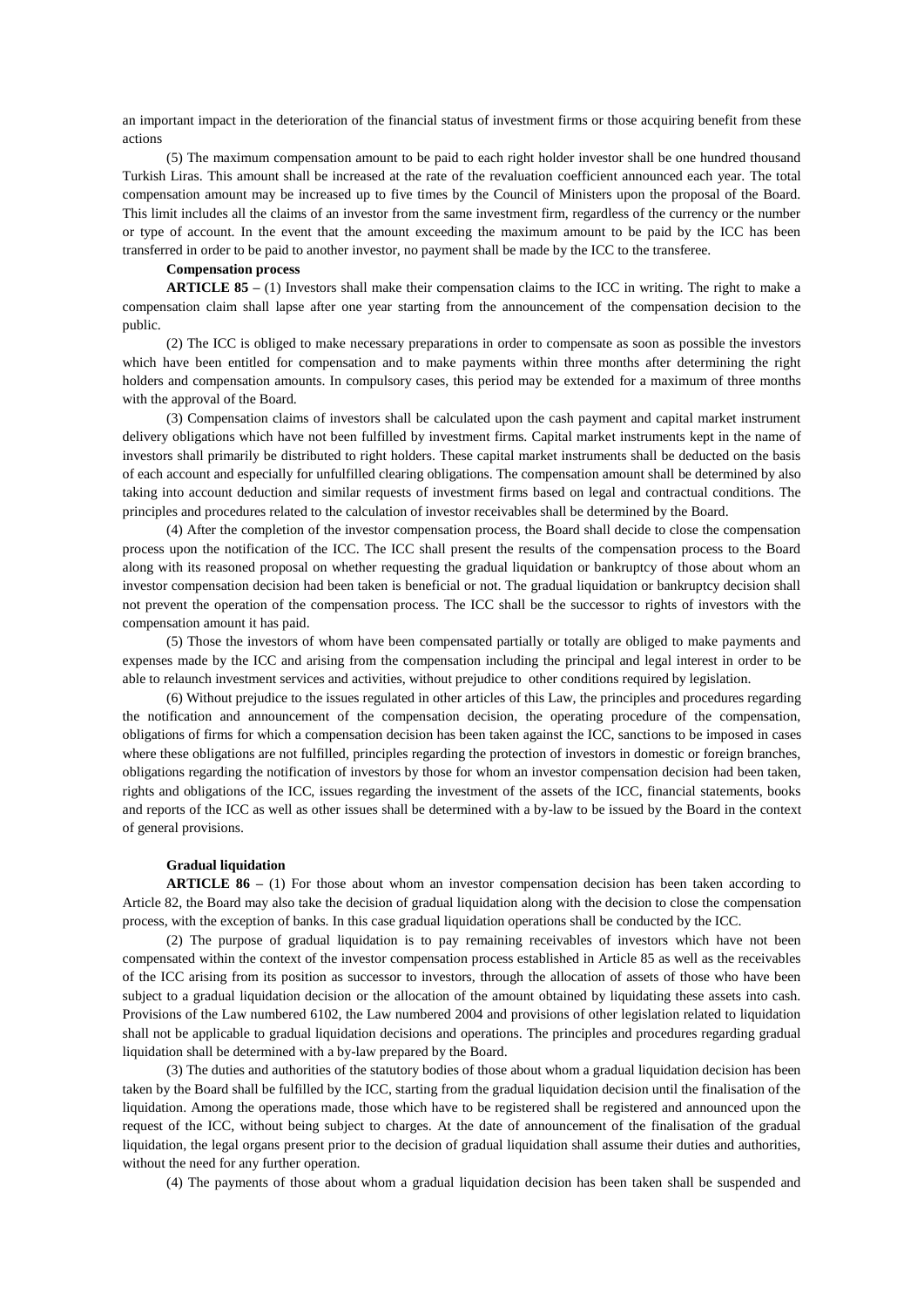an important impact in the deterioration of the financial status of investment firms or those acquiring benefit from these actions

(5) The maximum compensation amount to be paid to each right holder investor shall be one hundred thousand Turkish Liras. This amount shall be increased at the rate of the revaluation coefficient announced each year. The total compensation amount may be increased up to five times by the Council of Ministers upon the proposal of the Board. This limit includes all the claims of an investor from the same investment firm, regardless of the currency or the number or type of account. In the event that the amount exceeding the maximum amount to be paid by the ICC has been transferred in order to be paid to another investor, no payment shall be made by the ICC to the transferee.

### **Compensation process**

**ARTICLE 85** – (1) Investors shall make their compensation claims to the ICC in writing. The right to make a compensation claim shall lapse after one year starting from the announcement of the compensation decision to the public.

(2) The ICC is obliged to make necessary preparations in order to compensate as soon as possible the investors which have been entitled for compensation and to make payments within three months after determining the right holders and compensation amounts. In compulsory cases, this period may be extended for a maximum of three months with the approval of the Board.

(3) Compensation claims of investors shall be calculated upon the cash payment and capital market instrument delivery obligations which have not been fulfilled by investment firms. Capital market instruments kept in the name of investors shall primarily be distributed to right holders. These capital market instruments shall be deducted on the basis of each account and especially for unfulfilled clearing obligations. The compensation amount shall be determined by also taking into account deduction and similar requests of investment firms based on legal and contractual conditions. The principles and procedures related to the calculation of investor receivables shall be determined by the Board.

(4) After the completion of the investor compensation process, the Board shall decide to close the compensation process upon the notification of the ICC. The ICC shall present the results of the compensation process to the Board along with its reasoned proposal on whether requesting the gradual liquidation or bankruptcy of those about whom an investor compensation decision had been taken is beneficial or not. The gradual liquidation or bankruptcy decision shall not prevent the operation of the compensation process. The ICC shall be the successor to rights of investors with the compensation amount it has paid.

(5) Those the investors of whom have been compensated partially or totally are obliged to make payments and expenses made by the ICC and arising from the compensation including the principal and legal interest in order to be able to relaunch investment services and activities, without prejudice to other conditions required by legislation.

(6) Without prejudice to the issues regulated in other articles of this Law, the principles and procedures regarding the notification and announcement of the compensation decision, the operating procedure of the compensation, obligations of firms for which a compensation decision has been taken against the ICC, sanctions to be imposed in cases where these obligations are not fulfilled, principles regarding the protection of investors in domestic or foreign branches, obligations regarding the notification of investors by those for whom an investor compensation decision had been taken, rights and obligations of the ICC, issues regarding the investment of the assets of the ICC, financial statements, books and reports of the ICC as well as other issues shall be determined with a by-law to be issued by the Board in the context of general provisions.

#### **Gradual liquidation**

**ARTICLE 86** – (1) For those about whom an investor compensation decision has been taken according to Article 82, the Board may also take the decision of gradual liquidation along with the decision to close the compensation process, with the exception of banks. In this case gradual liquidation operations shall be conducted by the ICC.

(2) The purpose of gradual liquidation is to pay remaining receivables of investors which have not been compensated within the context of the investor compensation process established in Article 85 as well as the receivables of the ICC arising from its position as successor to investors, through the allocation of assets of those who have been subject to a gradual liquidation decision or the allocation of the amount obtained by liquidating these assets into cash. Provisions of the Law numbered 6102, the Law numbered 2004 and provisions of other legislation related to liquidation shall not be applicable to gradual liquidation decisions and operations. The principles and procedures regarding gradual liquidation shall be determined with a by-law prepared by the Board.

(3) The duties and authorities of the statutory bodies of those about whom a gradual liquidation decision has been taken by the Board shall be fulfilled by the ICC, starting from the gradual liquidation decision until the finalisation of the liquidation. Among the operations made, those which have to be registered shall be registered and announced upon the request of the ICC, without being subject to charges. At the date of announcement of the finalisation of the gradual liquidation, the legal organs present prior to the decision of gradual liquidation shall assume their duties and authorities, without the need for any further operation.

(4) The payments of those about whom a gradual liquidation decision has been taken shall be suspended and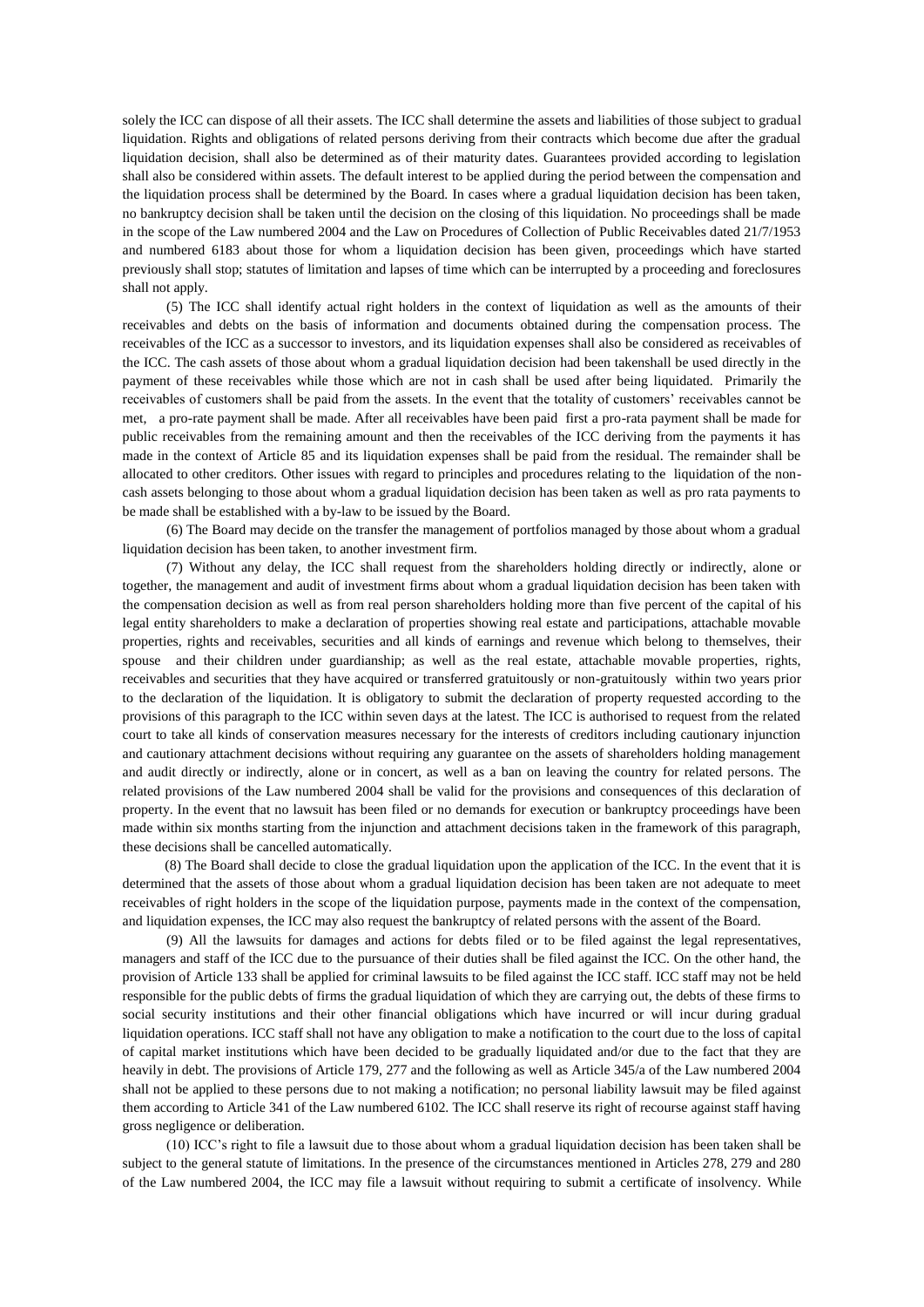solely the ICC can dispose of all their assets. The ICC shall determine the assets and liabilities of those subject to gradual liquidation. Rights and obligations of related persons deriving from their contracts which become due after the gradual liquidation decision, shall also be determined as of their maturity dates. Guarantees provided according to legislation shall also be considered within assets. The default interest to be applied during the period between the compensation and the liquidation process shall be determined by the Board. In cases where a gradual liquidation decision has been taken, no bankruptcy decision shall be taken until the decision on the closing of this liquidation. No proceedings shall be made in the scope of the Law numbered 2004 and the Law on Procedures of Collection of Public Receivables dated 21/7/1953 and numbered 6183 about those for whom a liquidation decision has been given, proceedings which have started previously shall stop; statutes of limitation and lapses of time which can be interrupted by a proceeding and foreclosures shall not apply.

(5) The ICC shall identify actual right holders in the context of liquidation as well as the amounts of their receivables and debts on the basis of information and documents obtained during the compensation process. The receivables of the ICC as a successor to investors, and its liquidation expenses shall also be considered as receivables of the ICC. The cash assets of those about whom a gradual liquidation decision had been takenshall be used directly in the payment of these receivables while those which are not in cash shall be used after being liquidated. Primarily the receivables of customers shall be paid from the assets. In the event that the totality of customers' receivables cannot be met, a pro-rate payment shall be made. After all receivables have been paid first a pro-rata payment shall be made for public receivables from the remaining amount and then the receivables of the ICC deriving from the payments it has made in the context of Article 85 and its liquidation expenses shall be paid from the residual. The remainder shall be allocated to other creditors. Other issues with regard to principles and procedures relating to the liquidation of the noncash assets belonging to those about whom a gradual liquidation decision has been taken as well as pro rata payments to be made shall be established with a by-law to be issued by the Board.

(6) The Board may decide on the transfer the management of portfolios managed by those about whom a gradual liquidation decision has been taken, to another investment firm.

(7) Without any delay, the ICC shall request from the shareholders holding directly or indirectly, alone or together, the management and audit of investment firms about whom a gradual liquidation decision has been taken with the compensation decision as well as from real person shareholders holding more than five percent of the capital of his legal entity shareholders to make a declaration of properties showing real estate and participations, attachable movable properties, rights and receivables, securities and all kinds of earnings and revenue which belong to themselves, their spouse and their children under guardianship; as well as the real estate, attachable movable properties, rights, receivables and securities that they have acquired or transferred gratuitously or non-gratuitously within two years prior to the declaration of the liquidation. It is obligatory to submit the declaration of property requested according to the provisions of this paragraph to the ICC within seven days at the latest. The ICC is authorised to request from the related court to take all kinds of conservation measures necessary for the interests of creditors including cautionary injunction and cautionary attachment decisions without requiring any guarantee on the assets of shareholders holding management and audit directly or indirectly, alone or in concert, as well as a ban on leaving the country for related persons. The related provisions of the Law numbered 2004 shall be valid for the provisions and consequences of this declaration of property. In the event that no lawsuit has been filed or no demands for execution or bankruptcy proceedings have been made within six months starting from the injunction and attachment decisions taken in the framework of this paragraph, these decisions shall be cancelled automatically.

(8) The Board shall decide to close the gradual liquidation upon the application of the ICC. In the event that it is determined that the assets of those about whom a gradual liquidation decision has been taken are not adequate to meet receivables of right holders in the scope of the liquidation purpose, payments made in the context of the compensation, and liquidation expenses, the ICC may also request the bankruptcy of related persons with the assent of the Board.

(9) All the lawsuits for damages and actions for debts filed or to be filed against the legal representatives, managers and staff of the ICC due to the pursuance of their duties shall be filed against the ICC. On the other hand, the provision of Article 133 shall be applied for criminal lawsuits to be filed against the ICC staff. ICC staff may not be held responsible for the public debts of firms the gradual liquidation of which they are carrying out, the debts of these firms to social security institutions and their other financial obligations which have incurred or will incur during gradual liquidation operations. ICC staff shall not have any obligation to make a notification to the court due to the loss of capital of capital market institutions which have been decided to be gradually liquidated and/or due to the fact that they are heavily in debt. The provisions of Article 179, 277 and the following as well as Article 345/a of the Law numbered 2004 shall not be applied to these persons due to not making a notification; no personal liability lawsuit may be filed against them according to Article 341 of the Law numbered 6102. The ICC shall reserve its right of recourse against staff having gross negligence or deliberation.

(10) ICC's right to file a lawsuit due to those about whom a gradual liquidation decision has been taken shall be subject to the general statute of limitations. In the presence of the circumstances mentioned in Articles 278, 279 and 280 of the Law numbered 2004, the ICC may file a lawsuit without requiring to submit a certificate of insolvency. While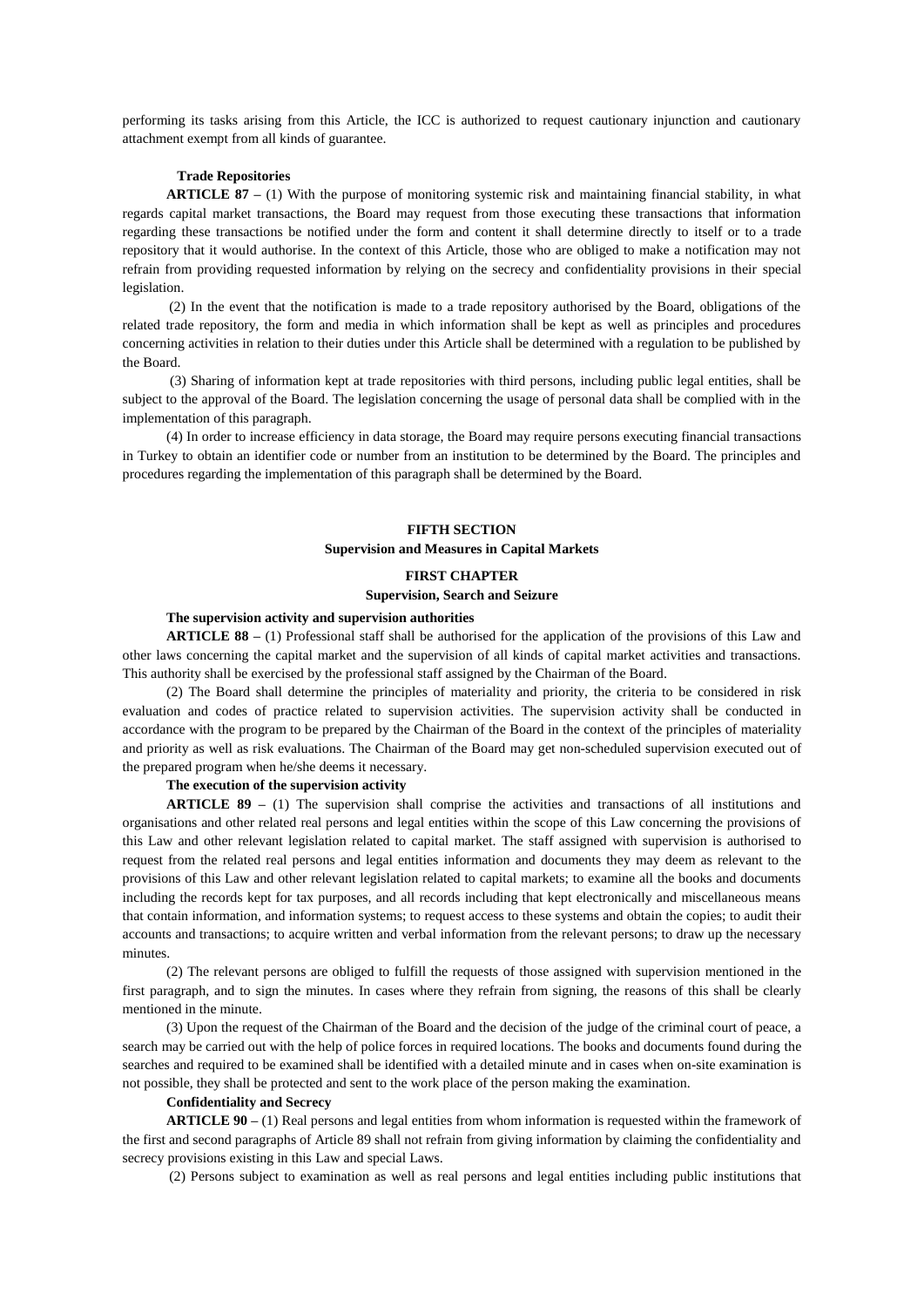performing its tasks arising from this Article, the ICC is authorized to request cautionary injunction and cautionary attachment exempt from all kinds of guarantee.

### **Trade Repositories**

**ARTICLE 87 –** (1) With the purpose of monitoring systemic risk and maintaining financial stability, in what regards capital market transactions, the Board may request from those executing these transactions that information regarding these transactions be notified under the form and content it shall determine directly to itself or to a trade repository that it would authorise. In the context of this Article, those who are obliged to make a notification may not refrain from providing requested information by relying on the secrecy and confidentiality provisions in their special legislation.

(2) In the event that the notification is made to a trade repository authorised by the Board, obligations of the related trade repository, the form and media in which information shall be kept as well as principles and procedures concerning activities in relation to their duties under this Article shall be determined with a regulation to be published by the Board.

(3) Sharing of information kept at trade repositories with third persons, including public legal entities, shall be subject to the approval of the Board. The legislation concerning the usage of personal data shall be complied with in the implementation of this paragraph.

(4) In order to increase efficiency in data storage, the Board may require persons executing financial transactions in Turkey to obtain an identifier code or number from an institution to be determined by the Board. The principles and procedures regarding the implementation of this paragraph shall be determined by the Board.

# **FIFTH SECTION Supervision and Measures in Capital Markets**

# **FIRST CHAPTER Supervision, Search and Seizure**

### **The supervision activity and supervision authorities**

**ARTICLE 88 –** (1) Professional staff shall be authorised for the application of the provisions of this Law and other laws concerning the capital market and the supervision of all kinds of capital market activities and transactions. This authority shall be exercised by the professional staff assigned by the Chairman of the Board.

(2) The Board shall determine the principles of materiality and priority, the criteria to be considered in risk evaluation and codes of practice related to supervision activities. The supervision activity shall be conducted in accordance with the program to be prepared by the Chairman of the Board in the context of the principles of materiality and priority as well as risk evaluations. The Chairman of the Board may get non-scheduled supervision executed out of the prepared program when he/she deems it necessary.

### **The execution of the supervision activity**

**ARTICLE 89 –** (1) The supervision shall comprise the activities and transactions of all institutions and organisations and other related real persons and legal entities within the scope of this Law concerning the provisions of this Law and other relevant legislation related to capital market. The staff assigned with supervision is authorised to request from the related real persons and legal entities information and documents they may deem as relevant to the provisions of this Law and other relevant legislation related to capital markets; to examine all the books and documents including the records kept for tax purposes, and all records including that kept electronically and miscellaneous means that contain information, and information systems; to request access to these systems and obtain the copies; to audit their accounts and transactions; to acquire written and verbal information from the relevant persons; to draw up the necessary minutes.

(2) The relevant persons are obliged to fulfill the requests of those assigned with supervision mentioned in the first paragraph, and to sign the minutes. In cases where they refrain from signing, the reasons of this shall be clearly mentioned in the minute.

(3) Upon the request of the Chairman of the Board and the decision of the judge of the criminal court of peace, a search may be carried out with the help of police forces in required locations. The books and documents found during the searches and required to be examined shall be identified with a detailed minute and in cases when on-site examination is not possible, they shall be protected and sent to the work place of the person making the examination.

#### **Confidentiality and Secrecy**

**ARTICLE 90 –** (1) Real persons and legal entities from whom information is requested within the framework of the first and second paragraphs of Article 89 shall not refrain from giving information by claiming the confidentiality and secrecy provisions existing in this Law and special Laws.

(2) Persons subject to examination as well as real persons and legal entities including public institutions that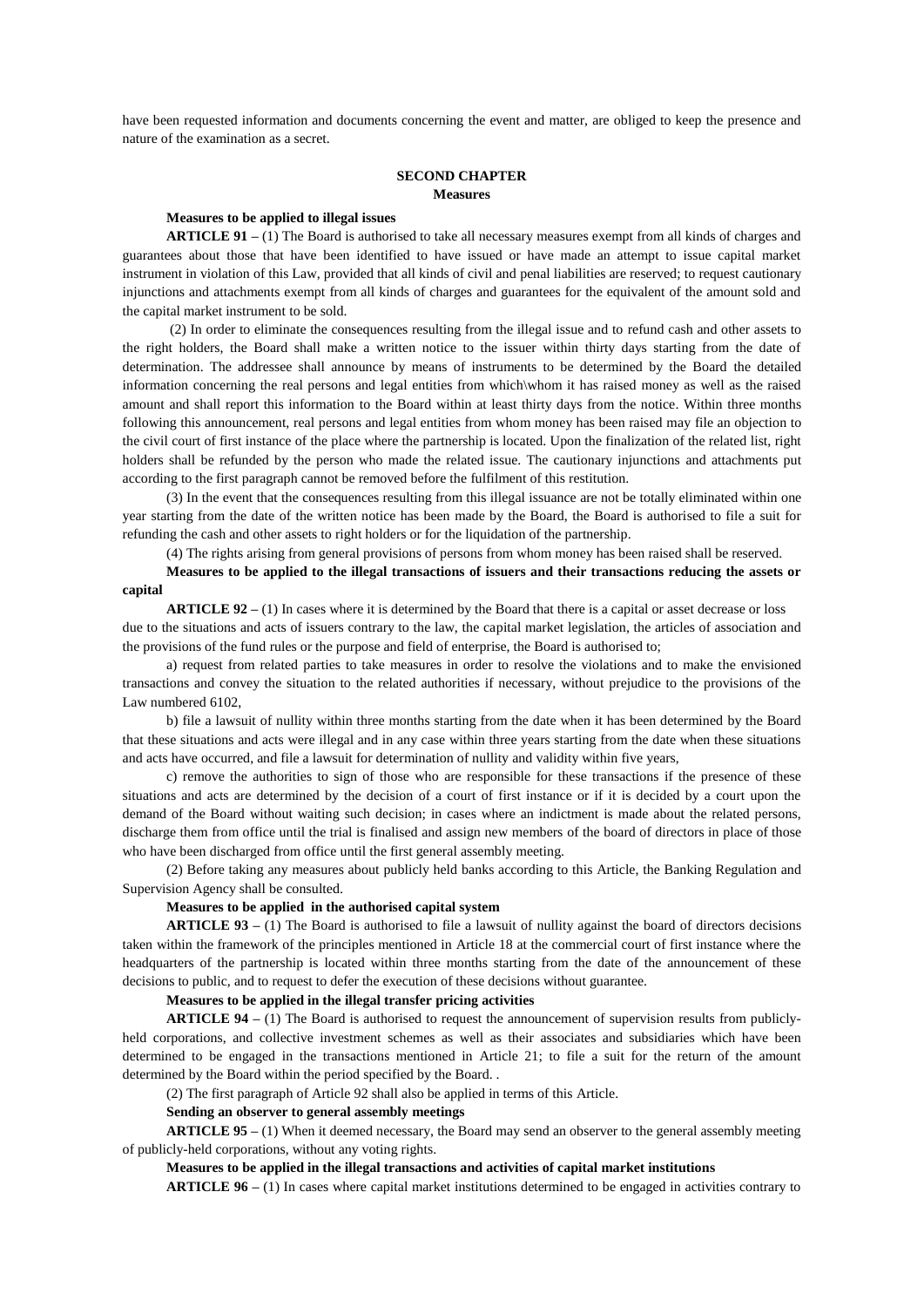have been requested information and documents concerning the event and matter, are obliged to keep the presence and nature of the examination as a secret.

# **SECOND CHAPTER Measures**

### **Measures to be applied to illegal issues**

**ARTICLE 91 –** (1) The Board is authorised to take all necessary measures exempt from all kinds of charges and guarantees about those that have been identified to have issued or have made an attempt to issue capital market instrument in violation of this Law, provided that all kinds of civil and penal liabilities are reserved; to request cautionary injunctions and attachments exempt from all kinds of charges and guarantees for the equivalent of the amount sold and the capital market instrument to be sold.

(2) In order to eliminate the consequences resulting from the illegal issue and to refund cash and other assets to the right holders, the Board shall make a written notice to the issuer within thirty days starting from the date of determination. The addressee shall announce by means of instruments to be determined by the Board the detailed information concerning the real persons and legal entities from which\whom it has raised money as well as the raised amount and shall report this information to the Board within at least thirty days from the notice. Within three months following this announcement, real persons and legal entities from whom money has been raised may file an objection to the civil court of first instance of the place where the partnership is located. Upon the finalization of the related list, right holders shall be refunded by the person who made the related issue. The cautionary injunctions and attachments put according to the first paragraph cannot be removed before the fulfilment of this restitution.

(3) In the event that the consequences resulting from this illegal issuance are not be totally eliminated within one year starting from the date of the written notice has been made by the Board, the Board is authorised to file a suit for refunding the cash and other assets to right holders or for the liquidation of the partnership.

(4) The rights arising from general provisions of persons from whom money has been raised shall be reserved.

**Measures to be applied to the illegal transactions of issuers and their transactions reducing the assets or capital**

**ARTICLE 92 –** (1) In cases where it is determined by the Board that there is a capital or asset decrease or loss due to the situations and acts of issuers contrary to the law, the capital market legislation, the articles of association and the provisions of the fund rules or the purpose and field of enterprise, the Board is authorised to;

a) request from related parties to take measures in order to resolve the violations and to make the envisioned transactions and convey the situation to the related authorities if necessary, without prejudice to the provisions of the Law numbered 6102,

b) file a lawsuit of nullity within three months starting from the date when it has been determined by the Board that these situations and acts were illegal and in any case within three years starting from the date when these situations and acts have occurred, and file a lawsuit for determination of nullity and validity within five years,

c) remove the authorities to sign of those who are responsible for these transactions if the presence of these situations and acts are determined by the decision of a court of first instance or if it is decided by a court upon the demand of the Board without waiting such decision; in cases where an indictment is made about the related persons, discharge them from office until the trial is finalised and assign new members of the board of directors in place of those who have been discharged from office until the first general assembly meeting.

(2) Before taking any measures about publicly held banks according to this Article, the Banking Regulation and Supervision Agency shall be consulted.

### **Measures to be applied in the authorised capital system**

**ARTICLE 93 –** (1) The Board is authorised to file a lawsuit of nullity against the board of directors decisions taken within the framework of the principles mentioned in Article 18 at the commercial court of first instance where the headquarters of the partnership is located within three months starting from the date of the announcement of these decisions to public, and to request to defer the execution of these decisions without guarantee.

#### **Measures to be applied in the illegal transfer pricing activities**

**ARTICLE 94 –** (1) The Board is authorised to request the announcement of supervision results from publiclyheld corporations, and collective investment schemes as well as their associates and subsidiaries which have been determined to be engaged in the transactions mentioned in Article 21; to file a suit for the return of the amount determined by the Board within the period specified by the Board. .

(2) The first paragraph of Article 92 shall also be applied in terms of this Article.

#### **Sending an observer to general assembly meetings**

**ARTICLE 95 –** (1) When it deemed necessary, the Board may send an observer to the general assembly meeting of publicly-held corporations, without any voting rights.

## **Measures to be applied in the illegal transactions and activities of capital market institutions**

**ARTICLE 96 –** (1) In cases where capital market institutions determined to be engaged in activities contrary to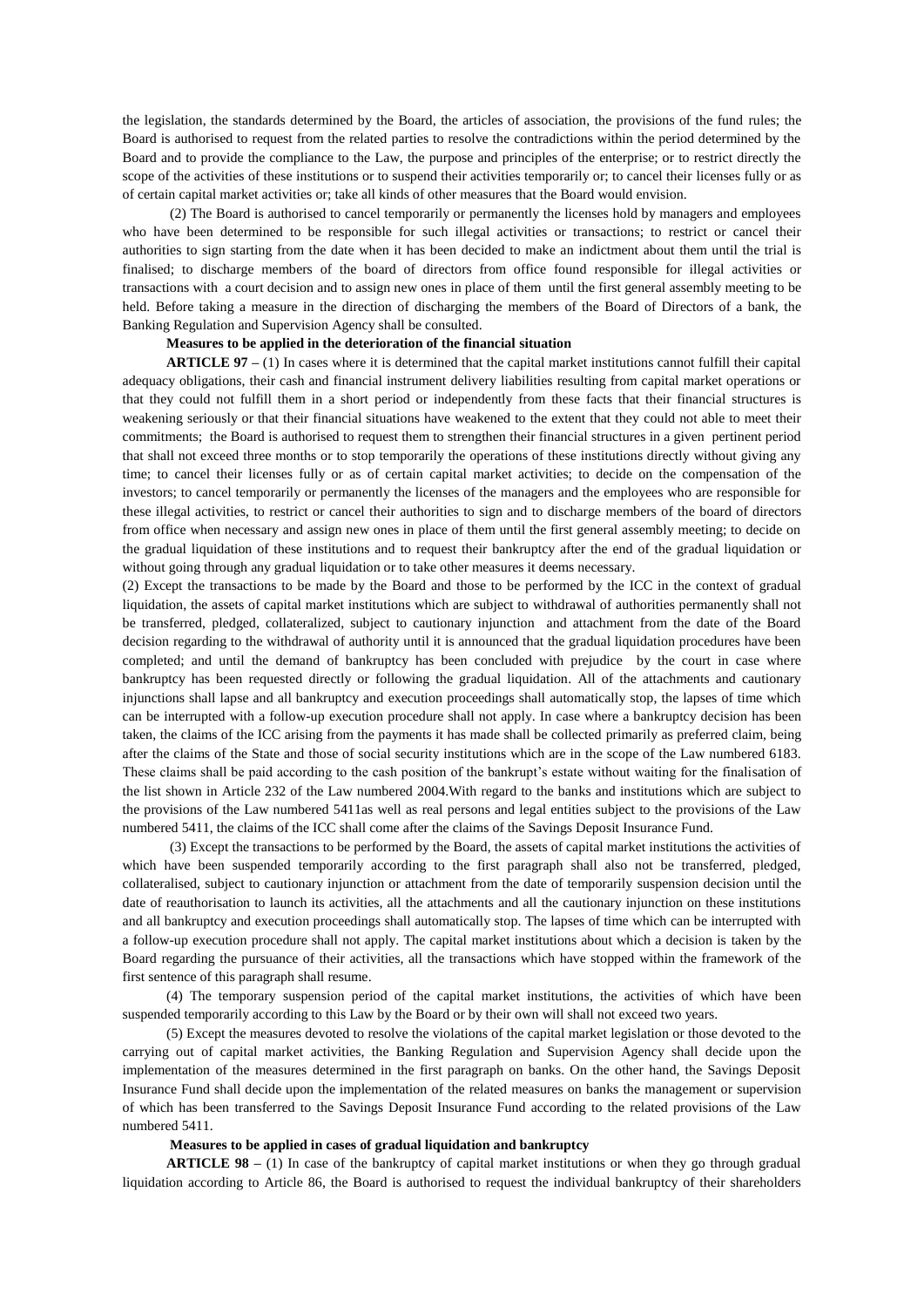the legislation, the standards determined by the Board, the articles of association, the provisions of the fund rules; the Board is authorised to request from the related parties to resolve the contradictions within the period determined by the Board and to provide the compliance to the Law, the purpose and principles of the enterprise; or to restrict directly the scope of the activities of these institutions or to suspend their activities temporarily or; to cancel their licenses fully or as of certain capital market activities or; take all kinds of other measures that the Board would envision.

(2) The Board is authorised to cancel temporarily or permanently the licenses hold by managers and employees who have been determined to be responsible for such illegal activities or transactions; to restrict or cancel their authorities to sign starting from the date when it has been decided to make an indictment about them until the trial is finalised; to discharge members of the board of directors from office found responsible for illegal activities or transactions with a court decision and to assign new ones in place of them until the first general assembly meeting to be held. Before taking a measure in the direction of discharging the members of the Board of Directors of a bank, the Banking Regulation and Supervision Agency shall be consulted.

### **Measures to be applied in the deterioration of the financial situation**

**ARTICLE 97 –** (1) In cases where it is determined that the capital market institutions cannot fulfill their capital adequacy obligations, their cash and financial instrument delivery liabilities resulting from capital market operations or that they could not fulfill them in a short period or independently from these facts that their financial structures is weakening seriously or that their financial situations have weakened to the extent that they could not able to meet their commitments; the Board is authorised to request them to strengthen their financial structures in a given pertinent period that shall not exceed three months or to stop temporarily the operations of these institutions directly without giving any time; to cancel their licenses fully or as of certain capital market activities; to decide on the compensation of the investors; to cancel temporarily or permanently the licenses of the managers and the employees who are responsible for these illegal activities, to restrict or cancel their authorities to sign and to discharge members of the board of directors from office when necessary and assign new ones in place of them until the first general assembly meeting; to decide on the gradual liquidation of these institutions and to request their bankruptcy after the end of the gradual liquidation or without going through any gradual liquidation or to take other measures it deems necessary.

(2) Except the transactions to be made by the Board and those to be performed by the ICC in the context of gradual liquidation, the assets of capital market institutions which are subject to withdrawal of authorities permanently shall not be transferred, pledged, collateralized, subject to cautionary injunction and attachment from the date of the Board decision regarding to the withdrawal of authority until it is announced that the gradual liquidation procedures have been completed; and until the demand of bankruptcy has been concluded with prejudice by the court in case where bankruptcy has been requested directly or following the gradual liquidation. All of the attachments and cautionary injunctions shall lapse and all bankruptcy and execution proceedings shall automatically stop, the lapses of time which can be interrupted with a follow-up execution procedure shall not apply. In case where a bankruptcy decision has been taken, the claims of the ICC arising from the payments it has made shall be collected primarily as preferred claim, being after the claims of the State and those of social security institutions which are in the scope of the Law numbered 6183. These claims shall be paid according to the cash position of the bankrupt's estate without waiting for the finalisation of the list shown in Article 232 of the Law numbered 2004.With regard to the banks and institutions which are subject to the provisions of the Law numbered 5411as well as real persons and legal entities subject to the provisions of the Law numbered 5411, the claims of the ICC shall come after the claims of the Savings Deposit Insurance Fund.

(3) Except the transactions to be performed by the Board, the assets of capital market institutions the activities of which have been suspended temporarily according to the first paragraph shall also not be transferred, pledged, collateralised, subject to cautionary injunction or attachment from the date of temporarily suspension decision until the date of reauthorisation to launch its activities, all the attachments and all the cautionary injunction on these institutions and all bankruptcy and execution proceedings shall automatically stop. The lapses of time which can be interrupted with a follow-up execution procedure shall not apply. The capital market institutions about which a decision is taken by the Board regarding the pursuance of their activities, all the transactions which have stopped within the framework of the first sentence of this paragraph shall resume.

(4) The temporary suspension period of the capital market institutions, the activities of which have been suspended temporarily according to this Law by the Board or by their own will shall not exceed two years.

(5) Except the measures devoted to resolve the violations of the capital market legislation or those devoted to the carrying out of capital market activities, the Banking Regulation and Supervision Agency shall decide upon the implementation of the measures determined in the first paragraph on banks. On the other hand, the Savings Deposit Insurance Fund shall decide upon the implementation of the related measures on banks the management or supervision of which has been transferred to the Savings Deposit Insurance Fund according to the related provisions of the Law numbered 5411.

### **Measures to be applied in cases of gradual liquidation and bankruptcy**

**ARTICLE 98** – (1) In case of the bankruptcy of capital market institutions or when they go through gradual liquidation according to Article 86, the Board is authorised to request the individual bankruptcy of their shareholders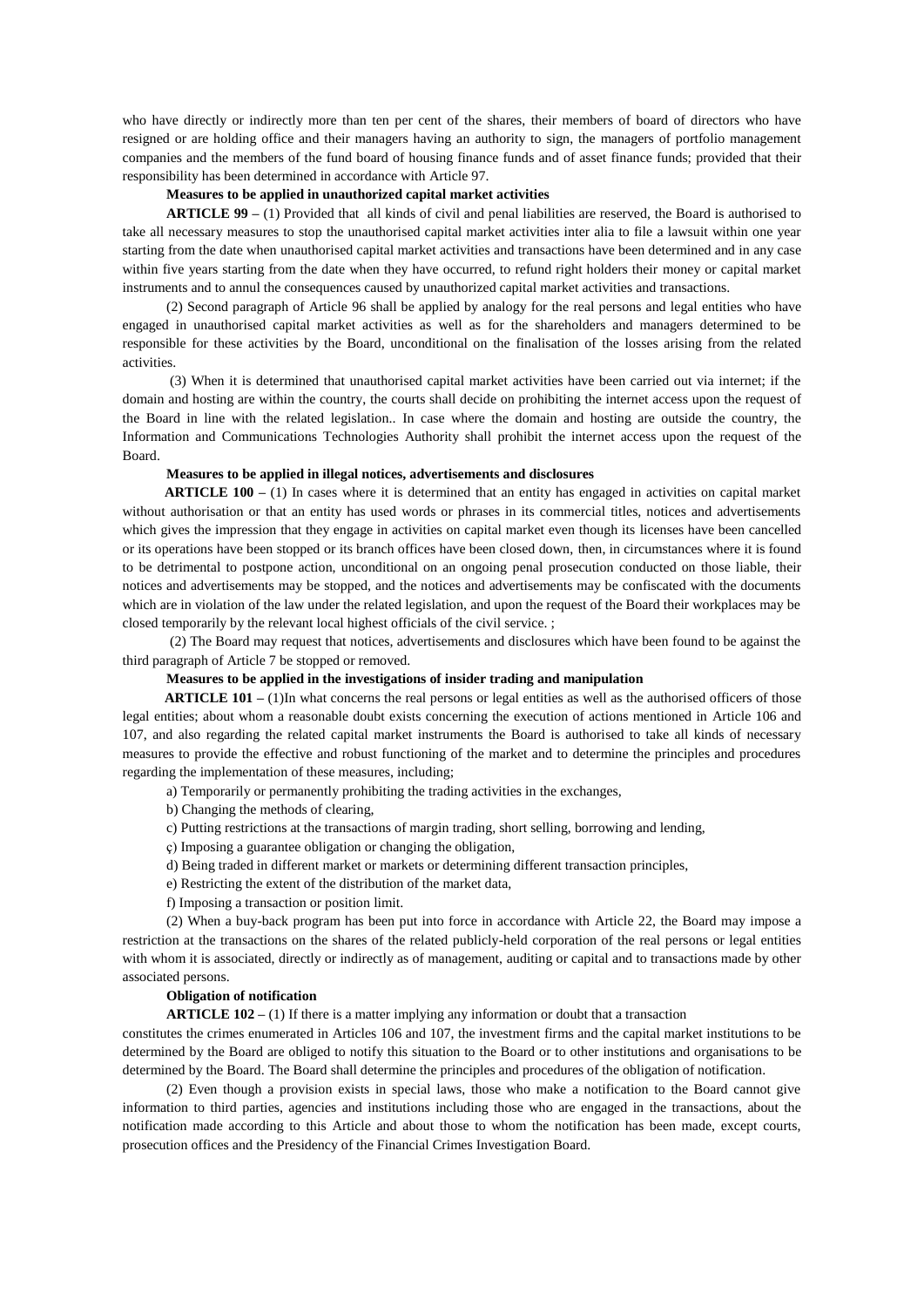who have directly or indirectly more than ten per cent of the shares, their members of board of directors who have resigned or are holding office and their managers having an authority to sign, the managers of portfolio management companies and the members of the fund board of housing finance funds and of asset finance funds; provided that their responsibility has been determined in accordance with Article 97.

### **Measures to be applied in unauthorized capital market activities**

**ARTICLE 99 –** (1) Provided that all kinds of civil and penal liabilities are reserved, the Board is authorised to take all necessary measures to stop the unauthorised capital market activities inter alia to file a lawsuit within one year starting from the date when unauthorised capital market activities and transactions have been determined and in any case within five years starting from the date when they have occurred, to refund right holders their money or capital market instruments and to annul the consequences caused by unauthorized capital market activities and transactions.

(2) Second paragraph of Article 96 shall be applied by analogy for the real persons and legal entities who have engaged in unauthorised capital market activities as well as for the shareholders and managers determined to be responsible for these activities by the Board, unconditional on the finalisation of the losses arising from the related activities.

(3) When it is determined that unauthorised capital market activities have been carried out via internet; if the domain and hosting are within the country, the courts shall decide on prohibiting the internet access upon the request of the Board in line with the related legislation.. In case where the domain and hosting are outside the country, the Information and Communications Technologies Authority shall prohibit the internet access upon the request of the Board.

### **Measures to be applied in illegal notices, advertisements and disclosures**

**ARTICLE 100** – (1) In cases where it is determined that an entity has engaged in activities on capital market without authorisation or that an entity has used words or phrases in its commercial titles, notices and advertisements which gives the impression that they engage in activities on capital market even though its licenses have been cancelled or its operations have been stopped or its branch offices have been closed down, then, in circumstances where it is found to be detrimental to postpone action, unconditional on an ongoing penal prosecution conducted on those liable, their notices and advertisements may be stopped, and the notices and advertisements may be confiscated with the documents which are in violation of the law under the related legislation, and upon the request of the Board their workplaces may be closed temporarily by the relevant local highest officials of the civil service. ;

(2) The Board may request that notices, advertisements and disclosures which have been found to be against the third paragraph of Article 7 be stopped or removed.

### **Measures to be applied in the investigations of insider trading and manipulation**

 **ARTICLE 101 –** (1)In what concerns the real persons or legal entities as well as the authorised officers of those legal entities; about whom a reasonable doubt exists concerning the execution of actions mentioned in Article 106 and 107, and also regarding the related capital market instruments the Board is authorised to take all kinds of necessary measures to provide the effective and robust functioning of the market and to determine the principles and procedures regarding the implementation of these measures, including;

a) Temporarily or permanently prohibiting the trading activities in the exchanges,

b) Changing the methods of clearing,

- c) Putting restrictions at the transactions of margin trading, short selling, borrowing and lending,
- ç) Imposing a guarantee obligation or changing the obligation,
- d) Being traded in different market or markets or determining different transaction principles,
- e) Restricting the extent of the distribution of the market data,
- f) Imposing a transaction or position limit.

(2) When a buy-back program has been put into force in accordance with Article 22, the Board may impose a restriction at the transactions on the shares of the related publicly-held corporation of the real persons or legal entities with whom it is associated, directly or indirectly as of management, auditing or capital and to transactions made by other associated persons.

### **Obligation of notification**

**ARTICLE 102 –** (1) If there is a matter implying any information or doubt that a transaction

constitutes the crimes enumerated in Articles 106 and 107, the investment firms and the capital market institutions to be determined by the Board are obliged to notify this situation to the Board or to other institutions and organisations to be determined by the Board. The Board shall determine the principles and procedures of the obligation of notification.

(2) Even though a provision exists in special laws, those who make a notification to the Board cannot give information to third parties, agencies and institutions including those who are engaged in the transactions, about the notification made according to this Article and about those to whom the notification has been made, except courts, prosecution offices and the Presidency of the Financial Crimes Investigation Board.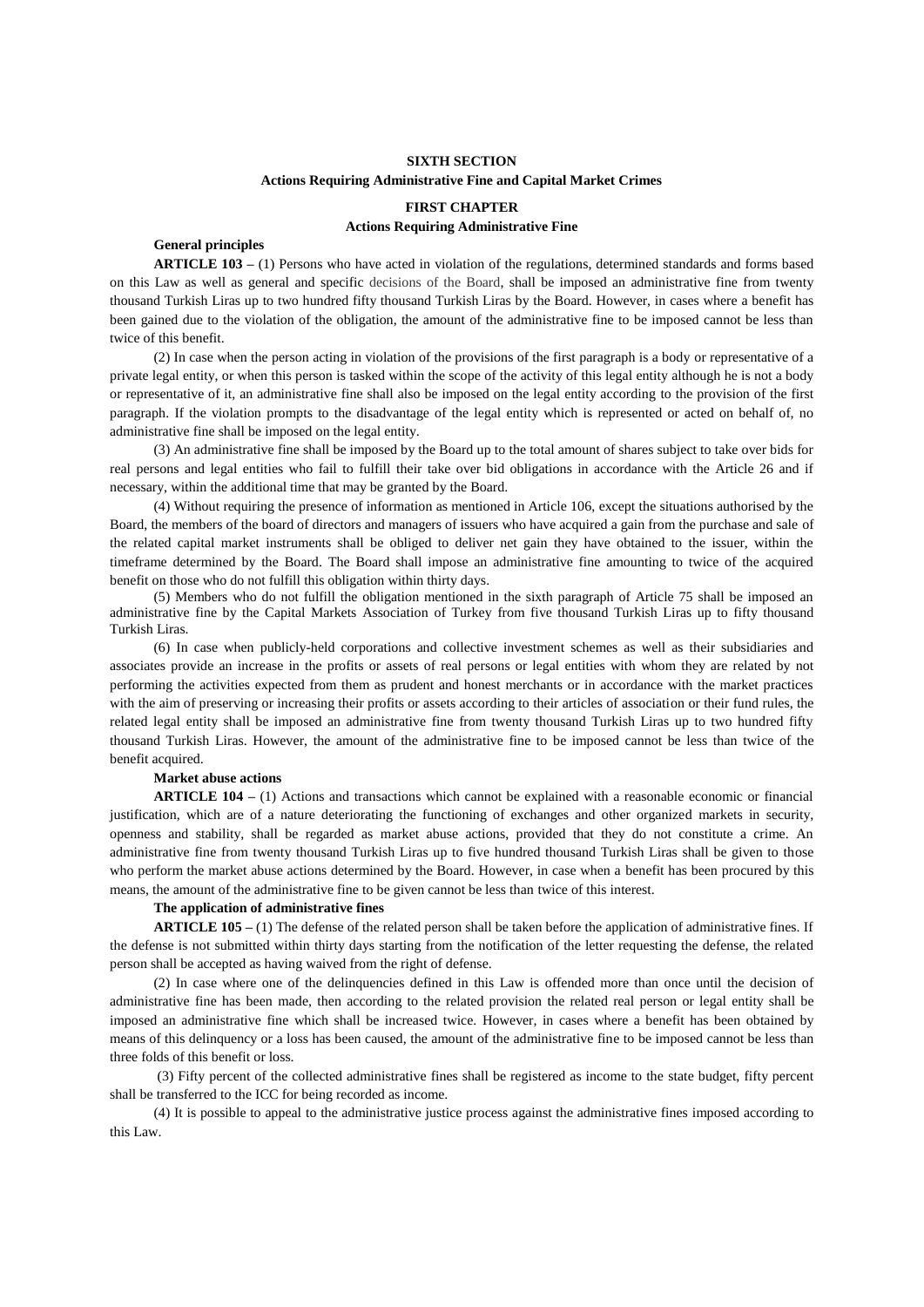# **SIXTH SECTION Actions Requiring Administrative Fine and Capital Market Crimes**

# **FIRST CHAPTER Actions Requiring Administrative Fine**

# **General principles**

**ARTICLE 103 –** (1) Persons who have acted in violation of the regulations, determined standards and forms based on this Law as well as general and specific decisions of the Board, shall be imposed an administrative fine from twenty thousand Turkish Liras up to two hundred fifty thousand Turkish Liras by the Board. However, in cases where a benefit has been gained due to the violation of the obligation, the amount of the administrative fine to be imposed cannot be less than twice of this benefit.

(2) In case when the person acting in violation of the provisions of the first paragraph is a body or representative of a private legal entity, or when this person is tasked within the scope of the activity of this legal entity although he is not a body or representative of it, an administrative fine shall also be imposed on the legal entity according to the provision of the first paragraph. If the violation prompts to the disadvantage of the legal entity which is represented or acted on behalf of, no administrative fine shall be imposed on the legal entity.

(3) An administrative fine shall be imposed by the Board up to the total amount of shares subject to take over bids for real persons and legal entities who fail to fulfill their take over bid obligations in accordance with the Article 26 and if necessary, within the additional time that may be granted by the Board.

(4) Without requiring the presence of information as mentioned in Article 106, except the situations authorised by the Board, the members of the board of directors and managers of issuers who have acquired a gain from the purchase and sale of the related capital market instruments shall be obliged to deliver net gain they have obtained to the issuer, within the timeframe determined by the Board. The Board shall impose an administrative fine amounting to twice of the acquired benefit on those who do not fulfill this obligation within thirty days.

(5) Members who do not fulfill the obligation mentioned in the sixth paragraph of Article 75 shall be imposed an administrative fine by the Capital Markets Association of Turkey from five thousand Turkish Liras up to fifty thousand Turkish Liras.

(6) In case when publicly-held corporations and collective investment schemes as well as their subsidiaries and associates provide an increase in the profits or assets of real persons or legal entities with whom they are related by not performing the activities expected from them as prudent and honest merchants or in accordance with the market practices with the aim of preserving or increasing their profits or assets according to their articles of association or their fund rules, the related legal entity shall be imposed an administrative fine from twenty thousand Turkish Liras up to two hundred fifty thousand Turkish Liras. However, the amount of the administrative fine to be imposed cannot be less than twice of the benefit acquired.

### **Market abuse actions**

**ARTICLE 104 –** (1) Actions and transactions which cannot be explained with a reasonable economic or financial justification, which are of a nature deteriorating the functioning of exchanges and other organized markets in security, openness and stability, shall be regarded as market abuse actions, provided that they do not constitute a crime. An administrative fine from twenty thousand Turkish Liras up to five hundred thousand Turkish Liras shall be given to those who perform the market abuse actions determined by the Board. However, in case when a benefit has been procured by this means, the amount of the administrative fine to be given cannot be less than twice of this interest.

### **The application of administrative fines**

**ARTICLE 105 –** (1) The defense of the related person shall be taken before the application of administrative fines. If the defense is not submitted within thirty days starting from the notification of the letter requesting the defense, the related person shall be accepted as having waived from the right of defense.

(2) In case where one of the delinquencies defined in this Law is offended more than once until the decision of administrative fine has been made, then according to the related provision the related real person or legal entity shall be imposed an administrative fine which shall be increased twice. However, in cases where a benefit has been obtained by means of this delinquency or a loss has been caused, the amount of the administrative fine to be imposed cannot be less than three folds of this benefit or loss.

(3) Fifty percent of the collected administrative fines shall be registered as income to the state budget, fifty percent shall be transferred to the ICC for being recorded as income.

(4) It is possible to appeal to the administrative justice process against the administrative fines imposed according to this Law.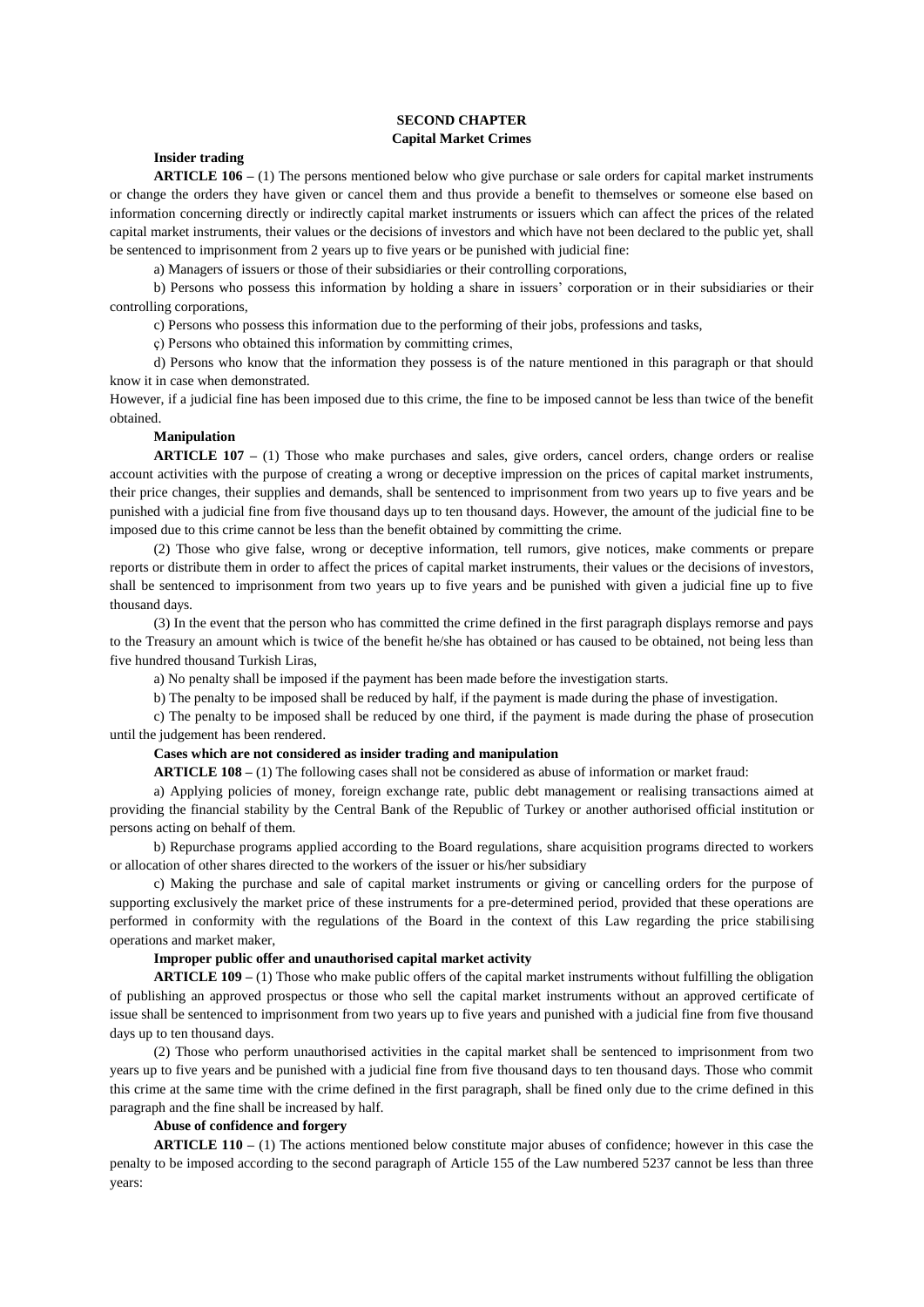# **SECOND CHAPTER Capital Market Crimes**

# **Insider trading**

**ARTICLE 106 –** (1) The persons mentioned below who give purchase or sale orders for capital market instruments or change the orders they have given or cancel them and thus provide a benefit to themselves or someone else based on information concerning directly or indirectly capital market instruments or issuers which can affect the prices of the related capital market instruments, their values or the decisions of investors and which have not been declared to the public yet, shall be sentenced to imprisonment from 2 years up to five years or be punished with judicial fine:

a) Managers of issuers or those of their subsidiaries or their controlling corporations,

b) Persons who possess this information by holding a share in issuers' corporation or in their subsidiaries or their controlling corporations,

c) Persons who possess this information due to the performing of their jobs, professions and tasks,

ç) Persons who obtained this information by committing crimes,

d) Persons who know that the information they possess is of the nature mentioned in this paragraph or that should know it in case when demonstrated.

However, if a judicial fine has been imposed due to this crime, the fine to be imposed cannot be less than twice of the benefit obtained.

# **Manipulation**

**ARTICLE 107 –** (1) Those who make purchases and sales, give orders, cancel orders, change orders or realise account activities with the purpose of creating a wrong or deceptive impression on the prices of capital market instruments, their price changes, their supplies and demands, shall be sentenced to imprisonment from two years up to five years and be punished with a judicial fine from five thousand days up to ten thousand days. However, the amount of the judicial fine to be imposed due to this crime cannot be less than the benefit obtained by committing the crime.

(2) Those who give false, wrong or deceptive information, tell rumors, give notices, make comments or prepare reports or distribute them in order to affect the prices of capital market instruments, their values or the decisions of investors, shall be sentenced to imprisonment from two years up to five years and be punished with given a judicial fine up to five thousand days.

(3) In the event that the person who has committed the crime defined in the first paragraph displays remorse and pays to the Treasury an amount which is twice of the benefit he/she has obtained or has caused to be obtained, not being less than five hundred thousand Turkish Liras,

a) No penalty shall be imposed if the payment has been made before the investigation starts.

b) The penalty to be imposed shall be reduced by half, if the payment is made during the phase of investigation.

c) The penalty to be imposed shall be reduced by one third, if the payment is made during the phase of prosecution until the judgement has been rendered.

# **Cases which are not considered as insider trading and manipulation**

**ARTICLE 108 –** (1) The following cases shall not be considered as abuse of information or market fraud:

a) Applying policies of money, foreign exchange rate, public debt management or realising transactions aimed at providing the financial stability by the Central Bank of the Republic of Turkey or another authorised official institution or persons acting on behalf of them.

b) Repurchase programs applied according to the Board regulations, share acquisition programs directed to workers or allocation of other shares directed to the workers of the issuer or his/her subsidiary

c) Making the purchase and sale of capital market instruments or giving or cancelling orders for the purpose of supporting exclusively the market price of these instruments for a pre-determined period, provided that these operations are performed in conformity with the regulations of the Board in the context of this Law regarding the price stabilising operations and market maker,

# **Improper public offer and unauthorised capital market activity**

**ARTICLE 109 –** (1) Those who make public offers of the capital market instruments without fulfilling the obligation of publishing an approved prospectus or those who sell the capital market instruments without an approved certificate of issue shall be sentenced to imprisonment from two years up to five years and punished with a judicial fine from five thousand days up to ten thousand days.

(2) Those who perform unauthorised activities in the capital market shall be sentenced to imprisonment from two years up to five years and be punished with a judicial fine from five thousand days to ten thousand days. Those who commit this crime at the same time with the crime defined in the first paragraph, shall be fined only due to the crime defined in this paragraph and the fine shall be increased by half.

# **Abuse of confidence and forgery**

**ARTICLE 110 –** (1) The actions mentioned below constitute major abuses of confidence; however in this case the penalty to be imposed according to the second paragraph of Article 155 of the Law numbered 5237 cannot be less than three years: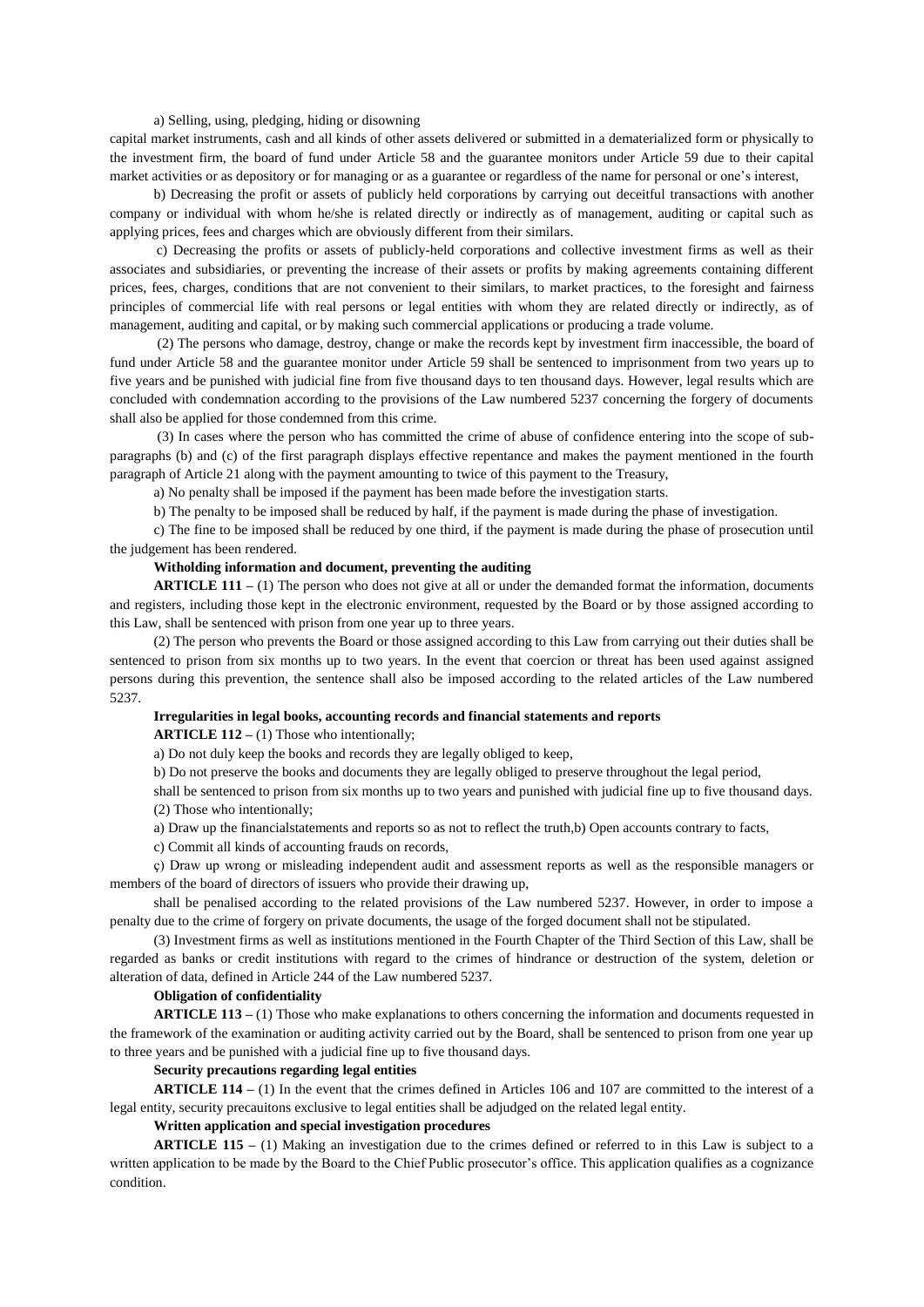a) Selling, using, pledging, hiding or disowning

capital market instruments, cash and all kinds of other assets delivered or submitted in a dematerialized form or physically to the investment firm, the board of fund under Article 58 and the guarantee monitors under Article 59 due to their capital market activities or as depository or for managing or as a guarantee or regardless of the name for personal or one's interest,

b) Decreasing the profit or assets of publicly held corporations by carrying out deceitful transactions with another company or individual with whom he/she is related directly or indirectly as of management, auditing or capital such as applying prices, fees and charges which are obviously different from their similars.

c) Decreasing the profits or assets of publicly-held corporations and collective investment firms as well as their associates and subsidiaries, or preventing the increase of their assets or profits by making agreements containing different prices, fees, charges, conditions that are not convenient to their similars, to market practices, to the foresight and fairness principles of commercial life with real persons or legal entities with whom they are related directly or indirectly, as of management, auditing and capital, or by making such commercial applications or producing a trade volume.

(2) The persons who damage, destroy, change or make the records kept by investment firm inaccessible, the board of fund under Article 58 and the guarantee monitor under Article 59 shall be sentenced to imprisonment from two years up to five years and be punished with judicial fine from five thousand days to ten thousand days. However, legal results which are concluded with condemnation according to the provisions of the Law numbered 5237 concerning the forgery of documents shall also be applied for those condemned from this crime.

(3) In cases where the person who has committed the crime of abuse of confidence entering into the scope of subparagraphs (b) and (c) of the first paragraph displays effective repentance and makes the payment mentioned in the fourth paragraph of Article 21 along with the payment amounting to twice of this payment to the Treasury,

a) No penalty shall be imposed if the payment has been made before the investigation starts.

b) The penalty to be imposed shall be reduced by half, if the payment is made during the phase of investigation.

c) The fine to be imposed shall be reduced by one third, if the payment is made during the phase of prosecution until the judgement has been rendered.

# **Witholding information and document, preventing the auditing**

**ARTICLE 111** – (1) The person who does not give at all or under the demanded format the information, documents and registers, including those kept in the electronic environment, requested by the Board or by those assigned according to this Law, shall be sentenced with prison from one year up to three years.

(2) The person who prevents the Board or those assigned according to this Law from carrying out their duties shall be sentenced to prison from six months up to two years. In the event that coercion or threat has been used against assigned persons during this prevention, the sentence shall also be imposed according to the related articles of the Law numbered 5237.

### **Irregularities in legal books, accounting records and financial statements and reports**

**ARTICLE 112 –** (1) Those who intentionally;

a) Do not duly keep the books and records they are legally obliged to keep,

b) Do not preserve the books and documents they are legally obliged to preserve throughout the legal period,

shall be sentenced to prison from six months up to two years and punished with judicial fine up to five thousand days. (2) Those who intentionally;

a) Draw up the financialstatements and reports so as not to reflect the truth,b) Open accounts contrary to facts,

c) Commit all kinds of accounting frauds on records,

ç) Draw up wrong or misleading independent audit and assessment reports as well as the responsible managers or members of the board of directors of issuers who provide their drawing up,

shall be penalised according to the related provisions of the Law numbered 5237. However, in order to impose a penalty due to the crime of forgery on private documents, the usage of the forged document shall not be stipulated.

(3) Investment firms as well as institutions mentioned in the Fourth Chapter of the Third Section of this Law, shall be regarded as banks or credit institutions with regard to the crimes of hindrance or destruction of the system, deletion or alteration of data, defined in Article 244 of the Law numbered 5237.

### **Obligation of confidentiality**

**ARTICLE 113 –** (1) Those who make explanations to others concerning the information and documents requested in the framework of the examination or auditing activity carried out by the Board, shall be sentenced to prison from one year up to three years and be punished with a judicial fine up to five thousand days.

### **Security precautions regarding legal entities**

**ARTICLE 114 –** (1) In the event that the crimes defined in Articles 106 and 107 are committed to the interest of a legal entity, security precauitons exclusive to legal entities shall be adjudged on the related legal entity.

**Written application and special investigation procedures**

**ARTICLE 115 –** (1) Making an investigation due to the crimes defined or referred to in this Law is subject to a written application to be made by the Board to the Chief Public prosecutor's office. This application qualifies as a cognizance condition.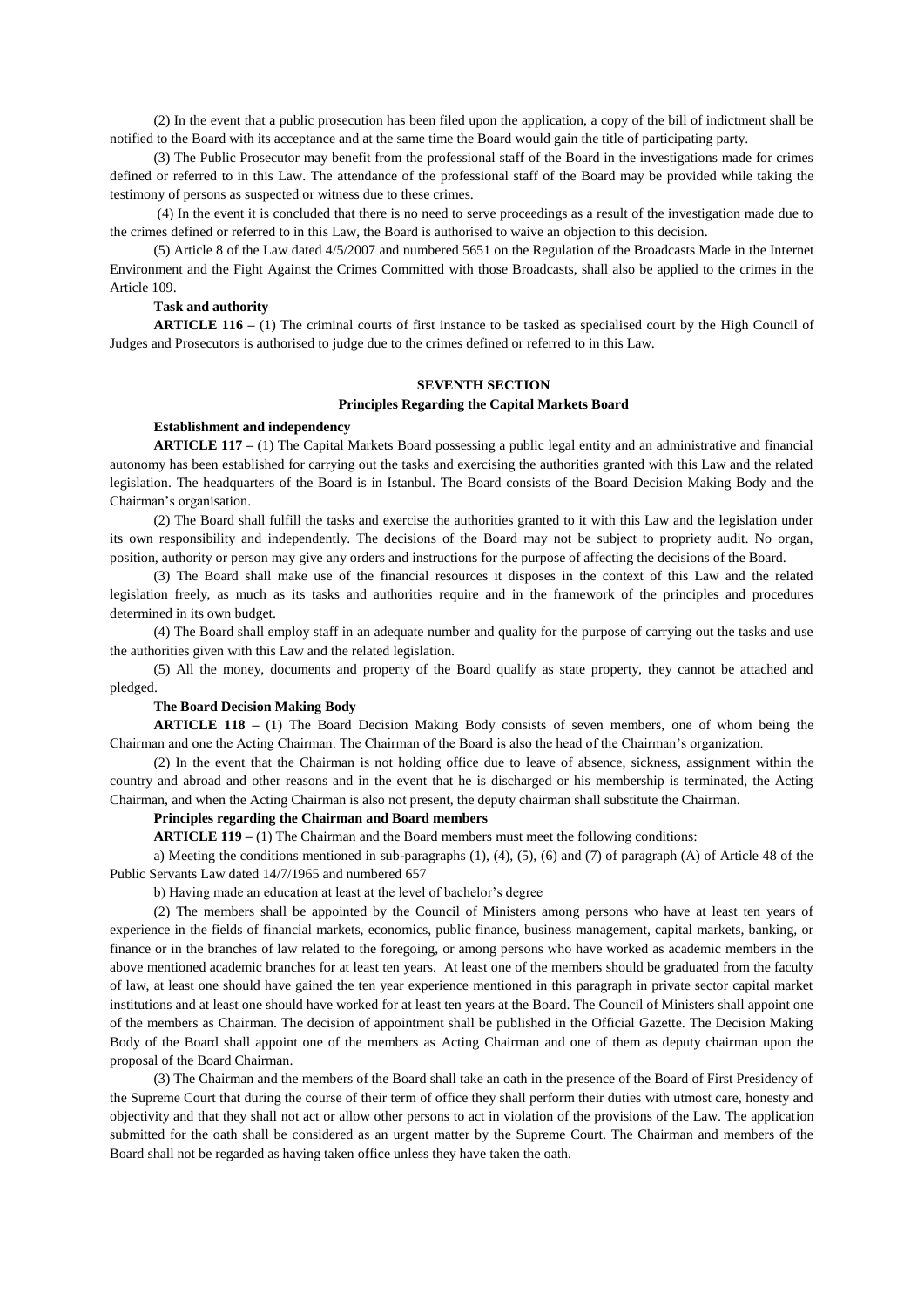(2) In the event that a public prosecution has been filed upon the application, a copy of the bill of indictment shall be notified to the Board with its acceptance and at the same time the Board would gain the title of participating party.

(3) The Public Prosecutor may benefit from the professional staff of the Board in the investigations made for crimes defined or referred to in this Law. The attendance of the professional staff of the Board may be provided while taking the testimony of persons as suspected or witness due to these crimes.

(4) In the event it is concluded that there is no need to serve proceedings as a result of the investigation made due to the crimes defined or referred to in this Law, the Board is authorised to waive an objection to this decision.

(5) Article 8 of the Law dated 4/5/2007 and numbered 5651 on the Regulation of the Broadcasts Made in the Internet Environment and the Fight Against the Crimes Committed with those Broadcasts, shall also be applied to the crimes in the Article 109.

# **Task and authority**

**ARTICLE 116 –** (1) The criminal courts of first instance to be tasked as specialised court by the High Council of Judges and Prosecutors is authorised to judge due to the crimes defined or referred to in this Law.

# **SEVENTH SECTION**

### **Principles Regarding the Capital Markets Board**

# **Establishment and independency**

**ARTICLE 117 –** (1) The Capital Markets Board possessing a public legal entity and an administrative and financial autonomy has been established for carrying out the tasks and exercising the authorities granted with this Law and the related legislation. The headquarters of the Board is in Istanbul. The Board consists of the Board Decision Making Body and the Chairman's organisation.

(2) The Board shall fulfill the tasks and exercise the authorities granted to it with this Law and the legislation under its own responsibility and independently. The decisions of the Board may not be subject to propriety audit. No organ, position, authority or person may give any orders and instructions for the purpose of affecting the decisions of the Board.

(3) The Board shall make use of the financial resources it disposes in the context of this Law and the related legislation freely, as much as its tasks and authorities require and in the framework of the principles and procedures determined in its own budget.

(4) The Board shall employ staff in an adequate number and quality for the purpose of carrying out the tasks and use the authorities given with this Law and the related legislation.

(5) All the money, documents and property of the Board qualify as state property, they cannot be attached and pledged.

## **The Board Decision Making Body**

**ARTICLE 118 –** (1) The Board Decision Making Body consists of seven members, one of whom being the Chairman and one the Acting Chairman. The Chairman of the Board is also the head of the Chairman's organization.

(2) In the event that the Chairman is not holding office due to leave of absence, sickness, assignment within the country and abroad and other reasons and in the event that he is discharged or his membership is terminated, the Acting Chairman, and when the Acting Chairman is also not present, the deputy chairman shall substitute the Chairman.

## **Principles regarding the Chairman and Board members**

**ARTICLE 119 –** (1) The Chairman and the Board members must meet the following conditions:

a) Meeting the conditions mentioned in sub-paragraphs (1), (4), (5), (6) and (7) of paragraph (A) of Article 48 of the Public Servants Law dated 14/7/1965 and numbered 657

b) Having made an education at least at the level of bachelor's degree

(2) The members shall be appointed by the Council of Ministers among persons who have at least ten years of experience in the fields of financial markets, economics, public finance, business management, capital markets, banking, or finance or in the branches of law related to the foregoing, or among persons who have worked as academic members in the above mentioned academic branches for at least ten years. At least one of the members should be graduated from the faculty of law, at least one should have gained the ten year experience mentioned in this paragraph in private sector capital market institutions and at least one should have worked for at least ten years at the Board. The Council of Ministers shall appoint one of the members as Chairman. The decision of appointment shall be published in the Official Gazette. The Decision Making Body of the Board shall appoint one of the members as Acting Chairman and one of them as deputy chairman upon the proposal of the Board Chairman.

(3) The Chairman and the members of the Board shall take an oath in the presence of the Board of First Presidency of the Supreme Court that during the course of their term of office they shall perform their duties with utmost care, honesty and objectivity and that they shall not act or allow other persons to act in violation of the provisions of the Law. The application submitted for the oath shall be considered as an urgent matter by the Supreme Court. The Chairman and members of the Board shall not be regarded as having taken office unless they have taken the oath.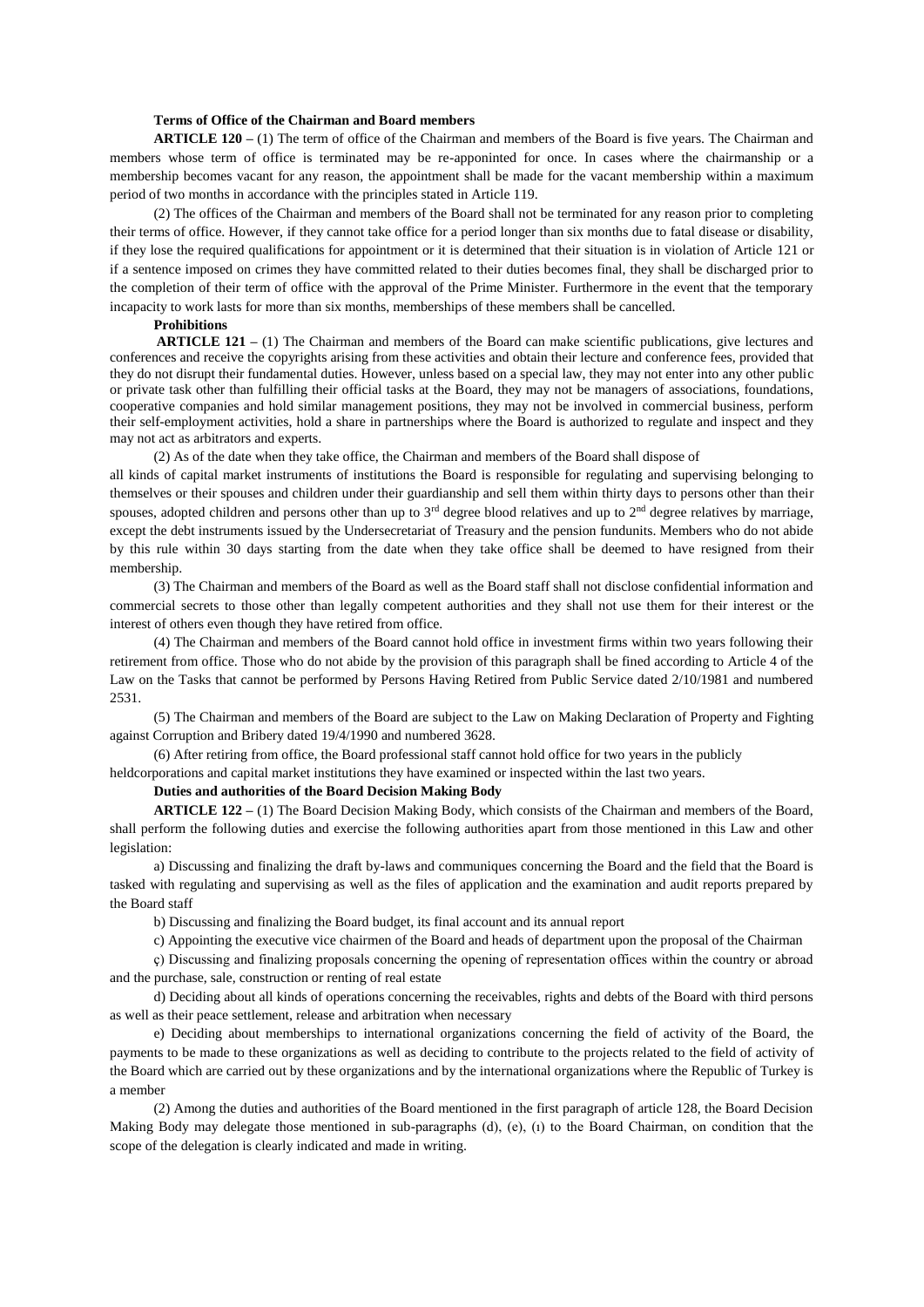#### **Terms of Office of the Chairman and Board members**

**ARTICLE 120 –** (1) The term of office of the Chairman and members of the Board is five years. The Chairman and members whose term of office is terminated may be re-apponinted for once. In cases where the chairmanship or a membership becomes vacant for any reason, the appointment shall be made for the vacant membership within a maximum period of two months in accordance with the principles stated in Article 119.

(2) The offices of the Chairman and members of the Board shall not be terminated for any reason prior to completing their terms of office. However, if they cannot take office for a period longer than six months due to fatal disease or disability, if they lose the required qualifications for appointment or it is determined that their situation is in violation of Article 121 or if a sentence imposed on crimes they have committed related to their duties becomes final, they shall be discharged prior to the completion of their term of office with the approval of the Prime Minister. Furthermore in the event that the temporary incapacity to work lasts for more than six months, memberships of these members shall be cancelled.

# **Prohibitions**

**ARTICLE 121 –** (1) The Chairman and members of the Board can make scientific publications, give lectures and conferences and receive the copyrights arising from these activities and obtain their lecture and conference fees, provided that they do not disrupt their fundamental duties. However, unless based on a special law, they may not enter into any other public or private task other than fulfilling their official tasks at the Board, they may not be managers of associations, foundations, cooperative companies and hold similar management positions, they may not be involved in commercial business, perform their self-employment activities, hold a share in partnerships where the Board is authorized to regulate and inspect and they may not act as arbitrators and experts.

(2) As of the date when they take office, the Chairman and members of the Board shall dispose of

all kinds of capital market instruments of institutions the Board is responsible for regulating and supervising belonging to themselves or their spouses and children under their guardianship and sell them within thirty days to persons other than their spouses, adopted children and persons other than up to  $3<sup>rd</sup>$  degree blood relatives and up to  $2<sup>nd</sup>$  degree relatives by marriage, except the debt instruments issued by the Undersecretariat of Treasury and the pension fundunits. Members who do not abide by this rule within 30 days starting from the date when they take office shall be deemed to have resigned from their membership.

(3) The Chairman and members of the Board as well as the Board staff shall not disclose confidential information and commercial secrets to those other than legally competent authorities and they shall not use them for their interest or the interest of others even though they have retired from office.

(4) The Chairman and members of the Board cannot hold office in investment firms within two years following their retirement from office. Those who do not abide by the provision of this paragraph shall be fined according to Article 4 of the Law on the Tasks that cannot be performed by Persons Having Retired from Public Service dated 2/10/1981 and numbered 2531.

(5) The Chairman and members of the Board are subject to the Law on Making Declaration of Property and Fighting against Corruption and Bribery dated 19/4/1990 and numbered 3628.

(6) After retiring from office, the Board professional staff cannot hold office for two years in the publicly

heldcorporations and capital market institutions they have examined or inspected within the last two years.

**Duties and authorities of the Board Decision Making Body**

**ARTICLE 122 –** (1) The Board Decision Making Body, which consists of the Chairman and members of the Board, shall perform the following duties and exercise the following authorities apart from those mentioned in this Law and other legislation:

a) Discussing and finalizing the draft by-laws and communiques concerning the Board and the field that the Board is tasked with regulating and supervising as well as the files of application and the examination and audit reports prepared by the Board staff

b) Discussing and finalizing the Board budget, its final account and its annual report

c) Appointing the executive vice chairmen of the Board and heads of department upon the proposal of the Chairman

ç) Discussing and finalizing proposals concerning the opening of representation offices within the country or abroad and the purchase, sale, construction or renting of real estate

d) Deciding about all kinds of operations concerning the receivables, rights and debts of the Board with third persons as well as their peace settlement, release and arbitration when necessary

e) Deciding about memberships to international organizations concerning the field of activity of the Board, the payments to be made to these organizations as well as deciding to contribute to the projects related to the field of activity of the Board which are carried out by these organizations and by the international organizations where the Republic of Turkey is a member

(2) Among the duties and authorities of the Board mentioned in the first paragraph of article 128, the Board Decision Making Body may delegate those mentioned in sub-paragraphs (d), (e), (ı) to the Board Chairman, on condition that the scope of the delegation is clearly indicated and made in writing.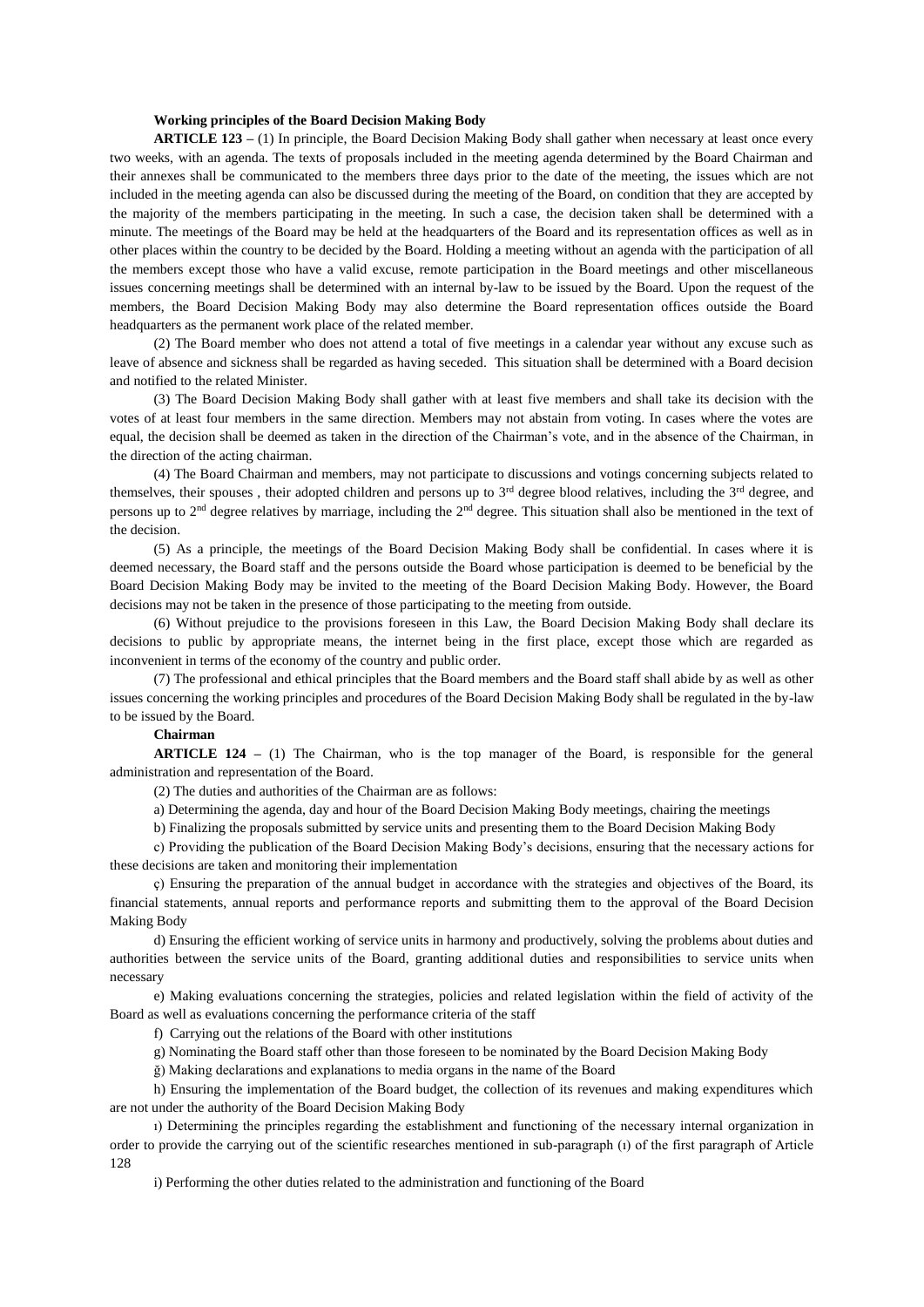#### **Working principles of the Board Decision Making Body**

**ARTICLE 123 –** (1) In principle, the Board Decision Making Body shall gather when necessary at least once every two weeks, with an agenda. The texts of proposals included in the meeting agenda determined by the Board Chairman and their annexes shall be communicated to the members three days prior to the date of the meeting, the issues which are not included in the meeting agenda can also be discussed during the meeting of the Board, on condition that they are accepted by the majority of the members participating in the meeting. In such a case, the decision taken shall be determined with a minute. The meetings of the Board may be held at the headquarters of the Board and its representation offices as well as in other places within the country to be decided by the Board. Holding a meeting without an agenda with the participation of all the members except those who have a valid excuse, remote participation in the Board meetings and other miscellaneous issues concerning meetings shall be determined with an internal by-law to be issued by the Board. Upon the request of the members, the Board Decision Making Body may also determine the Board representation offices outside the Board headquarters as the permanent work place of the related member.

(2) The Board member who does not attend a total of five meetings in a calendar year without any excuse such as leave of absence and sickness shall be regarded as having seceded. This situation shall be determined with a Board decision and notified to the related Minister.

(3) The Board Decision Making Body shall gather with at least five members and shall take its decision with the votes of at least four members in the same direction. Members may not abstain from voting. In cases where the votes are equal, the decision shall be deemed as taken in the direction of the Chairman's vote, and in the absence of the Chairman, in the direction of the acting chairman.

(4) The Board Chairman and members, may not participate to discussions and votings concerning subjects related to themselves, their spouses, their adopted children and persons up to  $3<sup>rd</sup>$  degree blood relatives, including the  $3<sup>rd</sup>$  degree, and persons up to 2nd degree relatives by marriage, including the 2nd degree. This situation shall also be mentioned in the text of the decision.

(5) As a principle, the meetings of the Board Decision Making Body shall be confidential. In cases where it is deemed necessary, the Board staff and the persons outside the Board whose participation is deemed to be beneficial by the Board Decision Making Body may be invited to the meeting of the Board Decision Making Body. However, the Board decisions may not be taken in the presence of those participating to the meeting from outside.

(6) Without prejudice to the provisions foreseen in this Law, the Board Decision Making Body shall declare its decisions to public by appropriate means, the internet being in the first place, except those which are regarded as inconvenient in terms of the economy of the country and public order.

(7) The professional and ethical principles that the Board members and the Board staff shall abide by as well as other issues concerning the working principles and procedures of the Board Decision Making Body shall be regulated in the by-law to be issued by the Board.

# **Chairman**

**ARTICLE 124 –** (1) The Chairman, who is the top manager of the Board, is responsible for the general administration and representation of the Board.

(2) The duties and authorities of the Chairman are as follows:

a) Determining the agenda, day and hour of the Board Decision Making Body meetings, chairing the meetings

b) Finalizing the proposals submitted by service units and presenting them to the Board Decision Making Body

c) Providing the publication of the Board Decision Making Body's decisions, ensuring that the necessary actions for these decisions are taken and monitoring their implementation

ç) Ensuring the preparation of the annual budget in accordance with the strategies and objectives of the Board, its financial statements, annual reports and performance reports and submitting them to the approval of the Board Decision Making Body

d) Ensuring the efficient working of service units in harmony and productively, solving the problems about duties and authorities between the service units of the Board, granting additional duties and responsibilities to service units when necessary

e) Making evaluations concerning the strategies, policies and related legislation within the field of activity of the Board as well as evaluations concerning the performance criteria of the staff

f) Carrying out the relations of the Board with other institutions

g) Nominating the Board staff other than those foreseen to be nominated by the Board Decision Making Body

ğ) Making declarations and explanations to media organs in the name of the Board

h) Ensuring the implementation of the Board budget, the collection of its revenues and making expenditures which are not under the authority of the Board Decision Making Body

ı) Determining the principles regarding the establishment and functioning of the necessary internal organization in order to provide the carrying out of the scientific researches mentioned in sub-paragraph (ı) of the first paragraph of Article 128

i) Performing the other duties related to the administration and functioning of the Board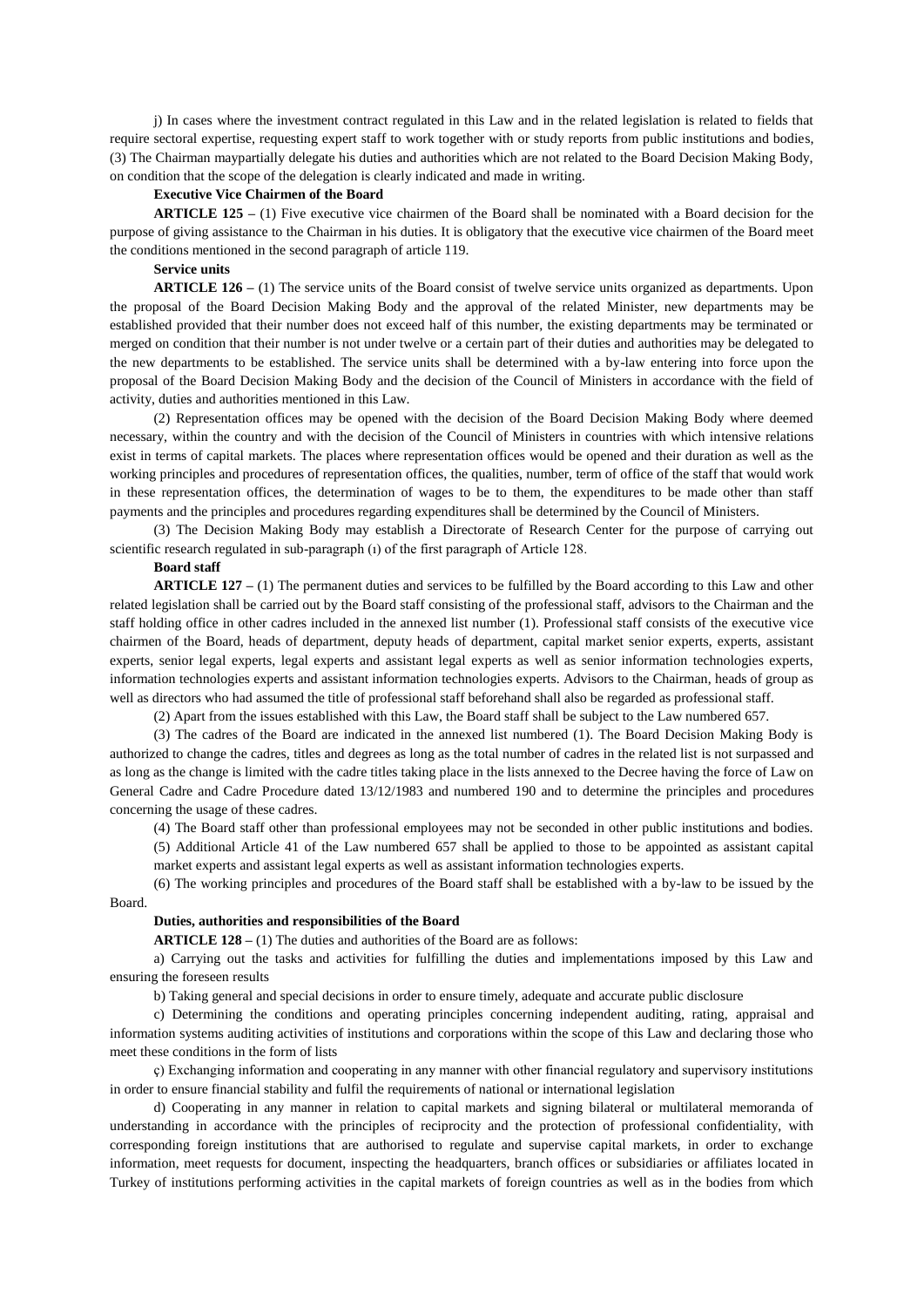j) In cases where the investment contract regulated in this Law and in the related legislation is related to fields that require sectoral expertise, requesting expert staff to work together with or study reports from public institutions and bodies, (3) The Chairman maypartially delegate his duties and authorities which are not related to the Board Decision Making Body, on condition that the scope of the delegation is clearly indicated and made in writing.

## **Executive Vice Chairmen of the Board**

**ARTICLE 125 –** (1) Five executive vice chairmen of the Board shall be nominated with a Board decision for the purpose of giving assistance to the Chairman in his duties. It is obligatory that the executive vice chairmen of the Board meet the conditions mentioned in the second paragraph of article 119.

# **Service units**

**ARTICLE 126 –** (1) The service units of the Board consist of twelve service units organized as departments. Upon the proposal of the Board Decision Making Body and the approval of the related Minister, new departments may be established provided that their number does not exceed half of this number, the existing departments may be terminated or merged on condition that their number is not under twelve or a certain part of their duties and authorities may be delegated to the new departments to be established. The service units shall be determined with a by-law entering into force upon the proposal of the Board Decision Making Body and the decision of the Council of Ministers in accordance with the field of activity, duties and authorities mentioned in this Law.

(2) Representation offices may be opened with the decision of the Board Decision Making Body where deemed necessary, within the country and with the decision of the Council of Ministers in countries with which intensive relations exist in terms of capital markets. The places where representation offices would be opened and their duration as well as the working principles and procedures of representation offices, the qualities, number, term of office of the staff that would work in these representation offices, the determination of wages to be to them, the expenditures to be made other than staff payments and the principles and procedures regarding expenditures shall be determined by the Council of Ministers.

(3) The Decision Making Body may establish a Directorate of Research Center for the purpose of carrying out scientific research regulated in sub-paragraph (ı) of the first paragraph of Article 128.

# **Board staff**

**ARTICLE 127 –** (1) The permanent duties and services to be fulfilled by the Board according to this Law and other related legislation shall be carried out by the Board staff consisting of the professional staff, advisors to the Chairman and the staff holding office in other cadres included in the annexed list number (1). Professional staff consists of the executive vice chairmen of the Board, heads of department, deputy heads of department, capital market senior experts, experts, assistant experts, senior legal experts, legal experts and assistant legal experts as well as senior information technologies experts, information technologies experts and assistant information technologies experts. Advisors to the Chairman, heads of group as well as directors who had assumed the title of professional staff beforehand shall also be regarded as professional staff.

(2) Apart from the issues established with this Law, the Board staff shall be subject to the Law numbered 657.

(3) The cadres of the Board are indicated in the annexed list numbered (1). The Board Decision Making Body is authorized to change the cadres, titles and degrees as long as the total number of cadres in the related list is not surpassed and as long as the change is limited with the cadre titles taking place in the lists annexed to the Decree having the force of Law on General Cadre and Cadre Procedure dated 13/12/1983 and numbered 190 and to determine the principles and procedures concerning the usage of these cadres.

(4) The Board staff other than professional employees may not be seconded in other public institutions and bodies.

(5) Additional Article 41 of the Law numbered 657 shall be applied to those to be appointed as assistant capital market experts and assistant legal experts as well as assistant information technologies experts.

(6) The working principles and procedures of the Board staff shall be established with a by-law to be issued by the

Board.

#### **Duties, authorities and responsibilities of the Board**

**ARTICLE 128 –** (1) The duties and authorities of the Board are as follows:

a) Carrying out the tasks and activities for fulfilling the duties and implementations imposed by this Law and ensuring the foreseen results

b) Taking general and special decisions in order to ensure timely, adequate and accurate public disclosure

c) Determining the conditions and operating principles concerning independent auditing, rating, appraisal and information systems auditing activities of institutions and corporations within the scope of this Law and declaring those who meet these conditions in the form of lists

ç) Exchanging information and cooperating in any manner with other financial regulatory and supervisory institutions in order to ensure financial stability and fulfil the requirements of national or international legislation

d) Cooperating in any manner in relation to capital markets and signing bilateral or multilateral memoranda of understanding in accordance with the principles of reciprocity and the protection of professional confidentiality, with corresponding foreign institutions that are authorised to regulate and supervise capital markets, in order to exchange information, meet requests for document, inspecting the headquarters, branch offices or subsidiaries or affiliates located in Turkey of institutions performing activities in the capital markets of foreign countries as well as in the bodies from which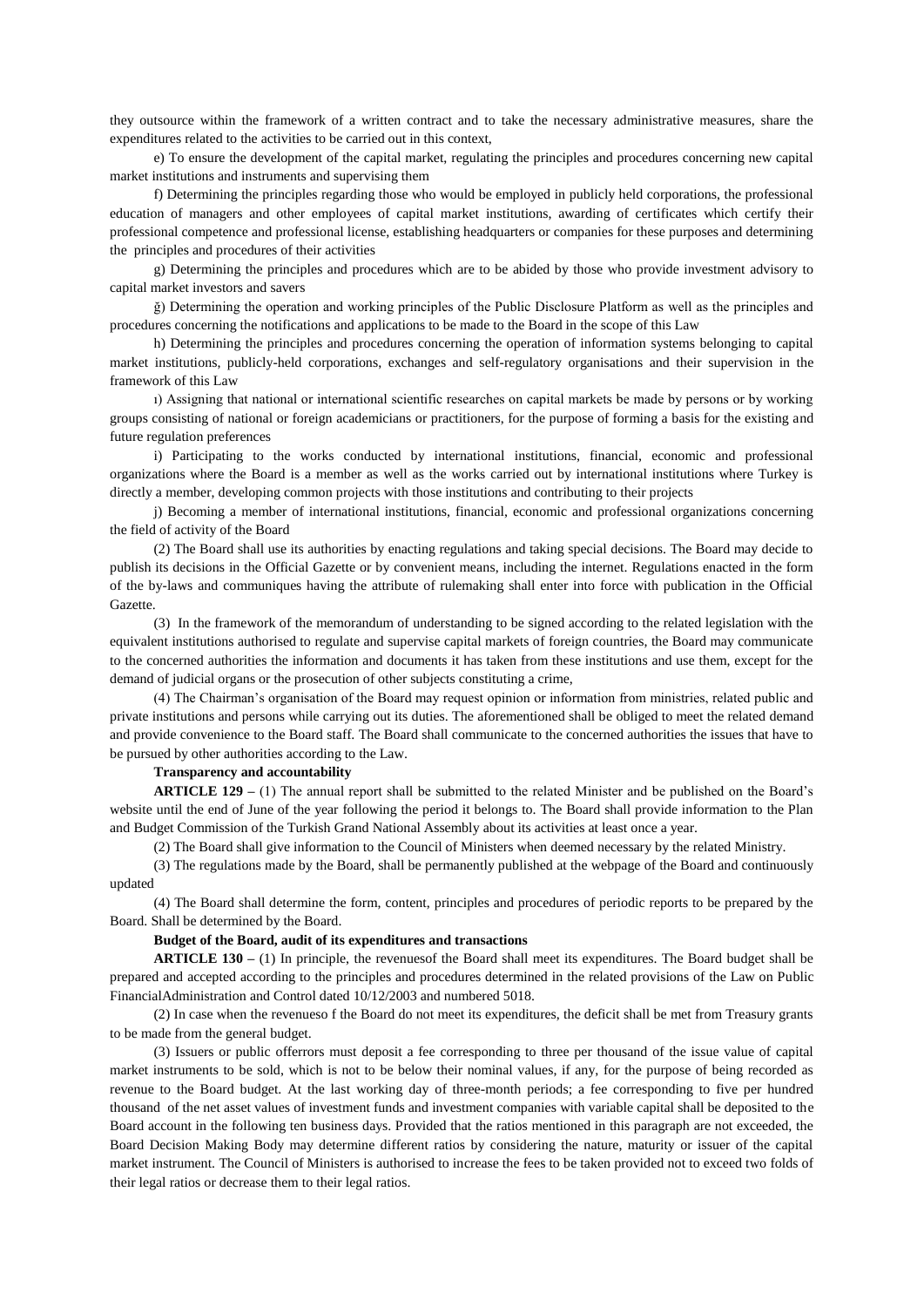they outsource within the framework of a written contract and to take the necessary administrative measures, share the expenditures related to the activities to be carried out in this context,

e) To ensure the development of the capital market, regulating the principles and procedures concerning new capital market institutions and instruments and supervising them

f) Determining the principles regarding those who would be employed in publicly held corporations, the professional education of managers and other employees of capital market institutions, awarding of certificates which certify their professional competence and professional license, establishing headquarters or companies for these purposes and determining the principles and procedures of their activities

g) Determining the principles and procedures which are to be abided by those who provide investment advisory to capital market investors and savers

ğ) Determining the operation and working principles of the Public Disclosure Platform as well as the principles and procedures concerning the notifications and applications to be made to the Board in the scope of this Law

h) Determining the principles and procedures concerning the operation of information systems belonging to capital market institutions, publicly-held corporations, exchanges and self-regulatory organisations and their supervision in the framework of this Law

ı) Assigning that national or international scientific researches on capital markets be made by persons or by working groups consisting of national or foreign academicians or practitioners, for the purpose of forming a basis for the existing and future regulation preferences

i) Participating to the works conducted by international institutions, financial, economic and professional organizations where the Board is a member as well as the works carried out by international institutions where Turkey is directly a member, developing common projects with those institutions and contributing to their projects

j) Becoming a member of international institutions, financial, economic and professional organizations concerning the field of activity of the Board

(2) The Board shall use its authorities by enacting regulations and taking special decisions. The Board may decide to publish its decisions in the Official Gazette or by convenient means, including the internet. Regulations enacted in the form of the by-laws and communiques having the attribute of rulemaking shall enter into force with publication in the Official Gazette.

(3) In the framework of the memorandum of understanding to be signed according to the related legislation with the equivalent institutions authorised to regulate and supervise capital markets of foreign countries, the Board may communicate to the concerned authorities the information and documents it has taken from these institutions and use them, except for the demand of judicial organs or the prosecution of other subjects constituting a crime,

(4) The Chairman's organisation of the Board may request opinion or information from ministries, related public and private institutions and persons while carrying out its duties. The aforementioned shall be obliged to meet the related demand and provide convenience to the Board staff. The Board shall communicate to the concerned authorities the issues that have to be pursued by other authorities according to the Law.

### **Transparency and accountability**

**ARTICLE 129 –** (1) The annual report shall be submitted to the related Minister and be published on the Board's website until the end of June of the year following the period it belongs to. The Board shall provide information to the Plan and Budget Commission of the Turkish Grand National Assembly about its activities at least once a year.

(2) The Board shall give information to the Council of Ministers when deemed necessary by the related Ministry.

(3) The regulations made by the Board, shall be permanently published at the webpage of the Board and continuously updated

(4) The Board shall determine the form, content, principles and procedures of periodic reports to be prepared by the Board. Shall be determined by the Board.

#### **Budget of the Board, audit of its expenditures and transactions**

**ARTICLE 130 –** (1) In principle, the revenuesof the Board shall meet its expenditures. The Board budget shall be prepared and accepted according to the principles and procedures determined in the related provisions of the Law on Public FinancialAdministration and Control dated 10/12/2003 and numbered 5018.

(2) In case when the revenueso f the Board do not meet its expenditures, the deficit shall be met from Treasury grants to be made from the general budget.

(3) Issuers or public offerrors must deposit a fee corresponding to three per thousand of the issue value of capital market instruments to be sold, which is not to be below their nominal values, if any, for the purpose of being recorded as revenue to the Board budget. At the last working day of three-month periods; a fee corresponding to five per hundred thousand of the net asset values of investment funds and investment companies with variable capital shall be deposited to the Board account in the following ten business days. Provided that the ratios mentioned in this paragraph are not exceeded, the Board Decision Making Body may determine different ratios by considering the nature, maturity or issuer of the capital market instrument. The Council of Ministers is authorised to increase the fees to be taken provided not to exceed two folds of their legal ratios or decrease them to their legal ratios.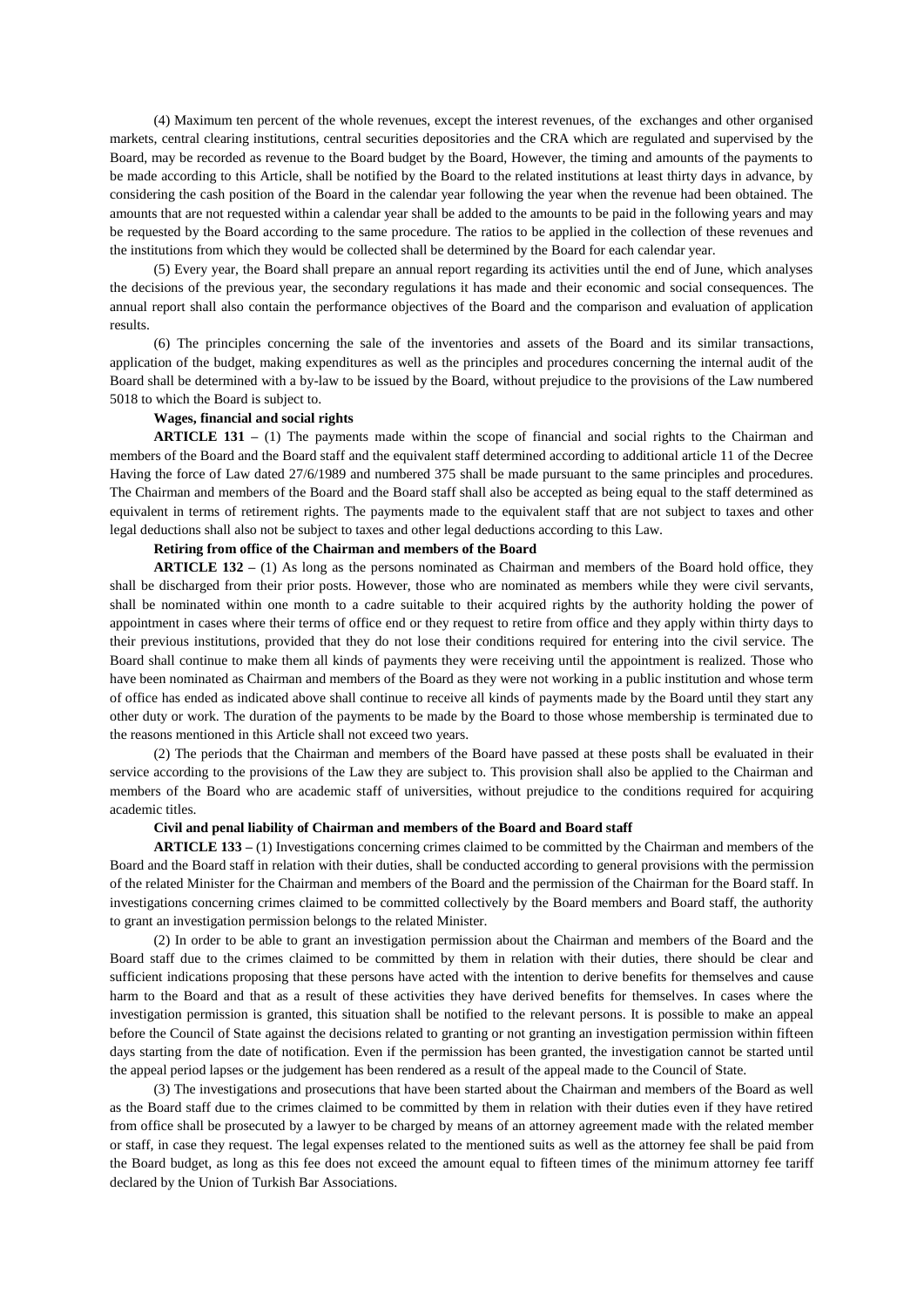(4) Maximum ten percent of the whole revenues, except the interest revenues, of the exchanges and other organised markets, central clearing institutions, central securities depositories and the CRA which are regulated and supervised by the Board, may be recorded as revenue to the Board budget by the Board, However, the timing and amounts of the payments to be made according to this Article, shall be notified by the Board to the related institutions at least thirty days in advance, by considering the cash position of the Board in the calendar year following the year when the revenue had been obtained. The amounts that are not requested within a calendar year shall be added to the amounts to be paid in the following years and may be requested by the Board according to the same procedure. The ratios to be applied in the collection of these revenues and the institutions from which they would be collected shall be determined by the Board for each calendar year.

(5) Every year, the Board shall prepare an annual report regarding its activities until the end of June, which analyses the decisions of the previous year, the secondary regulations it has made and their economic and social consequences. The annual report shall also contain the performance objectives of the Board and the comparison and evaluation of application results.

(6) The principles concerning the sale of the inventories and assets of the Board and its similar transactions, application of the budget, making expenditures as well as the principles and procedures concerning the internal audit of the Board shall be determined with a by-law to be issued by the Board, without prejudice to the provisions of the Law numbered 5018 to which the Board is subject to.

### **Wages, financial and social rights**

**ARTICLE 131 –** (1) The payments made within the scope of financial and social rights to the Chairman and members of the Board and the Board staff and the equivalent staff determined according to additional article 11 of the Decree Having the force of Law dated 27/6/1989 and numbered 375 shall be made pursuant to the same principles and procedures. The Chairman and members of the Board and the Board staff shall also be accepted as being equal to the staff determined as equivalent in terms of retirement rights. The payments made to the equivalent staff that are not subject to taxes and other legal deductions shall also not be subject to taxes and other legal deductions according to this Law.

# **Retiring from office of the Chairman and members of the Board**

**ARTICLE 132 –** (1) As long as the persons nominated as Chairman and members of the Board hold office, they shall be discharged from their prior posts. However, those who are nominated as members while they were civil servants, shall be nominated within one month to a cadre suitable to their acquired rights by the authority holding the power of appointment in cases where their terms of office end or they request to retire from office and they apply within thirty days to their previous institutions, provided that they do not lose their conditions required for entering into the civil service. The Board shall continue to make them all kinds of payments they were receiving until the appointment is realized. Those who have been nominated as Chairman and members of the Board as they were not working in a public institution and whose term of office has ended as indicated above shall continue to receive all kinds of payments made by the Board until they start any other duty or work. The duration of the payments to be made by the Board to those whose membership is terminated due to the reasons mentioned in this Article shall not exceed two years.

(2) The periods that the Chairman and members of the Board have passed at these posts shall be evaluated in their service according to the provisions of the Law they are subject to. This provision shall also be applied to the Chairman and members of the Board who are academic staff of universities, without prejudice to the conditions required for acquiring academic titles.

### **Civil and penal liability of Chairman and members of the Board and Board staff**

**ARTICLE 133 –** (1) Investigations concerning crimes claimed to be committed by the Chairman and members of the Board and the Board staff in relation with their duties, shall be conducted according to general provisions with the permission of the related Minister for the Chairman and members of the Board and the permission of the Chairman for the Board staff. In investigations concerning crimes claimed to be committed collectively by the Board members and Board staff, the authority to grant an investigation permission belongs to the related Minister.

(2) In order to be able to grant an investigation permission about the Chairman and members of the Board and the Board staff due to the crimes claimed to be committed by them in relation with their duties, there should be clear and sufficient indications proposing that these persons have acted with the intention to derive benefits for themselves and cause harm to the Board and that as a result of these activities they have derived benefits for themselves. In cases where the investigation permission is granted, this situation shall be notified to the relevant persons. It is possible to make an appeal before the Council of State against the decisions related to granting or not granting an investigation permission within fifteen days starting from the date of notification. Even if the permission has been granted, the investigation cannot be started until the appeal period lapses or the judgement has been rendered as a result of the appeal made to the Council of State.

(3) The investigations and prosecutions that have been started about the Chairman and members of the Board as well as the Board staff due to the crimes claimed to be committed by them in relation with their duties even if they have retired from office shall be prosecuted by a lawyer to be charged by means of an attorney agreement made with the related member or staff, in case they request. The legal expenses related to the mentioned suits as well as the attorney fee shall be paid from the Board budget, as long as this fee does not exceed the amount equal to fifteen times of the minimum attorney fee tariff declared by the Union of Turkish Bar Associations.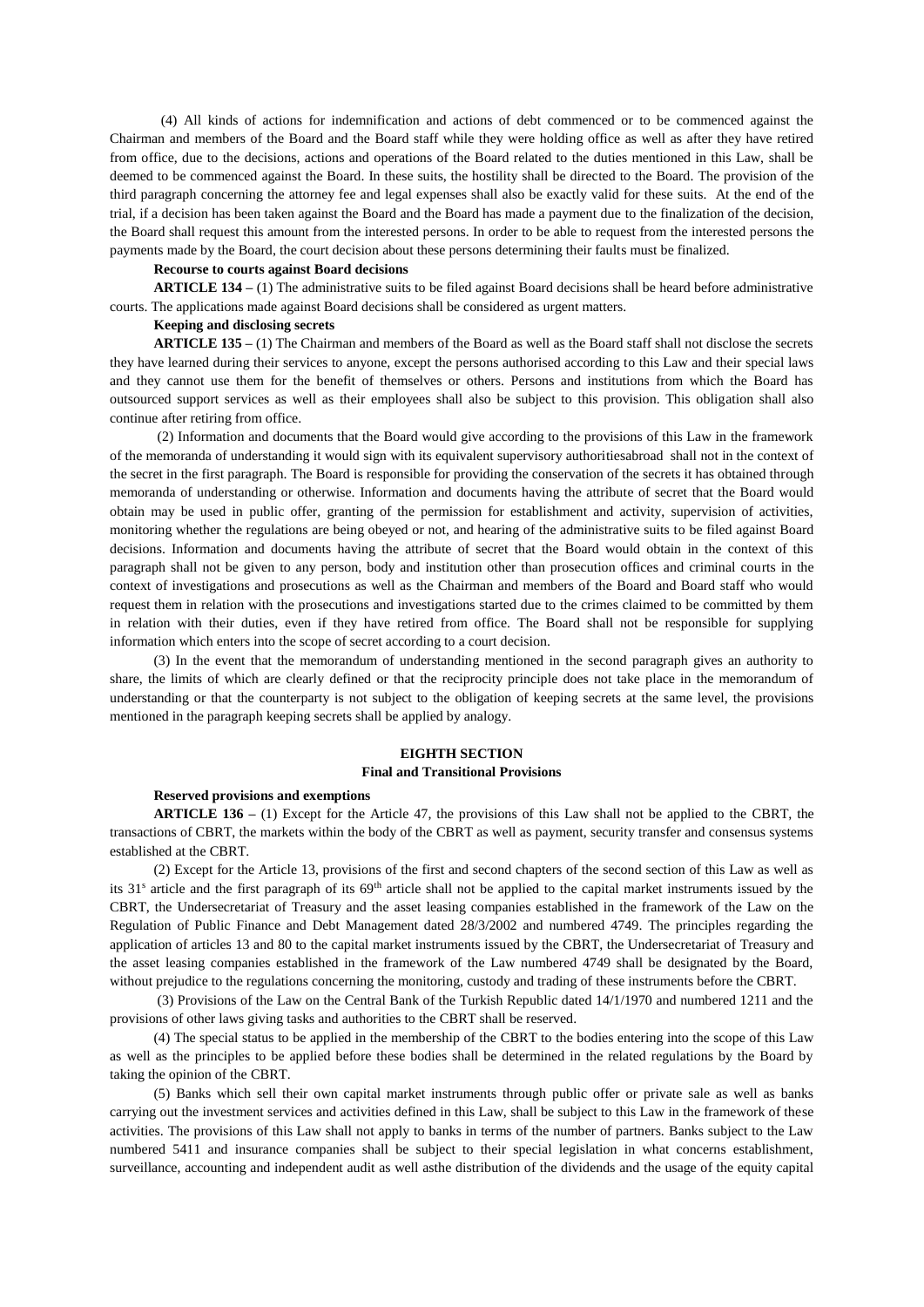(4) All kinds of actions for indemnification and actions of debt commenced or to be commenced against the Chairman and members of the Board and the Board staff while they were holding office as well as after they have retired from office, due to the decisions, actions and operations of the Board related to the duties mentioned in this Law, shall be deemed to be commenced against the Board. In these suits, the hostility shall be directed to the Board. The provision of the third paragraph concerning the attorney fee and legal expenses shall also be exactly valid for these suits. At the end of the trial, if a decision has been taken against the Board and the Board has made a payment due to the finalization of the decision, the Board shall request this amount from the interested persons. In order to be able to request from the interested persons the payments made by the Board, the court decision about these persons determining their faults must be finalized.

#### **Recourse to courts against Board decisions**

**ARTICLE 134 –** (1) The administrative suits to be filed against Board decisions shall be heard before administrative courts. The applications made against Board decisions shall be considered as urgent matters.

## **Keeping and disclosing secrets**

**ARTICLE 135 –** (1) The Chairman and members of the Board as well as the Board staff shall not disclose the secrets they have learned during their services to anyone, except the persons authorised according to this Law and their special laws and they cannot use them for the benefit of themselves or others. Persons and institutions from which the Board has outsourced support services as well as their employees shall also be subject to this provision. This obligation shall also continue after retiring from office.

(2) Information and documents that the Board would give according to the provisions of this Law in the framework of the memoranda of understanding it would sign with its equivalent supervisory authoritiesabroad shall not in the context of the secret in the first paragraph. The Board is responsible for providing the conservation of the secrets it has obtained through memoranda of understanding or otherwise. Information and documents having the attribute of secret that the Board would obtain may be used in public offer, granting of the permission for establishment and activity, supervision of activities, monitoring whether the regulations are being obeyed or not, and hearing of the administrative suits to be filed against Board decisions. Information and documents having the attribute of secret that the Board would obtain in the context of this paragraph shall not be given to any person, body and institution other than prosecution offices and criminal courts in the context of investigations and prosecutions as well as the Chairman and members of the Board and Board staff who would request them in relation with the prosecutions and investigations started due to the crimes claimed to be committed by them in relation with their duties, even if they have retired from office. The Board shall not be responsible for supplying information which enters into the scope of secret according to a court decision.

(3) In the event that the memorandum of understanding mentioned in the second paragraph gives an authority to share, the limits of which are clearly defined or that the reciprocity principle does not take place in the memorandum of understanding or that the counterparty is not subject to the obligation of keeping secrets at the same level, the provisions mentioned in the paragraph keeping secrets shall be applied by analogy.

# **EIGHTH SECTION**

# **Final and Transitional Provisions**

#### **Reserved provisions and exemptions**

**ARTICLE 136 –** (1) Except for the Article 47, the provisions of this Law shall not be applied to the CBRT, the transactions of CBRT, the markets within the body of the CBRT as well as payment, security transfer and consensus systems established at the CBRT.

(2) Except for the Article 13, provisions of the first and second chapters of the second section of this Law as well as its 31<sup>s</sup> article and the first paragraph of its 69<sup>th</sup> article shall not be applied to the capital market instruments issued by the CBRT, the Undersecretariat of Treasury and the asset leasing companies established in the framework of the Law on the Regulation of Public Finance and Debt Management dated 28/3/2002 and numbered 4749. The principles regarding the application of articles 13 and 80 to the capital market instruments issued by the CBRT, the Undersecretariat of Treasury and the asset leasing companies established in the framework of the Law numbered 4749 shall be designated by the Board, without prejudice to the regulations concerning the monitoring, custody and trading of these instruments before the CBRT.

(3) Provisions of the Law on the Central Bank of the Turkish Republic dated 14/1/1970 and numbered 1211 and the provisions of other laws giving tasks and authorities to the CBRT shall be reserved.

(4) The special status to be applied in the membership of the CBRT to the bodies entering into the scope of this Law as well as the principles to be applied before these bodies shall be determined in the related regulations by the Board by taking the opinion of the CBRT.

(5) Banks which sell their own capital market instruments through public offer or private sale as well as banks carrying out the investment services and activities defined in this Law, shall be subject to this Law in the framework of these activities. The provisions of this Law shall not apply to banks in terms of the number of partners. Banks subject to the Law numbered 5411 and insurance companies shall be subject to their special legislation in what concerns establishment, surveillance, accounting and independent audit as well asthe distribution of the dividends and the usage of the equity capital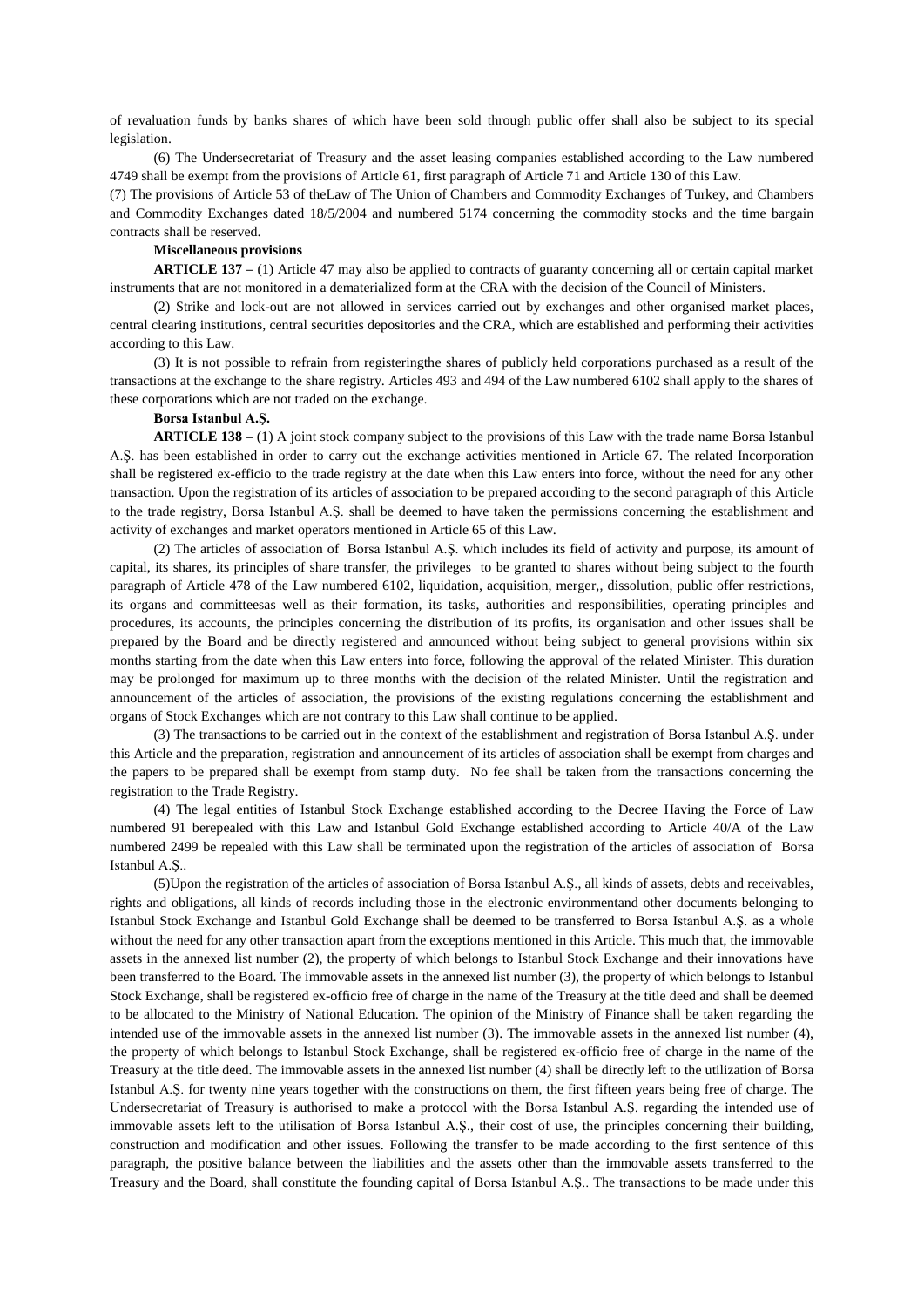of revaluation funds by banks shares of which have been sold through public offer shall also be subject to its special legislation.

(6) The Undersecretariat of Treasury and the asset leasing companies established according to the Law numbered 4749 shall be exempt from the provisions of Article 61, first paragraph of Article 71 and Article 130 of this Law.

(7) The provisions of Article 53 of theLaw of The Union of Chambers and Commodity Exchanges of Turkey, and Chambers and Commodity Exchanges dated 18/5/2004 and numbered 5174 concerning the commodity stocks and the time bargain contracts shall be reserved.

### **Miscellaneous provisions**

**ARTICLE 137 –** (1) Article 47 may also be applied to contracts of guaranty concerning all or certain capital market instruments that are not monitored in a dematerialized form at the CRA with the decision of the Council of Ministers.

(2) Strike and lock-out are not allowed in services carried out by exchanges and other organised market places, central clearing institutions, central securities depositories and the CRA, which are established and performing their activities according to this Law.

(3) It is not possible to refrain from registeringthe shares of publicly held corporations purchased as a result of the transactions at the exchange to the share registry. Articles 493 and 494 of the Law numbered 6102 shall apply to the shares of these corporations which are not traded on the exchange.

## **Borsa Istanbul A.Ş.**

**ARTICLE 138 –** (1) A joint stock company subject to the provisions of this Law with the trade name Borsa Istanbul A.Ş. has been established in order to carry out the exchange activities mentioned in Article 67. The related Incorporation shall be registered ex-efficio to the trade registry at the date when this Law enters into force, without the need for any other transaction. Upon the registration of its articles of association to be prepared according to the second paragraph of this Article to the trade registry, Borsa Istanbul A.Ş. shall be deemed to have taken the permissions concerning the establishment and activity of exchanges and market operators mentioned in Article 65 of this Law.

(2) The articles of association of Borsa Istanbul A.Ş. which includes its field of activity and purpose, its amount of capital, its shares, its principles of share transfer, the privileges to be granted to shares without being subject to the fourth paragraph of Article 478 of the Law numbered 6102, liquidation, acquisition, merger,, dissolution, public offer restrictions, its organs and committeesas well as their formation, its tasks, authorities and responsibilities, operating principles and procedures, its accounts, the principles concerning the distribution of its profits, its organisation and other issues shall be prepared by the Board and be directly registered and announced without being subject to general provisions within six months starting from the date when this Law enters into force, following the approval of the related Minister. This duration may be prolonged for maximum up to three months with the decision of the related Minister. Until the registration and announcement of the articles of association, the provisions of the existing regulations concerning the establishment and organs of Stock Exchanges which are not contrary to this Law shall continue to be applied.

(3) The transactions to be carried out in the context of the establishment and registration of Borsa Istanbul A.Ş. under this Article and the preparation, registration and announcement of its articles of association shall be exempt from charges and the papers to be prepared shall be exempt from stamp duty. No fee shall be taken from the transactions concerning the registration to the Trade Registry.

(4) The legal entities of Istanbul Stock Exchange established according to the Decree Having the Force of Law numbered 91 berepealed with this Law and Istanbul Gold Exchange established according to Article 40/A of the Law numbered 2499 be repealed with this Law shall be terminated upon the registration of the articles of association of Borsa Istanbul A.Ş..

(5)Upon the registration of the articles of association of Borsa Istanbul A.Ş., all kinds of assets, debts and receivables, rights and obligations, all kinds of records including those in the electronic environmentand other documents belonging to Istanbul Stock Exchange and Istanbul Gold Exchange shall be deemed to be transferred to Borsa Istanbul A.Ş. as a whole without the need for any other transaction apart from the exceptions mentioned in this Article. This much that, the immovable assets in the annexed list number (2), the property of which belongs to Istanbul Stock Exchange and their innovations have been transferred to the Board. The immovable assets in the annexed list number (3), the property of which belongs to Istanbul Stock Exchange, shall be registered ex-officio free of charge in the name of the Treasury at the title deed and shall be deemed to be allocated to the Ministry of National Education. The opinion of the Ministry of Finance shall be taken regarding the intended use of the immovable assets in the annexed list number (3). The immovable assets in the annexed list number (4), the property of which belongs to Istanbul Stock Exchange, shall be registered ex-officio free of charge in the name of the Treasury at the title deed. The immovable assets in the annexed list number (4) shall be directly left to the utilization of Borsa Istanbul A.Ş. for twenty nine years together with the constructions on them, the first fifteen years being free of charge. The Undersecretariat of Treasury is authorised to make a protocol with the Borsa Istanbul A.Ş. regarding the intended use of immovable assets left to the utilisation of Borsa Istanbul A.Ş., their cost of use, the principles concerning their building, construction and modification and other issues. Following the transfer to be made according to the first sentence of this paragraph, the positive balance between the liabilities and the assets other than the immovable assets transferred to the Treasury and the Board, shall constitute the founding capital of Borsa Istanbul A.Ş.. The transactions to be made under this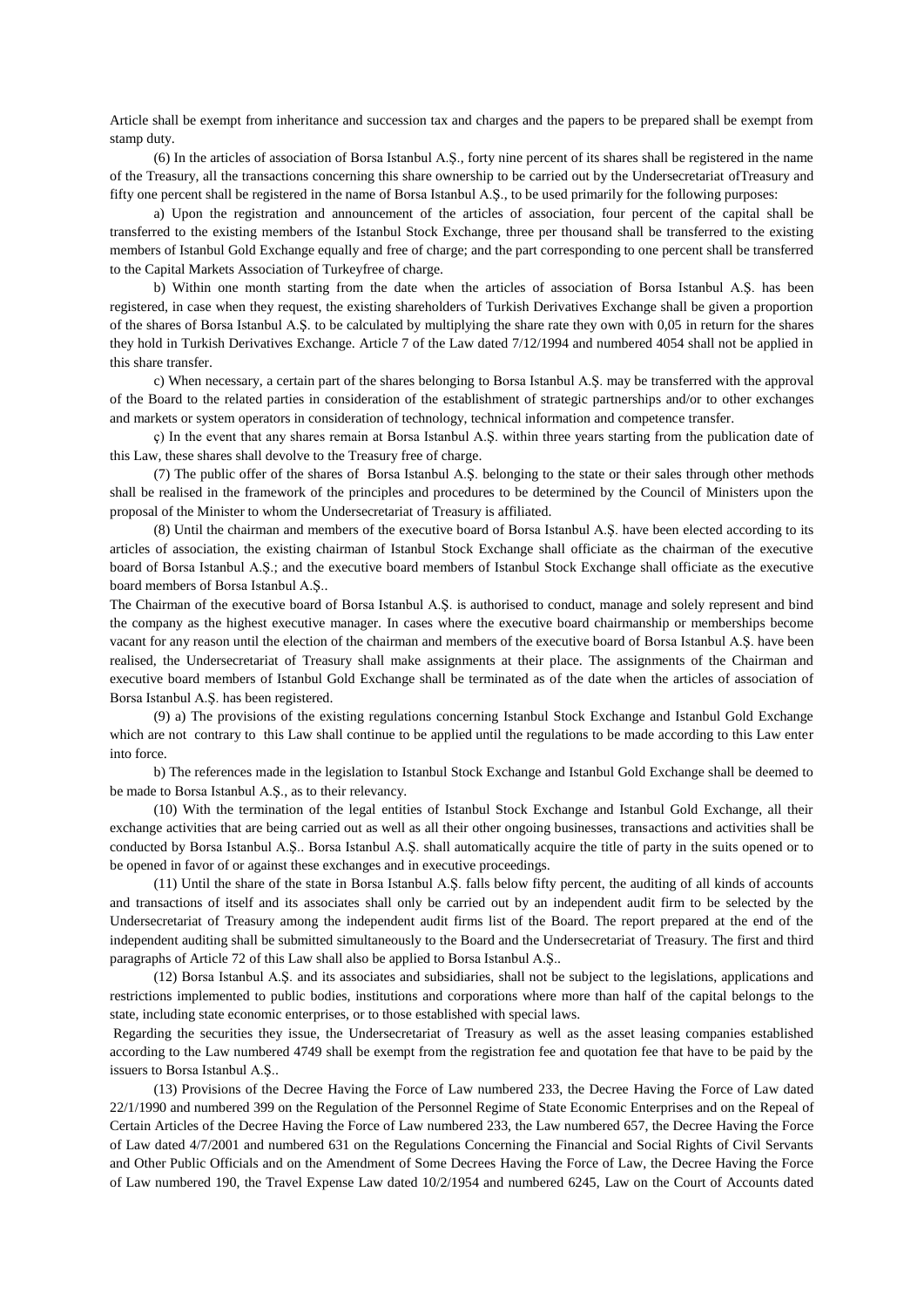Article shall be exempt from inheritance and succession tax and charges and the papers to be prepared shall be exempt from stamp duty.

(6) In the articles of association of Borsa Istanbul A.Ş., forty nine percent of its shares shall be registered in the name of the Treasury, all the transactions concerning this share ownership to be carried out by the Undersecretariat ofTreasury and fifty one percent shall be registered in the name of Borsa Istanbul A.Ş., to be used primarily for the following purposes:

a) Upon the registration and announcement of the articles of association, four percent of the capital shall be transferred to the existing members of the Istanbul Stock Exchange, three per thousand shall be transferred to the existing members of Istanbul Gold Exchange equally and free of charge; and the part corresponding to one percent shall be transferred to the Capital Markets Association of Turkeyfree of charge.

b) Within one month starting from the date when the articles of association of Borsa Istanbul A.Ş. has been registered, in case when they request, the existing shareholders of Turkish Derivatives Exchange shall be given a proportion of the shares of Borsa Istanbul A.Ş. to be calculated by multiplying the share rate they own with 0,05 in return for the shares they hold in Turkish Derivatives Exchange. Article 7 of the Law dated 7/12/1994 and numbered 4054 shall not be applied in this share transfer.

c) When necessary, a certain part of the shares belonging to Borsa Istanbul A.Ş. may be transferred with the approval of the Board to the related parties in consideration of the establishment of strategic partnerships and/or to other exchanges and markets or system operators in consideration of technology, technical information and competence transfer.

ç) In the event that any shares remain at Borsa Istanbul A.Ş. within three years starting from the publication date of this Law, these shares shall devolve to the Treasury free of charge.

(7) The public offer of the shares of Borsa Istanbul A.Ş. belonging to the state or their sales through other methods shall be realised in the framework of the principles and procedures to be determined by the Council of Ministers upon the proposal of the Minister to whom the Undersecretariat of Treasury is affiliated.

(8) Until the chairman and members of the executive board of Borsa Istanbul A.Ş. have been elected according to its articles of association, the existing chairman of Istanbul Stock Exchange shall officiate as the chairman of the executive board of Borsa Istanbul A.Ş.; and the executive board members of Istanbul Stock Exchange shall officiate as the executive board members of Borsa Istanbul A.Ş..

The Chairman of the executive board of Borsa Istanbul A.Ş. is authorised to conduct, manage and solely represent and bind the company as the highest executive manager. In cases where the executive board chairmanship or memberships become vacant for any reason until the election of the chairman and members of the executive board of Borsa Istanbul A.Ş. have been realised, the Undersecretariat of Treasury shall make assignments at their place. The assignments of the Chairman and executive board members of Istanbul Gold Exchange shall be terminated as of the date when the articles of association of Borsa Istanbul A.Ş. has been registered.

(9) a) The provisions of the existing regulations concerning Istanbul Stock Exchange and Istanbul Gold Exchange which are not contrary to this Law shall continue to be applied until the regulations to be made according to this Law enter into force.

b) The references made in the legislation to Istanbul Stock Exchange and Istanbul Gold Exchange shall be deemed to be made to Borsa Istanbul A.Ş., as to their relevancy.

(10) With the termination of the legal entities of Istanbul Stock Exchange and Istanbul Gold Exchange, all their exchange activities that are being carried out as well as all their other ongoing businesses, transactions and activities shall be conducted by Borsa Istanbul A.Ş.. Borsa Istanbul A.Ş. shall automatically acquire the title of party in the suits opened or to be opened in favor of or against these exchanges and in executive proceedings.

(11) Until the share of the state in Borsa Istanbul A.Ş. falls below fifty percent, the auditing of all kinds of accounts and transactions of itself and its associates shall only be carried out by an independent audit firm to be selected by the Undersecretariat of Treasury among the independent audit firms list of the Board. The report prepared at the end of the independent auditing shall be submitted simultaneously to the Board and the Undersecretariat of Treasury. The first and third paragraphs of Article 72 of this Law shall also be applied to Borsa Istanbul A.Ş..

(12) Borsa Istanbul A.Ş. and its associates and subsidiaries, shall not be subject to the legislations, applications and restrictions implemented to public bodies, institutions and corporations where more than half of the capital belongs to the state, including state economic enterprises, or to those established with special laws.

Regarding the securities they issue, the Undersecretariat of Treasury as well as the asset leasing companies established according to the Law numbered 4749 shall be exempt from the registration fee and quotation fee that have to be paid by the issuers to Borsa Istanbul A.Ş..

(13) Provisions of the Decree Having the Force of Law numbered 233, the Decree Having the Force of Law dated 22/1/1990 and numbered 399 on the Regulation of the Personnel Regime of State Economic Enterprises and on the Repeal of Certain Articles of the Decree Having the Force of Law numbered 233, the Law numbered 657, the Decree Having the Force of Law dated 4/7/2001 and numbered 631 on the Regulations Concerning the Financial and Social Rights of Civil Servants and Other Public Officials and on the Amendment of Some Decrees Having the Force of Law, the Decree Having the Force of Law numbered 190, the Travel Expense Law dated 10/2/1954 and numbered 6245, Law on the Court of Accounts dated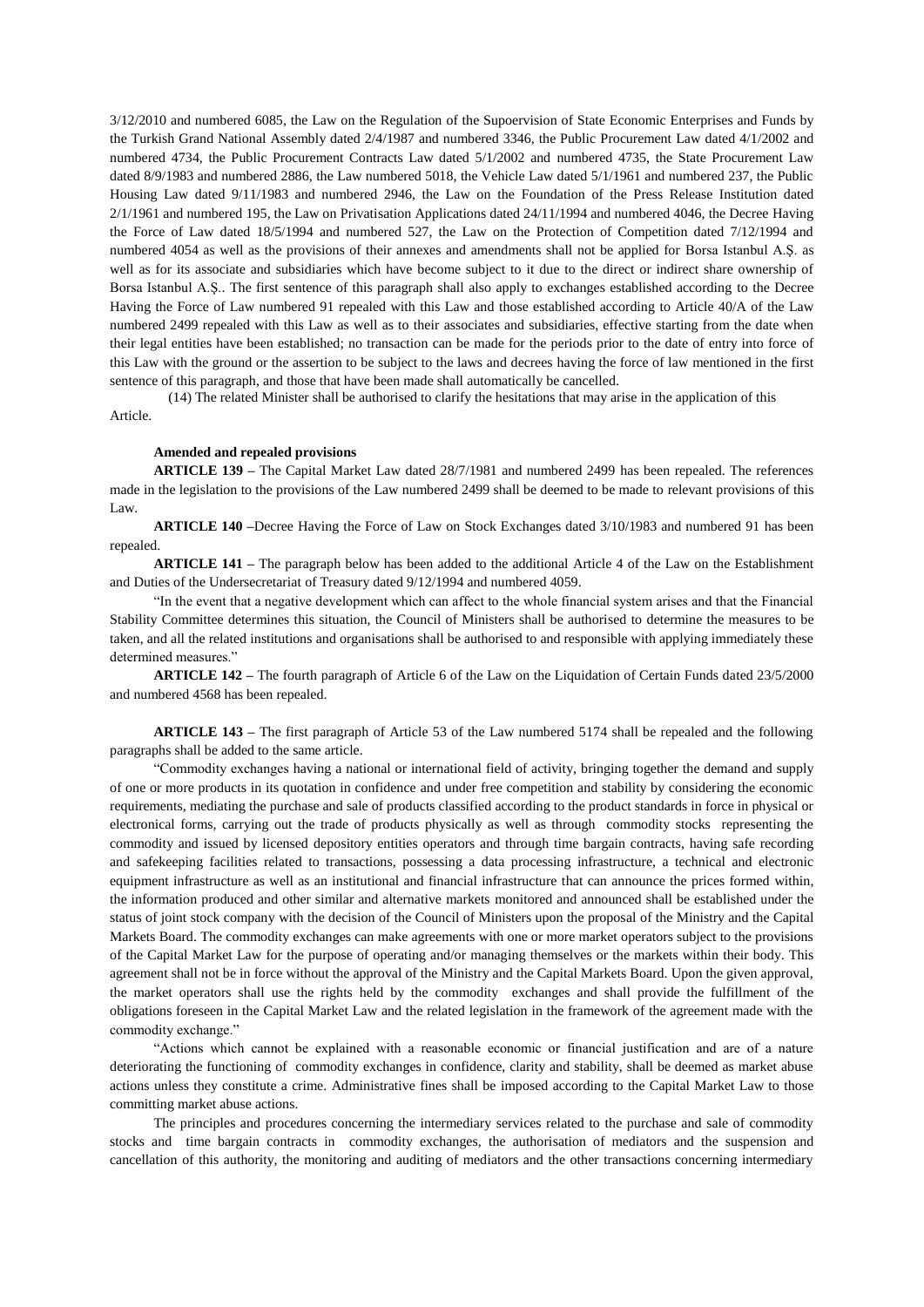3/12/2010 and numbered 6085, the Law on the Regulation of the Supoervision of State Economic Enterprises and Funds by the Turkish Grand National Assembly dated 2/4/1987 and numbered 3346, the Public Procurement Law dated 4/1/2002 and numbered 4734, the Public Procurement Contracts Law dated 5/1/2002 and numbered 4735, the State Procurement Law dated 8/9/1983 and numbered 2886, the Law numbered 5018, the Vehicle Law dated 5/1/1961 and numbered 237, the Public Housing Law dated 9/11/1983 and numbered 2946, the Law on the Foundation of the Press Release Institution dated 2/1/1961 and numbered 195, the Law on Privatisation Applications dated 24/11/1994 and numbered 4046, the Decree Having the Force of Law dated 18/5/1994 and numbered 527, the Law on the Protection of Competition dated 7/12/1994 and numbered 4054 as well as the provisions of their annexes and amendments shall not be applied for Borsa Istanbul A.Ş. as well as for its associate and subsidiaries which have become subject to it due to the direct or indirect share ownership of Borsa Istanbul A.Ş.. The first sentence of this paragraph shall also apply to exchanges established according to the Decree Having the Force of Law numbered 91 repealed with this Law and those established according to Article 40/A of the Law numbered 2499 repealed with this Law as well as to their associates and subsidiaries, effective starting from the date when their legal entities have been established; no transaction can be made for the periods prior to the date of entry into force of this Law with the ground or the assertion to be subject to the laws and decrees having the force of law mentioned in the first sentence of this paragraph, and those that have been made shall automatically be cancelled.

(14) The related Minister shall be authorised to clarify the hesitations that may arise in the application of this Article.

### **Amended and repealed provisions**

**ARTICLE 139 –** The Capital Market Law dated 28/7/1981 and numbered 2499 has been repealed. The references made in the legislation to the provisions of the Law numbered 2499 shall be deemed to be made to relevant provisions of this Law.

**ARTICLE 140 –**Decree Having the Force of Law on Stock Exchanges dated 3/10/1983 and numbered 91 has been repealed.

**ARTICLE 141 –** The paragraph below has been added to the additional Article 4 of the Law on the Establishment and Duties of the Undersecretariat of Treasury dated 9/12/1994 and numbered 4059.

"In the event that a negative development which can affect to the whole financial system arises and that the Financial Stability Committee determines this situation, the Council of Ministers shall be authorised to determine the measures to be taken, and all the related institutions and organisations shall be authorised to and responsible with applying immediately these determined measures."

**ARTICLE 142 –** The fourth paragraph of Article 6 of the Law on the Liquidation of Certain Funds dated 23/5/2000 and numbered 4568 has been repealed.

**ARTICLE 143 –** The first paragraph of Article 53 of the Law numbered 5174 shall be repealed and the following paragraphs shall be added to the same article.

"Commodity exchanges having a national or international field of activity, bringing together the demand and supply of one or more products in its quotation in confidence and under free competition and stability by considering the economic requirements, mediating the purchase and sale of products classified according to the product standards in force in physical or electronical forms, carrying out the trade of products physically as well as through commodity stocks representing the commodity and issued by licensed depository entities operators and through time bargain contracts, having safe recording and safekeeping facilities related to transactions, possessing a data processing infrastructure, a technical and electronic equipment infrastructure as well as an institutional and financial infrastructure that can announce the prices formed within, the information produced and other similar and alternative markets monitored and announced shall be established under the status of joint stock company with the decision of the Council of Ministers upon the proposal of the Ministry and the Capital Markets Board. The commodity exchanges can make agreements with one or more market operators subject to the provisions of the Capital Market Law for the purpose of operating and/or managing themselves or the markets within their body. This agreement shall not be in force without the approval of the Ministry and the Capital Markets Board. Upon the given approval, the market operators shall use the rights held by the commodity exchanges and shall provide the fulfillment of the obligations foreseen in the Capital Market Law and the related legislation in the framework of the agreement made with the commodity exchange."

"Actions which cannot be explained with a reasonable economic or financial justification and are of a nature deteriorating the functioning of commodity exchanges in confidence, clarity and stability, shall be deemed as market abuse actions unless they constitute a crime. Administrative fines shall be imposed according to the Capital Market Law to those committing market abuse actions.

The principles and procedures concerning the intermediary services related to the purchase and sale of commodity stocks and time bargain contracts in commodity exchanges, the authorisation of mediators and the suspension and cancellation of this authority, the monitoring and auditing of mediators and the other transactions concerning intermediary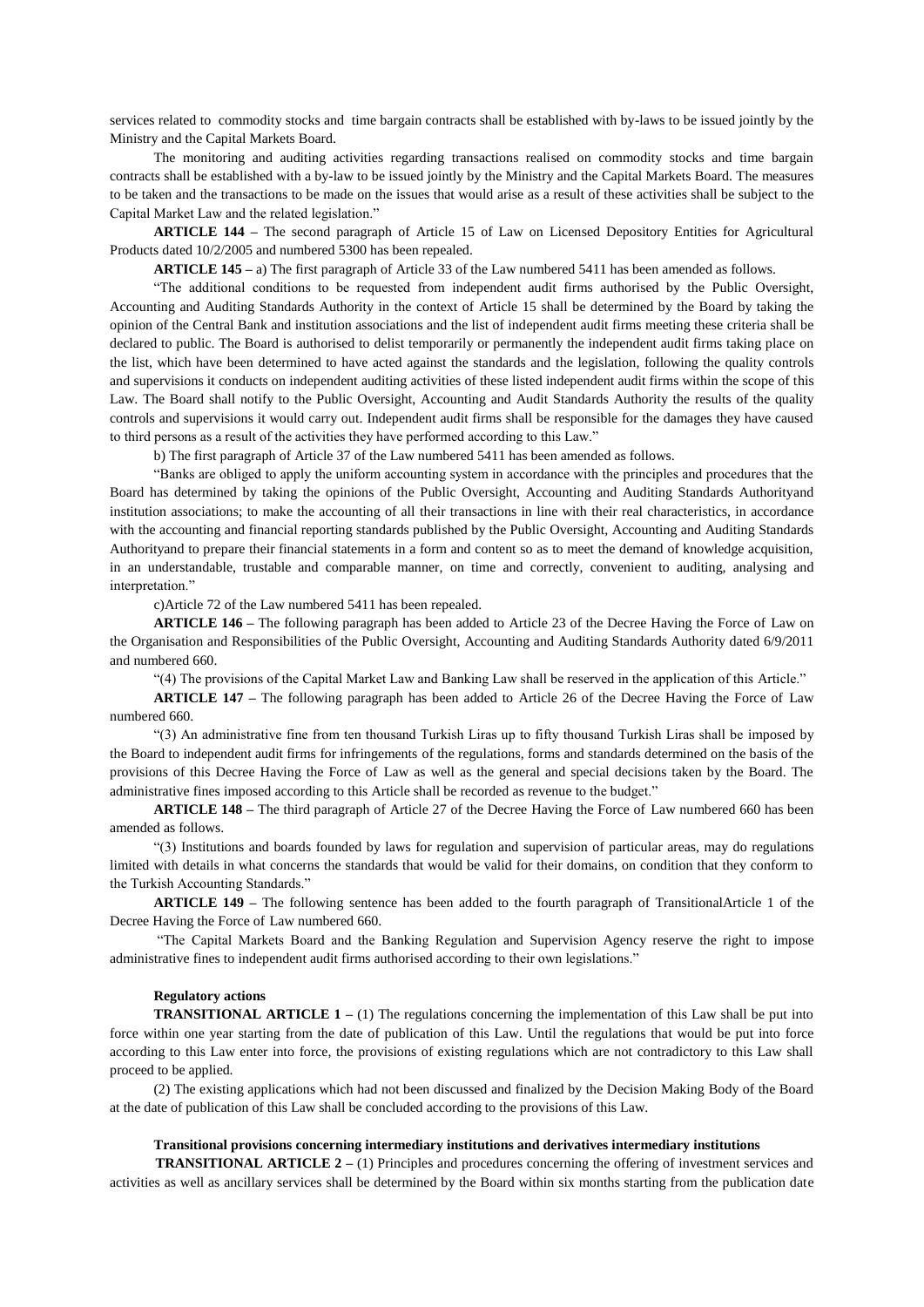services related to commodity stocks and time bargain contracts shall be established with by-laws to be issued jointly by the Ministry and the Capital Markets Board.

The monitoring and auditing activities regarding transactions realised on commodity stocks and time bargain contracts shall be established with a by-law to be issued jointly by the Ministry and the Capital Markets Board. The measures to be taken and the transactions to be made on the issues that would arise as a result of these activities shall be subject to the Capital Market Law and the related legislation."

**ARTICLE 144 –** The second paragraph of Article 15 of Law on Licensed Depository Entities for Agricultural Products dated 10/2/2005 and numbered 5300 has been repealed.

**ARTICLE 145 –** a) The first paragraph of Article 33 of the Law numbered 5411 has been amended as follows.

"The additional conditions to be requested from independent audit firms authorised by the Public Oversight, Accounting and Auditing Standards Authority in the context of Article 15 shall be determined by the Board by taking the opinion of the Central Bank and institution associations and the list of independent audit firms meeting these criteria shall be declared to public. The Board is authorised to delist temporarily or permanently the independent audit firms taking place on the list, which have been determined to have acted against the standards and the legislation, following the quality controls and supervisions it conducts on independent auditing activities of these listed independent audit firms within the scope of this Law. The Board shall notify to the Public Oversight, Accounting and Audit Standards Authority the results of the quality controls and supervisions it would carry out. Independent audit firms shall be responsible for the damages they have caused to third persons as a result of the activities they have performed according to this Law."

b) The first paragraph of Article 37 of the Law numbered 5411 has been amended as follows.

"Banks are obliged to apply the uniform accounting system in accordance with the principles and procedures that the Board has determined by taking the opinions of the Public Oversight, Accounting and Auditing Standards Authorityand institution associations; to make the accounting of all their transactions in line with their real characteristics, in accordance with the accounting and financial reporting standards published by the Public Oversight, Accounting and Auditing Standards Authorityand to prepare their financial statements in a form and content so as to meet the demand of knowledge acquisition, in an understandable, trustable and comparable manner, on time and correctly, convenient to auditing, analysing and interpretation."

c)Article 72 of the Law numbered 5411 has been repealed.

**ARTICLE 146 –** The following paragraph has been added to Article 23 of the Decree Having the Force of Law on the Organisation and Responsibilities of the Public Oversight, Accounting and Auditing Standards Authority dated 6/9/2011 and numbered 660.

"(4) The provisions of the Capital Market Law and Banking Law shall be reserved in the application of this Article."

**ARTICLE 147 –** The following paragraph has been added to Article 26 of the Decree Having the Force of Law numbered 660.

"(3) An administrative fine from ten thousand Turkish Liras up to fifty thousand Turkish Liras shall be imposed by the Board to independent audit firms for infringements of the regulations, forms and standards determined on the basis of the provisions of this Decree Having the Force of Law as well as the general and special decisions taken by the Board. The administrative fines imposed according to this Article shall be recorded as revenue to the budget."

**ARTICLE 148 –** The third paragraph of Article 27 of the Decree Having the Force of Law numbered 660 has been amended as follows.

"(3) Institutions and boards founded by laws for regulation and supervision of particular areas, may do regulations limited with details in what concerns the standards that would be valid for their domains, on condition that they conform to the Turkish Accounting Standards."

**ARTICLE 149 –** The following sentence has been added to the fourth paragraph of TransitionalArticle 1 of the Decree Having the Force of Law numbered 660.

"The Capital Markets Board and the Banking Regulation and Supervision Agency reserve the right to impose administrative fines to independent audit firms authorised according to their own legislations."

#### **Regulatory actions**

**TRANSITIONAL ARTICLE 1** – (1) The regulations concerning the implementation of this Law shall be put into force within one year starting from the date of publication of this Law. Until the regulations that would be put into force according to this Law enter into force, the provisions of existing regulations which are not contradictory to this Law shall proceed to be applied.

(2) The existing applications which had not been discussed and finalized by the Decision Making Body of the Board at the date of publication of this Law shall be concluded according to the provisions of this Law.

### **Transitional provisions concerning intermediary institutions and derivatives intermediary institutions**

 **TRANSITIONAL ARTICLE 2 –** (1) Principles and procedures concerning the offering of investment services and activities as well as ancillary services shall be determined by the Board within six months starting from the publication date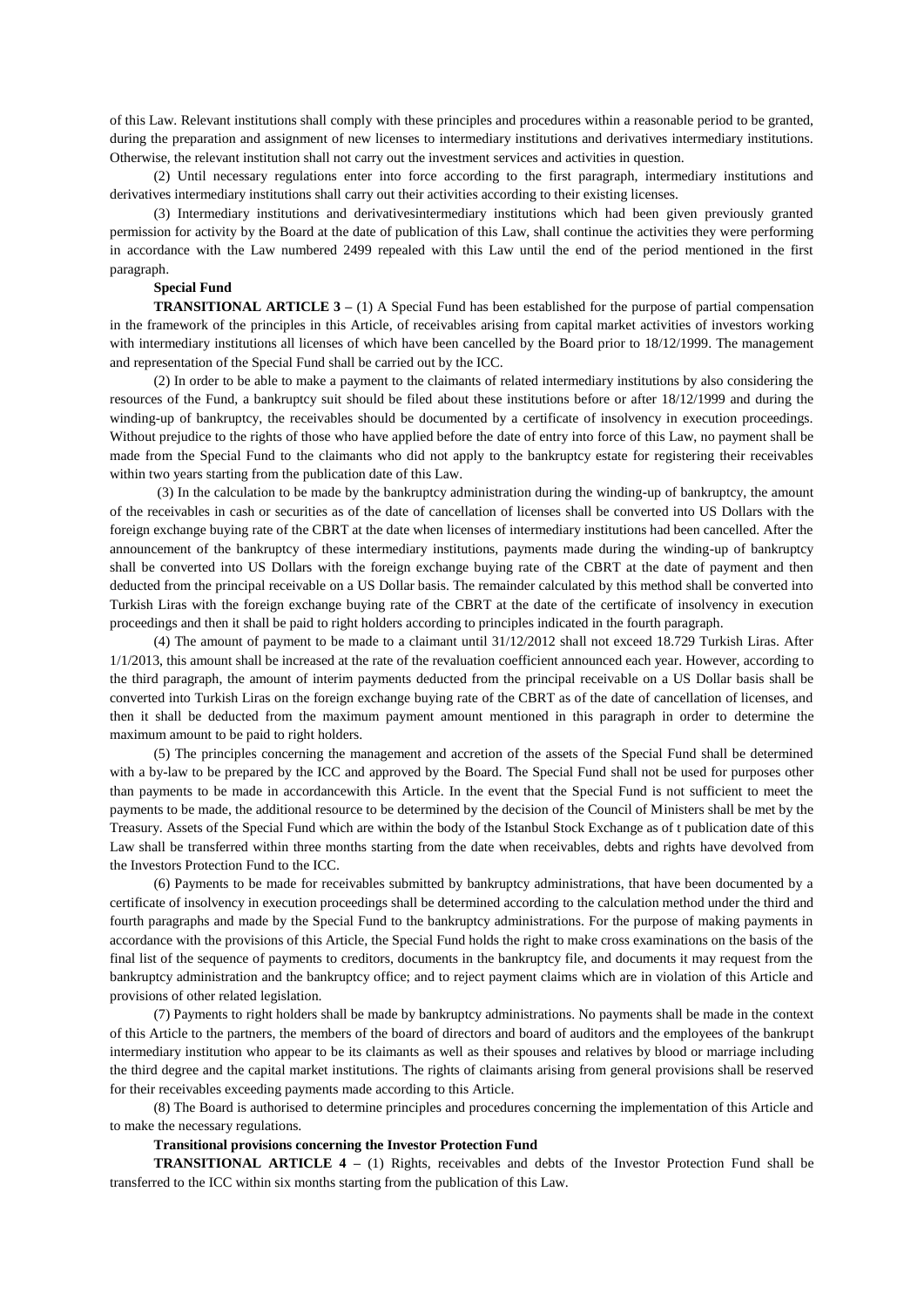of this Law. Relevant institutions shall comply with these principles and procedures within a reasonable period to be granted, during the preparation and assignment of new licenses to intermediary institutions and derivatives intermediary institutions. Otherwise, the relevant institution shall not carry out the investment services and activities in question.

(2) Until necessary regulations enter into force according to the first paragraph, intermediary institutions and derivatives intermediary institutions shall carry out their activities according to their existing licenses.

(3) Intermediary institutions and derivativesintermediary institutions which had been given previously granted permission for activity by the Board at the date of publication of this Law, shall continue the activities they were performing in accordance with the Law numbered 2499 repealed with this Law until the end of the period mentioned in the first paragraph.

#### **Special Fund**

**TRANSITIONAL ARTICLE 3 –** (1) A Special Fund has been established for the purpose of partial compensation in the framework of the principles in this Article, of receivables arising from capital market activities of investors working with intermediary institutions all licenses of which have been cancelled by the Board prior to 18/12/1999. The management and representation of the Special Fund shall be carried out by the ICC.

(2) In order to be able to make a payment to the claimants of related intermediary institutions by also considering the resources of the Fund, a bankruptcy suit should be filed about these institutions before or after 18/12/1999 and during the winding-up of bankruptcy, the receivables should be documented by a certificate of insolvency in execution proceedings. Without prejudice to the rights of those who have applied before the date of entry into force of this Law, no payment shall be made from the Special Fund to the claimants who did not apply to the bankruptcy estate for registering their receivables within two years starting from the publication date of this Law.

(3) In the calculation to be made by the bankruptcy administration during the winding-up of bankruptcy, the amount of the receivables in cash or securities as of the date of cancellation of licenses shall be converted into US Dollars with the foreign exchange buying rate of the CBRT at the date when licenses of intermediary institutions had been cancelled. After the announcement of the bankruptcy of these intermediary institutions, payments made during the winding-up of bankruptcy shall be converted into US Dollars with the foreign exchange buying rate of the CBRT at the date of payment and then deducted from the principal receivable on a US Dollar basis. The remainder calculated by this method shall be converted into Turkish Liras with the foreign exchange buying rate of the CBRT at the date of the certificate of insolvency in execution proceedings and then it shall be paid to right holders according to principles indicated in the fourth paragraph.

(4) The amount of payment to be made to a claimant until 31/12/2012 shall not exceed 18.729 Turkish Liras. After 1/1/2013, this amount shall be increased at the rate of the revaluation coefficient announced each year. However, according to the third paragraph, the amount of interim payments deducted from the principal receivable on a US Dollar basis shall be converted into Turkish Liras on the foreign exchange buying rate of the CBRT as of the date of cancellation of licenses, and then it shall be deducted from the maximum payment amount mentioned in this paragraph in order to determine the maximum amount to be paid to right holders.

(5) The principles concerning the management and accretion of the assets of the Special Fund shall be determined with a by-law to be prepared by the ICC and approved by the Board. The Special Fund shall not be used for purposes other than payments to be made in accordancewith this Article. In the event that the Special Fund is not sufficient to meet the payments to be made, the additional resource to be determined by the decision of the Council of Ministers shall be met by the Treasury. Assets of the Special Fund which are within the body of the Istanbul Stock Exchange as of t publication date of this Law shall be transferred within three months starting from the date when receivables, debts and rights have devolved from the Investors Protection Fund to the ICC.

(6) Payments to be made for receivables submitted by bankruptcy administrations, that have been documented by a certificate of insolvency in execution proceedings shall be determined according to the calculation method under the third and fourth paragraphs and made by the Special Fund to the bankruptcy administrations. For the purpose of making payments in accordance with the provisions of this Article, the Special Fund holds the right to make cross examinations on the basis of the final list of the sequence of payments to creditors, documents in the bankruptcy file, and documents it may request from the bankruptcy administration and the bankruptcy office; and to reject payment claims which are in violation of this Article and provisions of other related legislation.

(7) Payments to right holders shall be made by bankruptcy administrations. No payments shall be made in the context of this Article to the partners, the members of the board of directors and board of auditors and the employees of the bankrupt intermediary institution who appear to be its claimants as well as their spouses and relatives by blood or marriage including the third degree and the capital market institutions. The rights of claimants arising from general provisions shall be reserved for their receivables exceeding payments made according to this Article.

(8) The Board is authorised to determine principles and procedures concerning the implementation of this Article and to make the necessary regulations.

### **Transitional provisions concerning the Investor Protection Fund**

**TRANSITIONAL ARTICLE 4 –** (1) Rights, receivables and debts of the Investor Protection Fund shall be transferred to the ICC within six months starting from the publication of this Law.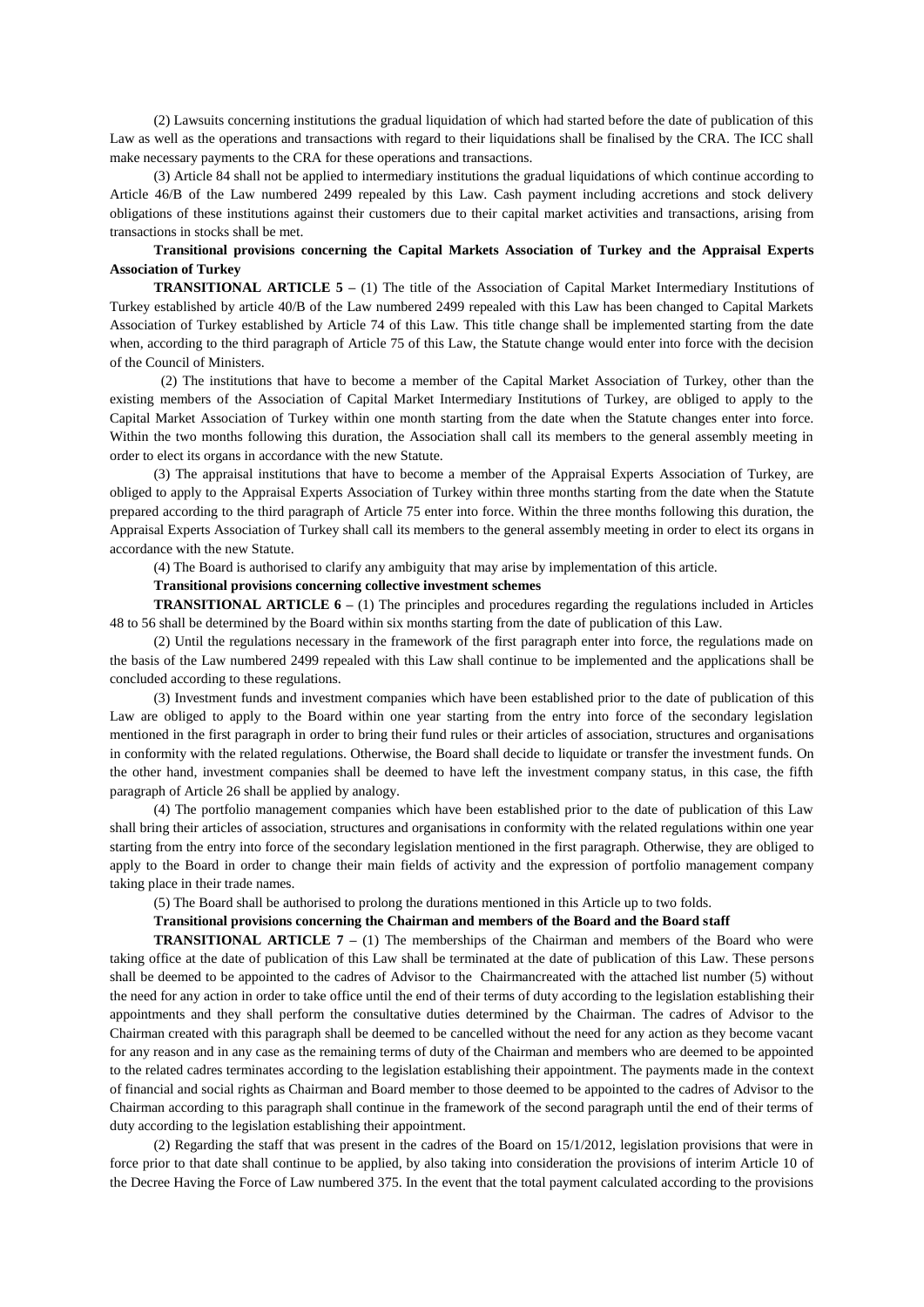(2) Lawsuits concerning institutions the gradual liquidation of which had started before the date of publication of this Law as well as the operations and transactions with regard to their liquidations shall be finalised by the CRA. The ICC shall make necessary payments to the CRA for these operations and transactions.

(3) Article 84 shall not be applied to intermediary institutions the gradual liquidations of which continue according to Article 46/B of the Law numbered 2499 repealed by this Law. Cash payment including accretions and stock delivery obligations of these institutions against their customers due to their capital market activities and transactions, arising from transactions in stocks shall be met.

# **Transitional provisions concerning the Capital Markets Association of Turkey and the Appraisal Experts Association of Turkey**

**TRANSITIONAL ARTICLE 5 –** (1) The title of the Association of Capital Market Intermediary Institutions of Turkey established by article 40/B of the Law numbered 2499 repealed with this Law has been changed to Capital Markets Association of Turkey established by Article 74 of this Law. This title change shall be implemented starting from the date when, according to the third paragraph of Article 75 of this Law, the Statute change would enter into force with the decision of the Council of Ministers.

 (2) The institutions that have to become a member of the Capital Market Association of Turkey, other than the existing members of the Association of Capital Market Intermediary Institutions of Turkey, are obliged to apply to the Capital Market Association of Turkey within one month starting from the date when the Statute changes enter into force. Within the two months following this duration, the Association shall call its members to the general assembly meeting in order to elect its organs in accordance with the new Statute.

(3) The appraisal institutions that have to become a member of the Appraisal Experts Association of Turkey, are obliged to apply to the Appraisal Experts Association of Turkey within three months starting from the date when the Statute prepared according to the third paragraph of Article 75 enter into force. Within the three months following this duration, the Appraisal Experts Association of Turkey shall call its members to the general assembly meeting in order to elect its organs in accordance with the new Statute.

(4) The Board is authorised to clarify any ambiguity that may arise by implementation of this article.

# **Transitional provisions concerning collective investment schemes**

**TRANSITIONAL ARTICLE 6 –** (1) The principles and procedures regarding the regulations included in Articles 48 to 56 shall be determined by the Board within six months starting from the date of publication of this Law.

(2) Until the regulations necessary in the framework of the first paragraph enter into force, the regulations made on the basis of the Law numbered 2499 repealed with this Law shall continue to be implemented and the applications shall be concluded according to these regulations.

(3) Investment funds and investment compa[nies](http://tureng.com/search/investment%20trust) which have been established prior to the date of publication of this Law are obliged to apply to the Board within one year starting from the entry into force of the secondary legislation mentioned in the first paragraph in order to bring their fund rules or their articles of association, structures and organisations in conformity with the related regulations. Otherwise, the Board shall decide to liquidate or transfer the investment funds. On the other hand, investment companies shall be deemed to have left the investment company status, in this case, the fifth paragraph of Article 26 shall be applied by analogy.

(4) The portfolio management companies which have been established prior to the date of publication of this Law shall bring their articles of association, structures and organisations in conformity with the related regulations within one year starting from the entry into force of the secondary legislation mentioned in the first paragraph. Otherwise, they are obliged to apply to the Board in order to change their main fields of activity and the expression of portfolio management company taking place in their trade names.

(5) The Board shall be authorised to prolong the durations mentioned in this Article up to two folds.

#### **Transitional provisions concerning the Chairman and members of the Board and the Board staff**

**TRANSITIONAL ARTICLE 7** – (1) The memberships of the Chairman and members of the Board who were taking office at the date of publication of this Law shall be terminated at the date of publication of this Law. These persons shall be deemed to be appointed to the cadres of Advisor to the Chairmancreated with the attached list number (5) without the need for any action in order to take office until the end of their terms of duty according to the legislation establishing their appointments and they shall perform the consultative duties determined by the Chairman. The cadres of Advisor to the Chairman created with this paragraph shall be deemed to be cancelled without the need for any action as they become vacant for any reason and in any case as the remaining terms of duty of the Chairman and members who are deemed to be appointed to the related cadres terminates according to the legislation establishing their appointment. The payments made in the context of financial and social rights as Chairman and Board member to those deemed to be appointed to the cadres of Advisor to the Chairman according to this paragraph shall continue in the framework of the second paragraph until the end of their terms of duty according to the legislation establishing their appointment.

(2) Regarding the staff that was present in the cadres of the Board on 15/1/2012, legislation provisions that were in force prior to that date shall continue to be applied, by also taking into consideration the provisions of interim Article 10 of the Decree Having the Force of Law numbered 375. In the event that the total payment calculated according to the provisions